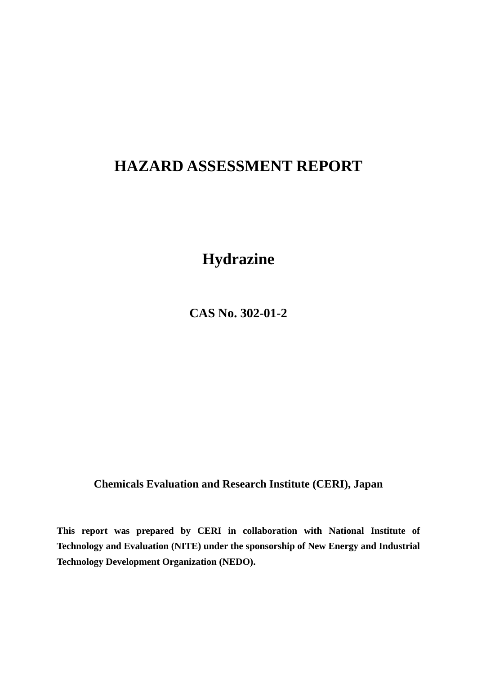# **HAZARD ASSESSMENT REPORT**

**Hydrazine** 

**CAS No. 302-01-2** 

**Chemicals Evaluation and Research Institute (CERI), Japan** 

**This report was prepared by CERI in collaboration with National Institute of Technology and Evaluation (NITE) under the sponsorship of New Energy and Industrial Technology Development Organization (NEDO).**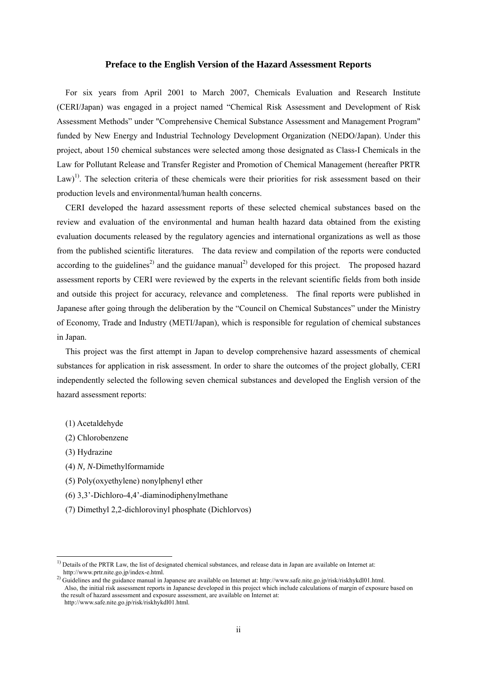#### **Preface to the English Version of the Hazard Assessment Reports**

For six years from April 2001 to March 2007, Chemicals Evaluation and Research Institute (CERI/Japan) was engaged in a project named "Chemical Risk Assessment and Development of Risk Assessment Methods" under "Comprehensive Chemical Substance Assessment and Management Program" funded by New Energy and Industrial Technology Development Organization (NEDO/Japan). Under this project, about 150 chemical substances were selected among those designated as Class-I Chemicals in the Law for Pollutant Release and Transfer Register and Promotion of Chemical Management (hereafter PRTR Law)<sup>1)</sup>. The selection criteria of these chemicals were their priorities for risk assessment based on their production levels and environmental/human health concerns.

CERI developed the hazard assessment reports of these selected chemical substances based on the review and evaluation of the environmental and human health hazard data obtained from the existing evaluation documents released by the regulatory agencies and international organizations as well as those from the published scientific literatures. The data review and compilation of the reports were conducted according to the guidelines<sup>2)</sup> and the guidance manual<sup>2)</sup> developed for this project. The proposed hazard assessment reports by CERI were reviewed by the experts in the relevant scientific fields from both inside and outside this project for accuracy, relevance and completeness. The final reports were published in Japanese after going through the deliberation by the "Council on Chemical Substances" under the Ministry of Economy, Trade and Industry (METI/Japan), which is responsible for regulation of chemical substances in Japan.

This project was the first attempt in Japan to develop comprehensive hazard assessments of chemical substances for application in risk assessment. In order to share the outcomes of the project globally, CERI independently selected the following seven chemical substances and developed the English version of the hazard assessment reports:

- (1) Acetaldehyde
- (2) Chlorobenzene
- (3) Hydrazine

-

- (4) *N, N*-Dimethylformamide
- (5) Poly(oxyethylene) nonylphenyl ether
- (6) 3,3'-Dichloro-4,4'-diaminodiphenylmethane
- (7) Dimethyl 2,2-dichlorovinyl phosphate (Dichlorvos)

 $<sup>1</sup>$  Details of the PRTR Law, the list of designated chemical substances, and release data in Japan are available on Internet at:</sup> http://www.prtr.nite.go.jp/index-e.html.

<sup>2)</sup> Guidelines and the guidance manual in Japanese are available on Internet at: http://www.safe.nite.go.jp/risk/riskhykdl01.html. Also, the initial risk assessment reports in Japanese developed in this project which include calculations of margin of exposure based on the result of hazard assessment and exposure assessment, are available on Internet at: http://www.safe.nite.go.jp/risk/riskhykdl01.html.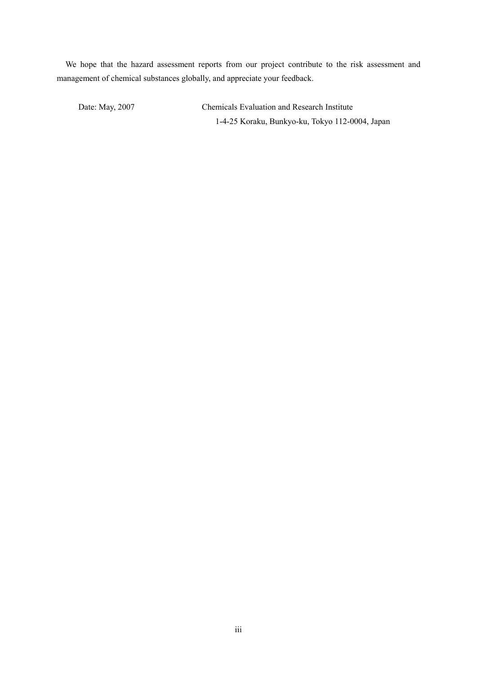We hope that the hazard assessment reports from our project contribute to the risk assessment and management of chemical substances globally, and appreciate your feedback.

Date: May, 2007 Chemicals Evaluation and Research Institute 1-4-25 Koraku, Bunkyo-ku, Tokyo 112-0004, Japan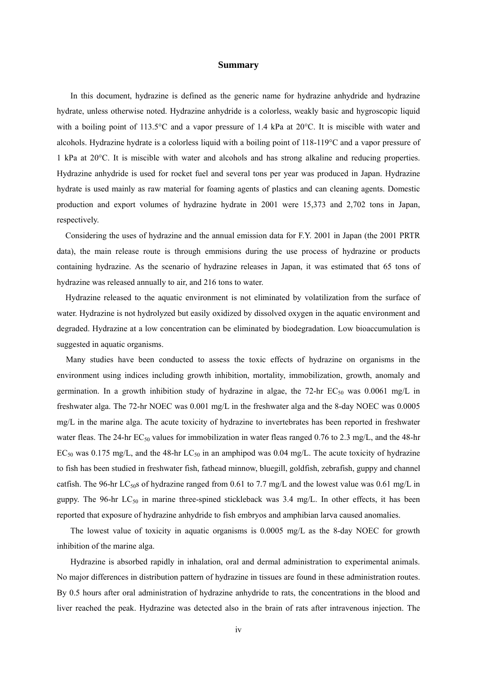#### **Summary**

In this document, hydrazine is defined as the generic name for hydrazine anhydride and hydrazine hydrate, unless otherwise noted. Hydrazine anhydride is a colorless, weakly basic and hygroscopic liquid with a boiling point of 113.5°C and a vapor pressure of 1.4 kPa at 20°C. It is miscible with water and alcohols. Hydrazine hydrate is a colorless liquid with a boiling point of 118-119°C and a vapor pressure of 1 kPa at 20°C. It is miscible with water and alcohols and has strong alkaline and reducing properties. Hydrazine anhydride is used for rocket fuel and several tons per year was produced in Japan. Hydrazine hydrate is used mainly as raw material for foaming agents of plastics and can cleaning agents. Domestic production and export volumes of hydrazine hydrate in 2001 were 15,373 and 2,702 tons in Japan, respectively.

Considering the uses of hydrazine and the annual emission data for F.Y. 2001 in Japan (the 2001 PRTR data), the main release route is through emmisions during the use process of hydrazine or products containing hydrazine. As the scenario of hydrazine releases in Japan, it was estimated that 65 tons of hydrazine was released annually to air, and 216 tons to water.

Hydrazine released to the aquatic environment is not eliminated by volatilization from the surface of water. Hydrazine is not hydrolyzed but easily oxidized by dissolved oxygen in the aquatic environment and degraded. Hydrazine at a low concentration can be eliminated by biodegradation. Low bioaccumulation is suggested in aquatic organisms.

Many studies have been conducted to assess the toxic effects of hydrazine on organisms in the environment using indices including growth inhibition, mortality, immobilization, growth, anomaly and germination. In a growth inhibition study of hydrazine in algae, the 72-hr  $EC_{50}$  was 0.0061 mg/L in freshwater alga. The 72-hr NOEC was 0.001 mg/L in the freshwater alga and the 8-day NOEC was 0.0005 mg/L in the marine alga. The acute toxicity of hydrazine to invertebrates has been reported in freshwater water fleas. The 24-hr  $EC_{50}$  values for immobilization in water fleas ranged 0.76 to 2.3 mg/L, and the 48-hr  $EC_{50}$  was 0.175 mg/L, and the 48-hr  $LC_{50}$  in an amphipod was 0.04 mg/L. The acute toxicity of hydrazine to fish has been studied in freshwater fish, fathead minnow, bluegill, goldfish, zebrafish, guppy and channel catfish. The 96-hr LC<sub>50</sub>s of hydrazine ranged from 0.61 to 7.7 mg/L and the lowest value was 0.61 mg/L in guppy. The 96-hr  $LC_{50}$  in marine three-spined stickleback was 3.4 mg/L. In other effects, it has been reported that exposure of hydrazine anhydride to fish embryos and amphibian larva caused anomalies.

The lowest value of toxicity in aquatic organisms is 0.0005 mg/L as the 8-day NOEC for growth inhibition of the marine alga.

Hydrazine is absorbed rapidly in inhalation, oral and dermal administration to experimental animals. No major differences in distribution pattern of hydrazine in tissues are found in these administration routes. By 0.5 hours after oral administration of hydrazine anhydride to rats, the concentrations in the blood and liver reached the peak. Hydrazine was detected also in the brain of rats after intravenous injection. The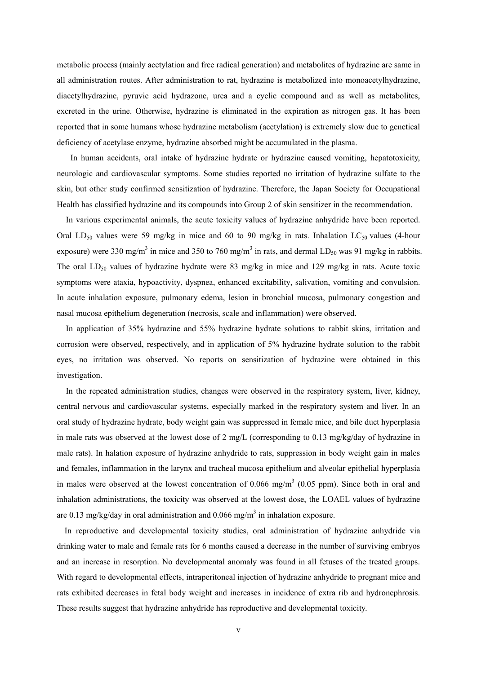metabolic process (mainly acetylation and free radical generation) and metabolites of hydrazine are same in all administration routes. After administration to rat, hydrazine is metabolized into monoacetylhydrazine, diacetylhydrazine, pyruvic acid hydrazone, urea and a cyclic compound and as well as metabolites, excreted in the urine. Otherwise, hydrazine is eliminated in the expiration as nitrogen gas. It has been reported that in some humans whose hydrazine metabolism (acetylation) is extremely slow due to genetical deficiency of acetylase enzyme, hydrazine absorbed might be accumulated in the plasma.

In human accidents, oral intake of hydrazine hydrate or hydrazine caused vomiting, hepatotoxicity, neurologic and cardiovascular symptoms. Some studies reported no irritation of hydrazine sulfate to the skin, but other study confirmed sensitization of hydrazine. Therefore, the Japan Society for Occupational Health has classified hydrazine and its compounds into Group 2 of skin sensitizer in the recommendation.

In various experimental animals, the acute toxicity values of hydrazine anhydride have been reported. Oral LD<sub>50</sub> values were 59 mg/kg in mice and 60 to 90 mg/kg in rats. Inhalation LC<sub>50</sub> values (4-hour exposure) were 330 mg/m<sup>3</sup> in mice and 350 to 760 mg/m<sup>3</sup> in rats, and dermal LD<sub>50</sub> was 91 mg/kg in rabbits. The oral  $LD_{50}$  values of hydrazine hydrate were 83 mg/kg in mice and 129 mg/kg in rats. Acute toxic symptoms were ataxia, hypoactivity, dyspnea, enhanced excitability, salivation, vomiting and convulsion. In acute inhalation exposure, pulmonary edema, lesion in bronchial mucosa, pulmonary congestion and nasal mucosa epithelium degeneration (necrosis, scale and inflammation) were observed.

In application of 35% hydrazine and 55% hydrazine hydrate solutions to rabbit skins, irritation and corrosion were observed, respectively, and in application of 5% hydrazine hydrate solution to the rabbit eyes, no irritation was observed. No reports on sensitization of hydrazine were obtained in this investigation.

In the repeated administration studies, changes were observed in the respiratory system, liver, kidney, central nervous and cardiovascular systems, especially marked in the respiratory system and liver. In an oral study of hydrazine hydrate, body weight gain was suppressed in female mice, and bile duct hyperplasia in male rats was observed at the lowest dose of 2 mg/L (corresponding to 0.13 mg/kg/day of hydrazine in male rats). In halation exposure of hydrazine anhydride to rats, suppression in body weight gain in males and females, inflammation in the larynx and tracheal mucosa epithelium and alveolar epithelial hyperplasia in males were observed at the lowest concentration of 0.066 mg/m<sup>3</sup> (0.05 ppm). Since both in oral and inhalation administrations, the toxicity was observed at the lowest dose, the LOAEL values of hydrazine are 0.13 mg/kg/day in oral administration and 0.066 mg/m<sup>3</sup> in inhalation exposure.

In reproductive and developmental toxicity studies, oral administration of hydrazine anhydride via drinking water to male and female rats for 6 months caused a decrease in the number of surviving embryos and an increase in resorption. No developmental anomaly was found in all fetuses of the treated groups. With regard to developmental effects, intraperitoneal injection of hydrazine anhydride to pregnant mice and rats exhibited decreases in fetal body weight and increases in incidence of extra rib and hydronephrosis. These results suggest that hydrazine anhydride has reproductive and developmental toxicity.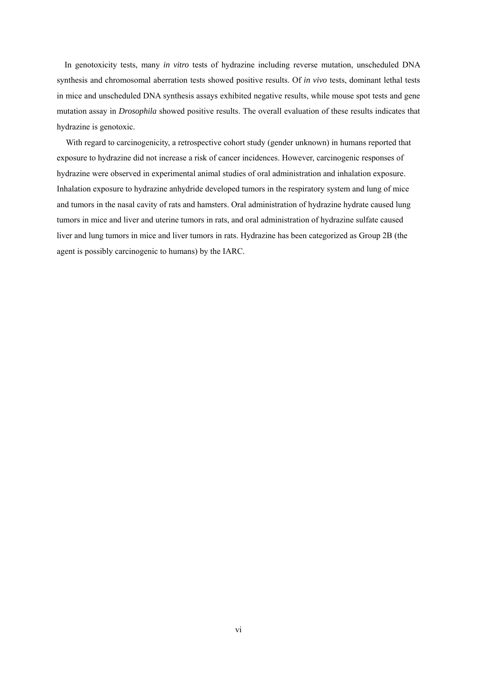In genotoxicity tests, many *in vitro* tests of hydrazine including reverse mutation, unscheduled DNA synthesis and chromosomal aberration tests showed positive results. Of *in vivo* tests, dominant lethal tests in mice and unscheduled DNA synthesis assays exhibited negative results, while mouse spot tests and gene mutation assay in *Drosophila* showed positive results. The overall evaluation of these results indicates that hydrazine is genotoxic.

With regard to carcinogenicity, a retrospective cohort study (gender unknown) in humans reported that exposure to hydrazine did not increase a risk of cancer incidences. However, carcinogenic responses of hydrazine were observed in experimental animal studies of oral administration and inhalation exposure. Inhalation exposure to hydrazine anhydride developed tumors in the respiratory system and lung of mice and tumors in the nasal cavity of rats and hamsters. Oral administration of hydrazine hydrate caused lung tumors in mice and liver and uterine tumors in rats, and oral administration of hydrazine sulfate caused liver and lung tumors in mice and liver tumors in rats. Hydrazine has been categorized as Group 2B (the agent is possibly carcinogenic to humans) by the IARC.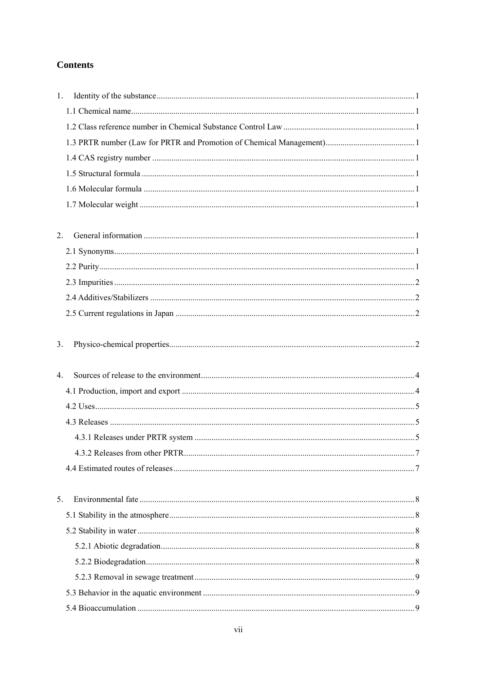# **Contents**

| 1.               |  |
|------------------|--|
|                  |  |
|                  |  |
|                  |  |
|                  |  |
|                  |  |
|                  |  |
|                  |  |
|                  |  |
| 2.               |  |
|                  |  |
|                  |  |
|                  |  |
|                  |  |
|                  |  |
| 3.               |  |
|                  |  |
| $\overline{4}$ . |  |
|                  |  |
|                  |  |
|                  |  |
|                  |  |
|                  |  |
|                  |  |
|                  |  |
| 5.               |  |
|                  |  |
|                  |  |
|                  |  |
|                  |  |
|                  |  |
|                  |  |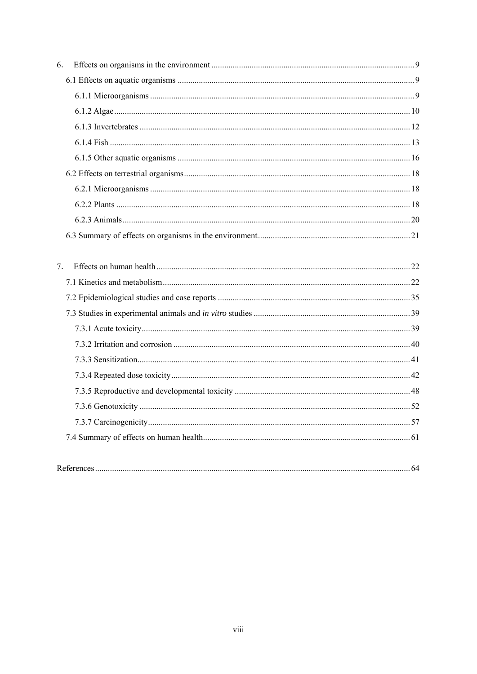| 6. |  |
|----|--|
|    |  |
|    |  |
|    |  |
|    |  |
|    |  |
|    |  |
|    |  |
|    |  |
|    |  |
|    |  |
|    |  |
|    |  |
| 7. |  |
|    |  |
|    |  |
|    |  |
|    |  |
|    |  |
|    |  |
|    |  |
|    |  |
|    |  |
|    |  |
|    |  |
|    |  |
|    |  |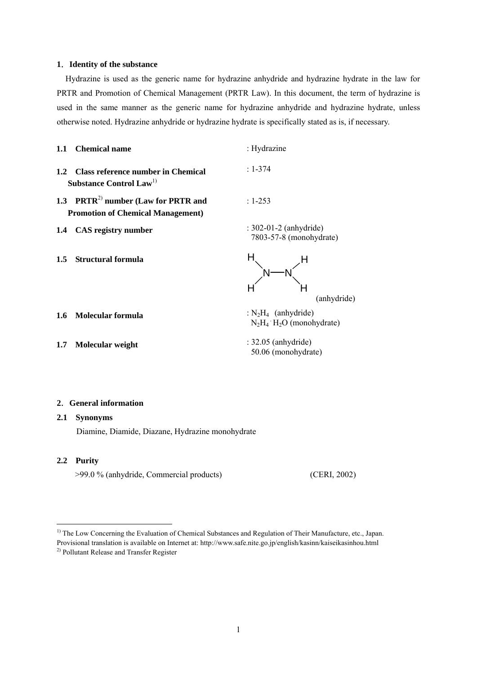#### **1**.**Identity of the substance**

Hydrazine is used as the generic name for hydrazine anhydride and hydrazine hydrate in the law for PRTR and Promotion of Chemical Management (PRTR Law). In this document, the term of hydrazine is used in the same manner as the generic name for hydrazine anhydride and hydrazine hydrate, unless otherwise noted. Hydrazine anhydride or hydrazine hydrate is specifically stated as is, if necessary.

|               | 1.1 Chemical name                                                                           | : Hydrazine                                                                             |
|---------------|---------------------------------------------------------------------------------------------|-----------------------------------------------------------------------------------------|
|               | 1.2 Class reference number in Chemical<br>Substance Control Law <sup>1)</sup>               | $: 1 - 374$                                                                             |
|               | 1.3 PRTR <sup>2)</sup> number (Law for PRTR and<br><b>Promotion of Chemical Management)</b> | $: 1 - 253$                                                                             |
|               | 1.4 CAS registry number                                                                     | $: 302-01-2$ (anhydride)<br>7803-57-8 (monohydrate)                                     |
| $1.5^{\circ}$ | <b>Structural formula</b>                                                                   |                                                                                         |
|               |                                                                                             | (anhydride)                                                                             |
| 1.6           | Molecular formula                                                                           | $\therefore$ N <sub>2</sub> H <sub>4</sub> (anhydride)<br>$N_2H_4$ $H_2O$ (monohydrate) |

**1.7 Molecular weight** : 32.05 (anhydride)

# **2**.**General information**

#### **2.1 Synonyms**

Diamine, Diamide, Diazane, Hydrazine monohydrate

### **2.2 Purity**

<u>.</u>

>99.0 % (anhydride, Commercial products) (CERI, 2002)

50.06 (monohydrate)

<sup>&</sup>lt;sup>1)</sup> The Low Concerning the Evaluation of Chemical Substances and Regulation of Their Manufacture, etc., Japan. Provisional translation is available on Internet at: http://www.safe.nite.go.jp/english/kasinn/kaiseikasinhou.html 2) Pollutant Release and Transfer Register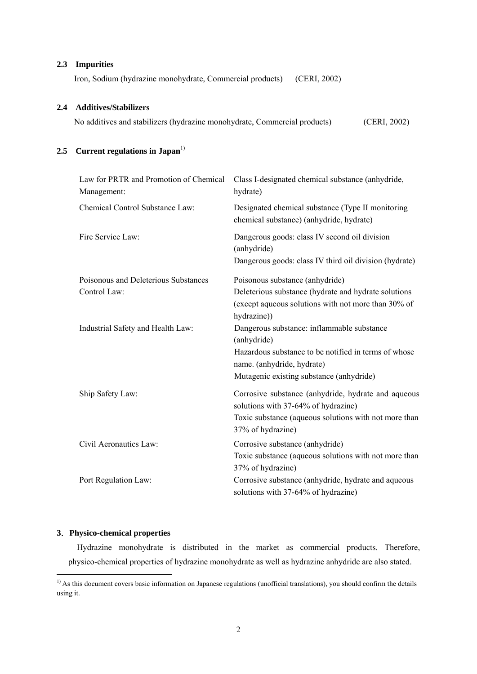# **2.3 Impurities**

Iron, Sodium (hydrazine monohydrate, Commercial products) (CERI, 2002)

# **2.4 Additives/Stabilizers**

No additives and stabilizers (hydrazine monohydrate, Commercial products) (CERI, 2002)

# 2.5 **Current regulations in Japan**<sup>1)</sup>

| Law for PRTR and Promotion of Chemical<br>Management: | Class I-designated chemical substance (anhydride,<br>hydrate)                                 |
|-------------------------------------------------------|-----------------------------------------------------------------------------------------------|
| Chemical Control Substance Law:                       | Designated chemical substance (Type II monitoring<br>chemical substance) (anhydride, hydrate) |
| Fire Service Law:                                     | Dangerous goods: class IV second oil division<br>(anhydride)                                  |
|                                                       | Dangerous goods: class IV third oil division (hydrate)                                        |
| Poisonous and Deleterious Substances                  | Poisonous substance (anhydride)                                                               |
| Control Law:                                          | Deleterious substance (hydrate and hydrate solutions                                          |
|                                                       | (except aqueous solutions with not more than 30% of                                           |
|                                                       | hydrazine))                                                                                   |
| Industrial Safety and Health Law:                     | Dangerous substance: inflammable substance                                                    |
|                                                       | (anhydride)                                                                                   |
|                                                       | Hazardous substance to be notified in terms of whose                                          |
|                                                       | name. (anhydride, hydrate)                                                                    |
|                                                       | Mutagenic existing substance (anhydride)                                                      |
| Ship Safety Law:                                      | Corrosive substance (anhydride, hydrate and aqueous                                           |
|                                                       | solutions with 37-64% of hydrazine)                                                           |
|                                                       | Toxic substance (aqueous solutions with not more than                                         |
|                                                       | 37% of hydrazine)                                                                             |
| Civil Aeronautics Law:                                | Corrosive substance (anhydride)                                                               |
|                                                       | Toxic substance (aqueous solutions with not more than                                         |
|                                                       | 37% of hydrazine)                                                                             |
| Port Regulation Law:                                  | Corrosive substance (anhydride, hydrate and aqueous                                           |
|                                                       | solutions with 37-64% of hydrazine)                                                           |

# **3**.**Physico-chemical properties**

<u>.</u>

Hydrazine monohydrate is distributed in the market as commercial products. Therefore, physico-chemical properties of hydrazine monohydrate as well as hydrazine anhydride are also stated.

 $<sup>1</sup>$  As this document covers basic information on Japanese regulations (unofficial translations), you should confirm the details</sup> using it.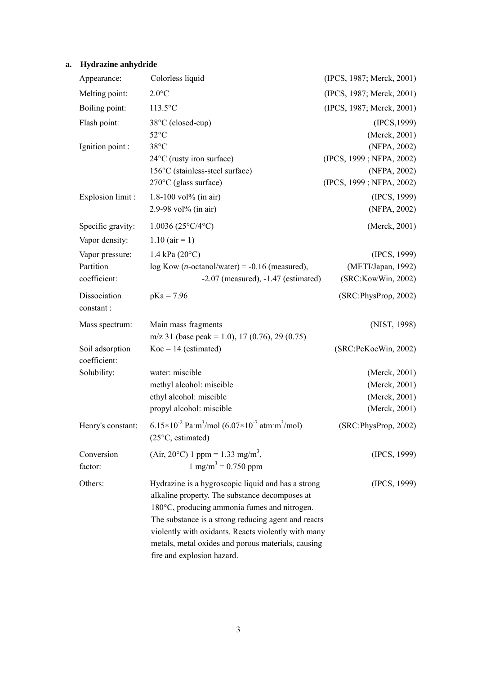# **a. Hydrazine anhydride**

| Appearance:                     | Colorless liquid                                                                                                                                                                                                                                                                                                                                       | (IPCS, 1987; Merck, 2001)                |
|---------------------------------|--------------------------------------------------------------------------------------------------------------------------------------------------------------------------------------------------------------------------------------------------------------------------------------------------------------------------------------------------------|------------------------------------------|
| Melting point:                  | $2.0$ °C                                                                                                                                                                                                                                                                                                                                               | (IPCS, 1987; Merck, 2001)                |
| Boiling point:                  | $113.5$ °C                                                                                                                                                                                                                                                                                                                                             | (IPCS, 1987; Merck, 2001)                |
| Flash point:                    | 38°C (closed-cup)<br>$52^{\circ}$ C                                                                                                                                                                                                                                                                                                                    | (IPCS, 1999)<br>(Merck, 2001)            |
| Ignition point :                | $38^{\circ}$ C                                                                                                                                                                                                                                                                                                                                         | (NFPA, 2002)                             |
|                                 | $24^{\circ}$ C (rusty iron surface)                                                                                                                                                                                                                                                                                                                    | (IPCS, 1999; NFPA, 2002)                 |
|                                 | 156°C (stainless-steel surface)<br>$270^{\circ}$ C (glass surface)                                                                                                                                                                                                                                                                                     | (NFPA, 2002)                             |
|                                 |                                                                                                                                                                                                                                                                                                                                                        | (IPCS, 1999; NFPA, 2002)                 |
| Explosion limit :               | 1.8-100 vol% (in air)<br>2.9-98 vol% (in air)                                                                                                                                                                                                                                                                                                          | (IPCS, 1999)<br>(NFPA, 2002)             |
|                                 |                                                                                                                                                                                                                                                                                                                                                        |                                          |
| Specific gravity:               | $1.0036(25^{\circ}C/4^{\circ}C)$                                                                                                                                                                                                                                                                                                                       | (Merck, 2001)                            |
| Vapor density:                  | $1.10$ (air = 1)                                                                                                                                                                                                                                                                                                                                       |                                          |
| Vapor pressure:                 | $1.4 \text{ kPa} (20^{\circ}\text{C})$                                                                                                                                                                                                                                                                                                                 | (IPCS, 1999)                             |
| Partition<br>coefficient:       | $log Kow (n-octanol/water) = -0.16 (measured),$<br>$-2.07$ (measured), $-1.47$ (estimated)                                                                                                                                                                                                                                                             | (METI/Japan, 1992)<br>(SRC:KowWin, 2002) |
|                                 |                                                                                                                                                                                                                                                                                                                                                        |                                          |
| Dissociation<br>constant:       | $pKa = 7.96$                                                                                                                                                                                                                                                                                                                                           | (SRC:PhysProp, 2002)                     |
| Mass spectrum:                  | Main mass fragments                                                                                                                                                                                                                                                                                                                                    | (NIST, 1998)                             |
|                                 | m/z 31 (base peak = 1.0), 17 (0.76), 29 (0.75)                                                                                                                                                                                                                                                                                                         |                                          |
| Soil adsorption<br>coefficient: | $Koc = 14$ (estimated)                                                                                                                                                                                                                                                                                                                                 | (SRC:PcKocWin, 2002)                     |
| Solubility:                     | water: miscible                                                                                                                                                                                                                                                                                                                                        | (Merck, 2001)                            |
|                                 | methyl alcohol: miscible                                                                                                                                                                                                                                                                                                                               | (Merck, 2001)                            |
|                                 | ethyl alcohol: miscible                                                                                                                                                                                                                                                                                                                                | (Merck, 2001)                            |
|                                 | propyl alcohol: miscible                                                                                                                                                                                                                                                                                                                               | (Merck, 2001)                            |
| Henry's constant:               | $6.15\times10^{-2}$ Pa·m <sup>3</sup> /mol $(6.07\times10^{-7}$ atm·m <sup>3</sup> /mol)<br>$(25^{\circ}C,$ estimated)                                                                                                                                                                                                                                 | (SRC:PhysProp, 2002)                     |
| Conversion<br>factor:           | (Air, 20°C) 1 ppm = 1.33 mg/m <sup>3</sup> ,<br>$1 \text{ mg/m}^3 = 0.750 \text{ ppm}$                                                                                                                                                                                                                                                                 | (IPCS, 1999)                             |
| Others:                         | Hydrazine is a hygroscopic liquid and has a strong<br>alkaline property. The substance decomposes at<br>180°C, producing ammonia fumes and nitrogen.<br>The substance is a strong reducing agent and reacts<br>violently with oxidants. Reacts violently with many<br>metals, metal oxides and porous materials, causing<br>fire and explosion hazard. | (IPCS, 1999)                             |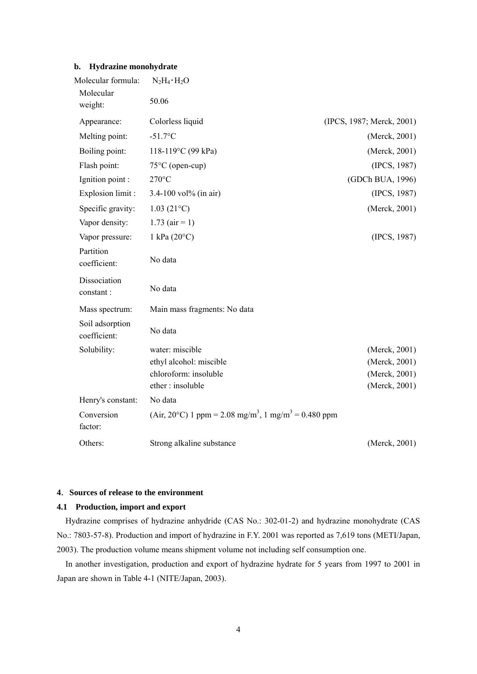# **b. Hydrazine monohydrate**

| Molecular formula:              | $N_2H_4 \cdot H_2O$                                                          |                           |
|---------------------------------|------------------------------------------------------------------------------|---------------------------|
| Molecular<br>weight:            | 50.06                                                                        |                           |
| Appearance:                     | Colorless liquid                                                             | (IPCS, 1987; Merck, 2001) |
| Melting point:                  | $-51.7$ °C                                                                   | (Merck, 2001)             |
| Boiling point:                  | 118-119°C (99 kPa)                                                           | (Merck, 2001)             |
| Flash point:                    | $75^{\circ}$ C (open-cup)                                                    | (IPCS, 1987)              |
| Ignition point :                | $270^{\circ}$ C                                                              | (GDCh BUA, 1996)          |
| Explosion limit :               | 3.4-100 vol% (in air)                                                        | (IPCS, 1987)              |
| Specific gravity:               | $1.03(21^{\circ}C)$                                                          | (Merck, 2001)             |
| Vapor density:                  | $1.73$ (air = 1)                                                             |                           |
| Vapor pressure:                 | 1 kPa $(20^{\circ}C)$                                                        | (IPCS, 1987)              |
| Partition<br>coefficient:       | No data                                                                      |                           |
| Dissociation<br>constant:       | No data                                                                      |                           |
| Mass spectrum:                  | Main mass fragments: No data                                                 |                           |
| Soil adsorption<br>coefficient: | No data                                                                      |                           |
| Solubility:                     | water: miscible                                                              | (Merck, 2001)             |
|                                 | ethyl alcohol: miscible                                                      | (Merck, 2001)             |
|                                 | chloroform: insoluble                                                        | (Merck, 2001)             |
|                                 | ether: insoluble                                                             | (Merck, 2001)             |
| Henry's constant:               | No data                                                                      |                           |
| Conversion<br>factor:           | (Air, 20°C) 1 ppm = 2.08 mg/m <sup>3</sup> , 1 mg/m <sup>3</sup> = 0.480 ppm |                           |
| Others:                         | Strong alkaline substance                                                    | (Merck, 2001)             |

# **4**.**Sources of release to the environment**

# **4.1 Production, import and export**

Hydrazine comprises of hydrazine anhydride (CAS No.: 302-01-2) and hydrazine monohydrate (CAS No.: 7803-57-8). Production and import of hydrazine in F.Y. 2001 was reported as 7,619 tons (METI/Japan, 2003). The production volume means shipment volume not including self consumption one.

In another investigation, production and export of hydrazine hydrate for 5 years from 1997 to 2001 in Japan are shown in Table 4-1 (NITE/Japan, 2003).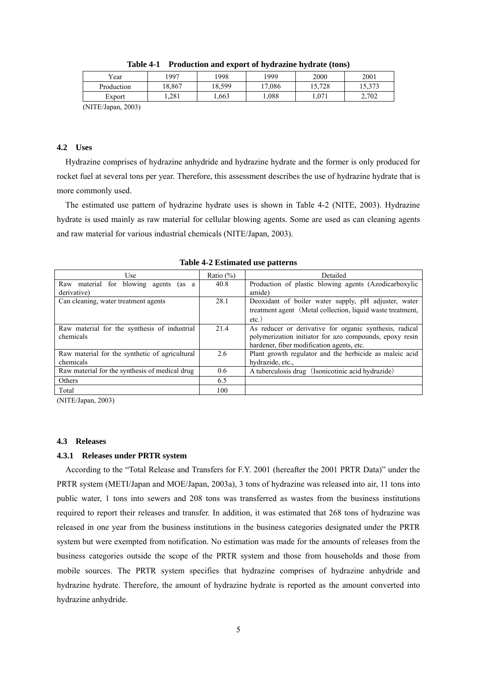| Year                       | 1997   | 1998  | 1999   | 2000   | 2001   |  |  |
|----------------------------|--------|-------|--------|--------|--------|--|--|
| Production                 | 18.867 | 8,599 | 17.086 | 15,728 | 15,373 |  |  |
| Export                     | .281   | .663  | .088   | 1,071  | 2,702  |  |  |
| $\Lambda$ HTE/Longe $2002$ |        |       |        |        |        |  |  |

|  | Table 4-1 Production and export of hydrazine hydrate (tons) |  |
|--|-------------------------------------------------------------|--|
|  |                                                             |  |

(NITE/Japan, 2003)

# **4.2 Uses**

Hydrazine comprises of hydrazine anhydride and hydrazine hydrate and the former is only produced for rocket fuel at several tons per year. Therefore, this assessment describes the use of hydrazine hydrate that is more commonly used.

The estimated use pattern of hydrazine hydrate uses is shown in Table 4-2 (NITE, 2003). Hydrazine hydrate is used mainly as raw material for cellular blowing agents. Some are used as can cleaning agents and raw material for various industrial chemicals (NITE/Japan, 2003).

| Use                                                  | Ratio $(\%)$ | Detailed                                                   |  |  |
|------------------------------------------------------|--------------|------------------------------------------------------------|--|--|
| blowing<br>material for<br>Raw<br>agents<br>(as<br>a | 40.8         | Production of plastic blowing agents (Azodicarboxylic      |  |  |
| derivative)                                          |              | amide)                                                     |  |  |
| Can cleaning, water treatment agents                 | 28.1         | Deoxidant of boiler water supply, pH adjuster, water       |  |  |
|                                                      |              | treatment agent (Metal collection, liquid waste treatment, |  |  |
|                                                      |              | $etc.$ )                                                   |  |  |
| Raw material for the synthesis of industrial         | 21.4         | As reducer or derivative for organic synthesis, radical    |  |  |
| chemicals                                            |              | polymerization initiator for azo compounds, epoxy resin    |  |  |
|                                                      |              | hardener, fiber modification agents, etc.                  |  |  |
| Raw material for the synthetic of agricultural       | 2.6          | Plant growth regulator and the herbicide as maleic acid    |  |  |
| chemicals                                            |              | hydrazide, etc.,                                           |  |  |
| Raw material for the synthesis of medical drug       | 0.6          | A tuberculosis drug (Isonicotinic acid hydrazide)          |  |  |
| Others                                               | 6.5          |                                                            |  |  |
| Total                                                | 100          |                                                            |  |  |

**Table 4-2 Estimated use patterns** 

(NITE/Japan, 2003)

#### **4.3 Releases**

#### **4.3.1 Releases under PRTR system**

According to the "Total Release and Transfers for F.Y. 2001 (hereafter the 2001 PRTR Data)" under the PRTR system (METI/Japan and MOE/Japan, 2003a), 3 tons of hydrazine was released into air, 11 tons into public water, 1 tons into sewers and 208 tons was transferred as wastes from the business institutions required to report their releases and transfer. In addition, it was estimated that 268 tons of hydrazine was released in one year from the business institutions in the business categories designated under the PRTR system but were exempted from notification. No estimation was made for the amounts of releases from the business categories outside the scope of the PRTR system and those from households and those from mobile sources. The PRTR system specifies that hydrazine comprises of hydrazine anhydride and hydrazine hydrate. Therefore, the amount of hydrazine hydrate is reported as the amount converted into hydrazine anhydride.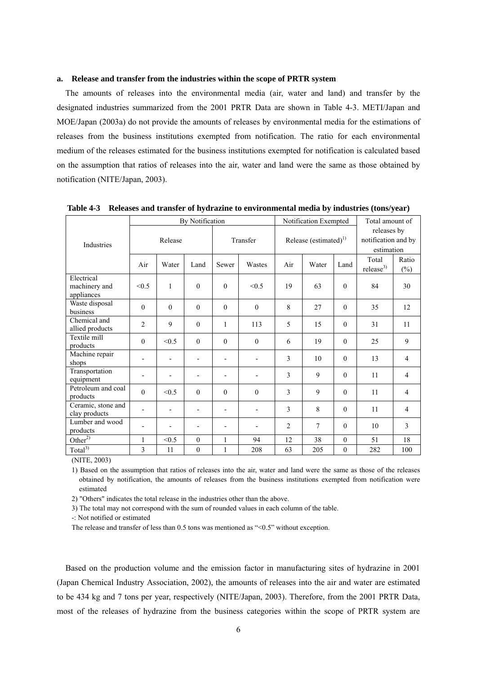#### **a. Release and transfer from the industries within the scope of PRTR system**

The amounts of releases into the environmental media (air, water and land) and transfer by the designated industries summarized from the 2001 PRTR Data are shown in Table 4-3. METI/Japan and MOE/Japan (2003a) do not provide the amounts of releases by environmental media for the estimations of releases from the business institutions exempted from notification. The ratio for each environmental medium of the releases estimated for the business institutions exempted for notification is calculated based on the assumption that ratios of releases into the air, water and land were the same as those obtained by notification (NITE/Japan, 2003).

|                                           | By Notification          |          |              |                          |                                   | Notification Exempted |       |                                                  | Total amount of                |                 |
|-------------------------------------------|--------------------------|----------|--------------|--------------------------|-----------------------------------|-----------------------|-------|--------------------------------------------------|--------------------------------|-----------------|
| Industries                                | Release                  |          | Transfer     |                          | Release (estimated) <sup>1)</sup> |                       |       | releases by<br>notification and by<br>estimation |                                |                 |
|                                           | Air                      | Water    | Land         | Sewer                    | Wastes                            | Air                   | Water | Land                                             | Total<br>release <sup>3)</sup> | Ratio<br>$(\%)$ |
| Electrical<br>machinery and<br>appliances | < 0.5                    | 1        | $\theta$     | $\theta$                 | < 0.5                             | 19                    | 63    | $\Omega$                                         | 84                             | 30              |
| Waste disposal<br>business                | $\theta$                 | $\theta$ | $\Omega$     | $\theta$                 | $\theta$                          | 8                     | 27    | $\Omega$                                         | 35                             | 12              |
| Chemical and<br>allied products           | $\mathfrak{2}$           | 9        | $\mathbf{0}$ | $\mathbf{1}$             | 113                               | 5                     | 15    | $\Omega$                                         | 31                             | 11              |
| Textile mill<br>products                  | $\mathbf{0}$             | < 0.5    | $\theta$     | $\theta$                 | $\mathbf{0}$                      | 6                     | 19    | $\theta$                                         | 25                             | 9               |
| Machine repair<br>shops                   |                          |          |              | $\overline{\phantom{a}}$ | -                                 | 3                     | 10    | $\Omega$                                         | 13                             | $\overline{4}$  |
| Transportation<br>equipment               | $\overline{\phantom{0}}$ |          |              |                          | -                                 | 3                     | 9     | $\Omega$                                         | 11                             | $\overline{4}$  |
| Petroleum and coal<br>products            | $\theta$                 | < 0.5    | $\Omega$     | $\Omega$                 | $\mathbf{0}$                      | 3                     | 9     | $\theta$                                         | 11                             | $\overline{4}$  |
| Ceramic, stone and<br>clay products       | $\overline{\phantom{a}}$ | ٠        |              | $\overline{\phantom{a}}$ | -                                 | 3                     | 8     | $\Omega$                                         | 11                             | $\overline{4}$  |
| Lumber and wood<br>products               | ٠                        |          |              |                          | -                                 | 2                     | 7     | $\Omega$                                         | 10                             | 3               |
| Other <sup>2)</sup>                       | 1                        | < 0.5    | $\theta$     | $\mathbf{1}$             | 94                                | 12                    | 38    | $\theta$                                         | 51                             | 18              |
| Total <sup>3</sup>                        | 3                        | 11       | $\mathbf{0}$ | 1                        | 208                               | 63                    | 205   | $\theta$                                         | 282                            | 100             |

**Table 4-3 Releases and transfer of hydrazine to environmental media by industries (tons/year)** 

(NITE, 2003)

1) Based on the assumption that ratios of releases into the air, water and land were the same as those of the releases obtained by notification, the amounts of releases from the business institutions exempted from notification were estimated

2) "Others" indicates the total release in the industries other than the above.

3) The total may not correspond with the sum of rounded values in each column of the table.

-: Not notified or estimated

The release and transfer of less than 0.5 tons was mentioned as "<0.5" without exception.

Based on the production volume and the emission factor in manufacturing sites of hydrazine in 2001 (Japan Chemical Industry Association, 2002), the amounts of releases into the air and water are estimated to be 434 kg and 7 tons per year, respectively (NITE/Japan, 2003). Therefore, from the 2001 PRTR Data, most of the releases of hydrazine from the business categories within the scope of PRTR system are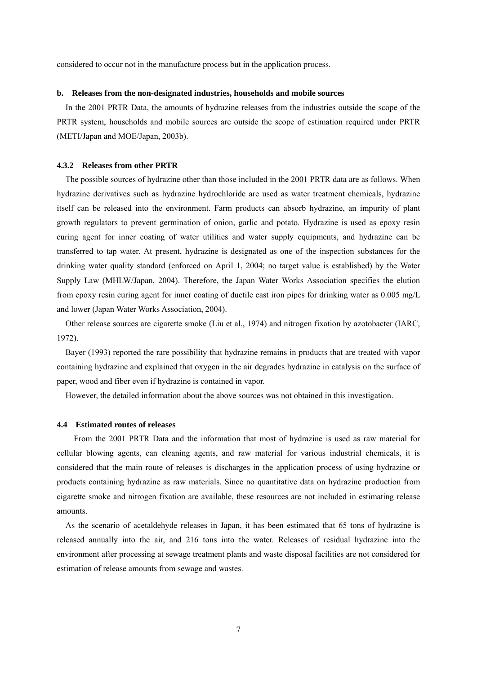considered to occur not in the manufacture process but in the application process.

#### **b. Releases from the non-designated industries, households and mobile sources**

In the 2001 PRTR Data, the amounts of hydrazine releases from the industries outside the scope of the PRTR system, households and mobile sources are outside the scope of estimation required under PRTR (METI/Japan and MOE/Japan, 2003b).

#### **4.3.2 Releases from other PRTR**

The possible sources of hydrazine other than those included in the 2001 PRTR data are as follows. When hydrazine derivatives such as hydrazine hydrochloride are used as water treatment chemicals, hydrazine itself can be released into the environment. Farm products can absorb hydrazine, an impurity of plant growth regulators to prevent germination of onion, garlic and potato. Hydrazine is used as epoxy resin curing agent for inner coating of water utilities and water supply equipments, and hydrazine can be transferred to tap water. At present, hydrazine is designated as one of the inspection substances for the drinking water quality standard (enforced on April 1, 2004; no target value is established) by the Water Supply Law (MHLW/Japan, 2004). Therefore, the Japan Water Works Association specifies the elution from epoxy resin curing agent for inner coating of ductile cast iron pipes for drinking water as 0.005 mg/L and lower (Japan Water Works Association, 2004).

Other release sources are cigarette smoke (Liu et al., 1974) and nitrogen fixation by azotobacter (IARC, 1972).

Bayer (1993) reported the rare possibility that hydrazine remains in products that are treated with vapor containing hydrazine and explained that oxygen in the air degrades hydrazine in catalysis on the surface of paper, wood and fiber even if hydrazine is contained in vapor.

However, the detailed information about the above sources was not obtained in this investigation.

#### **4.4 Estimated routes of releases**

From the 2001 PRTR Data and the information that most of hydrazine is used as raw material for cellular blowing agents, can cleaning agents, and raw material for various industrial chemicals, it is considered that the main route of releases is discharges in the application process of using hydrazine or products containing hydrazine as raw materials. Since no quantitative data on hydrazine production from cigarette smoke and nitrogen fixation are available, these resources are not included in estimating release amounts.

As the scenario of acetaldehyde releases in Japan, it has been estimated that 65 tons of hydrazine is released annually into the air, and 216 tons into the water. Releases of residual hydrazine into the environment after processing at sewage treatment plants and waste disposal facilities are not considered for estimation of release amounts from sewage and wastes.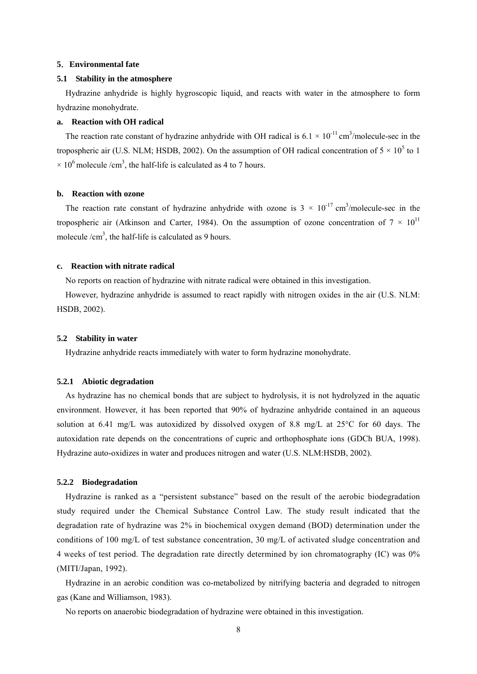#### **5**.**Environmental fate**

#### **5.1 Stability in the atmosphere**

Hydrazine anhydride is highly hygroscopic liquid, and reacts with water in the atmosphere to form hydrazine monohydrate.

#### **a. Reaction with OH radical**

The reaction rate constant of hydrazine anhydride with OH radical is  $6.1 \times 10^{-11}$  cm<sup>3</sup>/molecule-sec in the tropospheric air (U.S. NLM; HSDB, 2002). On the assumption of OH radical concentration of  $5 \times 10^5$  to 1  $\times$  10<sup>6</sup> molecule /cm<sup>3</sup>, the half-life is calculated as 4 to 7 hours.

#### **b. Reaction with ozone**

The reaction rate constant of hydrazine anhydride with ozone is  $3 \times 10^{-17}$  cm<sup>3</sup>/molecule-sec in the tropospheric air (Atkinson and Carter, 1984). On the assumption of ozone concentration of  $7 \times 10^{11}$ molecule  $/cm<sup>3</sup>$ , the half-life is calculated as 9 hours.

#### **c. Reaction with nitrate radical**

No reports on reaction of hydrazine with nitrate radical were obtained in this investigation.

However, hydrazine anhydride is assumed to react rapidly with nitrogen oxides in the air (U.S. NLM: HSDB, 2002).

#### **5.2 Stability in water**

Hydrazine anhydride reacts immediately with water to form hydrazine monohydrate.

#### **5.2.1 Abiotic degradation**

As hydrazine has no chemical bonds that are subject to hydrolysis, it is not hydrolyzed in the aquatic environment. However, it has been reported that 90% of hydrazine anhydride contained in an aqueous solution at 6.41 mg/L was autoxidized by dissolved oxygen of 8.8 mg/L at 25°C for 60 days. The autoxidation rate depends on the concentrations of cupric and orthophosphate ions (GDCh BUA, 1998). Hydrazine auto-oxidizes in water and produces nitrogen and water (U.S. NLM:HSDB, 2002).

#### **5.2.2 Biodegradation**

Hydrazine is ranked as a "persistent substance" based on the result of the aerobic biodegradation study required under the Chemical Substance Control Law. The study result indicated that the degradation rate of hydrazine was 2% in biochemical oxygen demand (BOD) determination under the conditions of 100 mg/L of test substance concentration, 30 mg/L of activated sludge concentration and 4 weeks of test period. The degradation rate directly determined by ion chromatography (IC) was 0% (MITI/Japan, 1992).

Hydrazine in an aerobic condition was co-metabolized by nitrifying bacteria and degraded to nitrogen gas (Kane and Williamson, 1983).

No reports on anaerobic biodegradation of hydrazine were obtained in this investigation.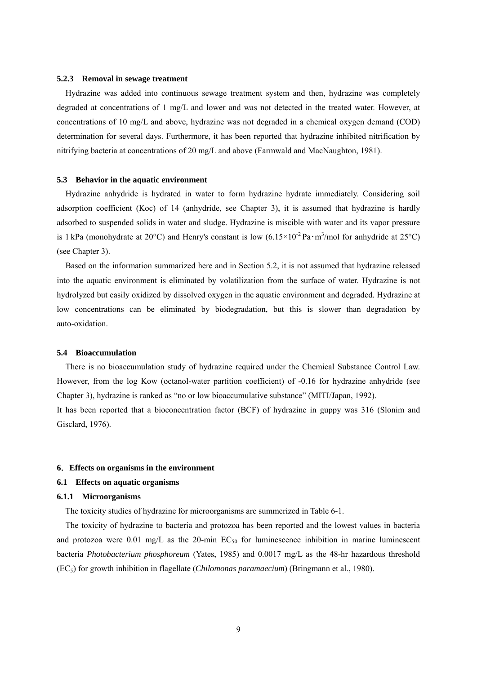#### **5.2.3 Removal in sewage treatment**

Hydrazine was added into continuous sewage treatment system and then, hydrazine was completely degraded at concentrations of 1 mg/L and lower and was not detected in the treated water. However, at concentrations of 10 mg/L and above, hydrazine was not degraded in a chemical oxygen demand (COD) determination for several days. Furthermore, it has been reported that hydrazine inhibited nitrification by nitrifying bacteria at concentrations of 20 mg/L and above (Farmwald and MacNaughton, 1981).

#### **5.3 Behavior in the aquatic environment**

Hydrazine anhydride is hydrated in water to form hydrazine hydrate immediately. Considering soil adsorption coefficient (Koc) of 14 (anhydride, see Chapter 3), it is assumed that hydrazine is hardly adsorbed to suspended solids in water and sludge. Hydrazine is miscible with water and its vapor pressure is 1 kPa (monohydrate at 20°C) and Henry's constant is low  $(6.15 \times 10^{-2} \text{ Pa} \cdot \text{m}^3/\text{mol}$  for anhydride at 25°C) (see Chapter 3).

Based on the information summarized here and in Section 5.2, it is not assumed that hydrazine released into the aquatic environment is eliminated by volatilization from the surface of water. Hydrazine is not hydrolyzed but easily oxidized by dissolved oxygen in the aquatic environment and degraded. Hydrazine at low concentrations can be eliminated by biodegradation, but this is slower than degradation by auto-oxidation.

#### **5.4 Bioaccumulation**

There is no bioaccumulation study of hydrazine required under the Chemical Substance Control Law. However, from the log Kow (octanol-water partition coefficient) of -0.16 for hydrazine anhydride (see Chapter 3), hydrazine is ranked as "no or low bioaccumulative substance" (MITI/Japan, 1992).

It has been reported that a bioconcentration factor (BCF) of hydrazine in guppy was 316 (Slonim and Gisclard, 1976).

#### **6**.**Effects on organisms in the environment**

#### **6.1 Effects on aquatic organisms**

#### **6.1.1 Microorganisms**

The toxicity studies of hydrazine for microorganisms are summerized in Table 6-1.

The toxicity of hydrazine to bacteria and protozoa has been reported and the lowest values in bacteria and protozoa were  $0.01$  mg/L as the 20-min  $EC_{50}$  for luminescence inhibition in marine luminescent bacteria *Photobacterium phosphoreum* (Yates, 1985) and 0.0017 mg/L as the 48-hr hazardous threshold (EC5) for growth inhibition in flagellate (*Chilomonas paramaecium*) (Bringmann et al., 1980).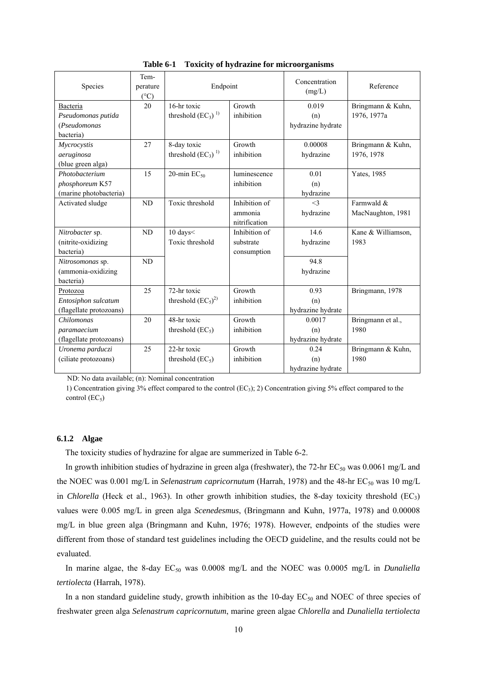| Species                   | Tem-<br>perature<br>$(^{\circ}C)$ | Endpoint                |               | Concentration<br>(mg/L) | Reference          |
|---------------------------|-----------------------------------|-------------------------|---------------|-------------------------|--------------------|
| Bacteria                  | 20                                | 16-hr toxic             | Growth        | 0.019                   | Bringmann & Kuhn,  |
| Pseudomonas putida        |                                   | threshold $(EC_3)^{1}$  | inhibition    | (n)                     | 1976, 1977a        |
| (Pseudomonas<br>bacteria) |                                   |                         |               | hydrazine hydrate       |                    |
| Mycrocystis               | 27                                | 8-day toxic             | Growth        | 0.00008                 | Bringmann & Kuhn,  |
| aeruginosa                |                                   | threshold $(EC_3)^{1}$  | inhibition    | hydrazine               | 1976, 1978         |
| (blue green alga)         |                                   |                         |               |                         |                    |
| Photobacterium            | 15                                | 20-min $EC_{50}$        | luminescence  | 0.01                    | Yates, 1985        |
| phosphoreum K57           |                                   |                         | inhibition    | (n)                     |                    |
| (marine photobacteria)    |                                   |                         |               | hydrazine               |                    |
| Activated sludge          | ND                                | Toxic threshold         | Inhibition of | $\leq$ 3                | Farmwald &         |
|                           |                                   |                         | ammonia       | hydrazine               | MacNaughton, 1981  |
|                           |                                   |                         | nitrification |                         |                    |
| Nitrobacter sp.           | ND                                | 10 days<                | Inhibition of | 14.6                    | Kane & Williamson, |
| (nitrite-oxidizing        |                                   | Toxic threshold         | substrate     | hydrazine               | 1983               |
| bacteria)                 |                                   |                         | consumption   |                         |                    |
| Nitrosomonas sp.          | ND                                |                         |               | 94.8                    |                    |
| (ammonia-oxidizing        |                                   |                         |               | hydrazine               |                    |
| bacteria)                 |                                   |                         |               |                         |                    |
| Protozoa                  | 25                                | 72-hr toxic             | Growth        | 0.93                    | Bringmann, 1978    |
| Entosiphon sulcatum       |                                   | threshold $(EC_5)^{2)}$ | inhibition    | (n)                     |                    |
| (flagellate protozoans)   |                                   |                         |               | hydrazine hydrate       |                    |
| Chilomonas                | 20                                | 48-hr toxic             | Growth        | 0.0017                  | Bringmann et al.,  |
| paramaecium               |                                   | threshold $(EC_5)$      | inhibition    | (n)                     | 1980               |
| (flagellate protozoans)   |                                   |                         |               | hydrazine hydrate       |                    |
| Uronema parduczi          | 25                                | 22-hr toxic             | Growth        | 0.24                    | Bringmann & Kuhn,  |
| (ciliate protozoans)      |                                   | threshold $(EC_5)$      | inhibition    | (n)                     | 1980               |
|                           |                                   |                         |               | hydrazine hydrate       |                    |

**Table 6-1 Toxicity of hydrazine for microorganisms** 

ND: No data available; (n): Nominal concentration

1) Concentration giving 3% effect compared to the control (EC3); 2) Concentration giving 5% effect compared to the control  $(EC_5)$ 

# **6.1.2 Algae**

The toxicity studies of hydrazine for algae are summerized in Table 6-2.

In growth inhibition studies of hydrazine in green alga (freshwater), the 72-hr  $EC_{50}$  was 0.0061 mg/L and the NOEC was 0.001 mg/L in *Selenastrum capricornutum* (Harrah, 1978) and the 48-hr EC<sub>50</sub> was 10 mg/L in *Chlorella* (Heck et al., 1963). In other growth inhibition studies, the 8-day toxicity threshold  $(EC_3)$ values were 0.005 mg/L in green alga *Scenedesmus*, (Bringmann and Kuhn, 1977a, 1978) and 0.00008 mg/L in blue green alga (Bringmann and Kuhn, 1976; 1978). However, endpoints of the studies were different from those of standard test guidelines including the OECD guideline, and the results could not be evaluated.

In marine algae, the 8-day EC<sub>50</sub> was 0.0008 mg/L and the NOEC was 0.0005 mg/L in *Dunaliella tertiolecta* (Harrah, 1978).

In a non standard guideline study, growth inhibition as the 10-day  $EC_{50}$  and NOEC of three species of freshwater green alga *Selenastrum capricornutum*, marine green algae *Chlorella* and *Dunaliella tertiolecta*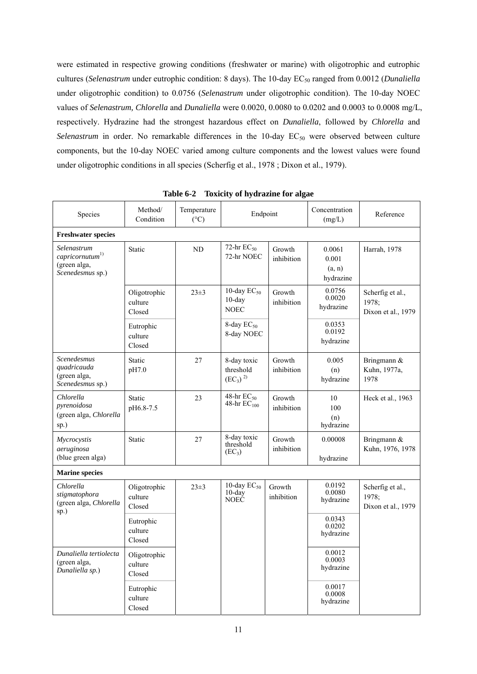were estimated in respective growing conditions (freshwater or marine) with oligotrophic and eutrophic cultures (*Selenastrum* under eutrophic condition: 8 days). The 10-day EC<sub>50</sub> ranged from 0.0012 (*Dunaliella* under oligotrophic condition) to 0.0756 (*Selenastrum* under oligotrophic condition). The 10-day NOEC values of *Selenastrum, Chlorella* and *Dunaliella* were 0.0020, 0.0080 to 0.0202 and 0.0003 to 0.0008 mg/L, respectively. Hydrazine had the strongest hazardous effect on *Dunaliella*, followed by *Chlorella* and *Selenastrum* in order. No remarkable differences in the 10-day EC<sub>50</sub> were observed between culture components, but the 10-day NOEC varied among culture components and the lowest values were found under oligotrophic conditions in all species (Scherfig et al., 1978 ; Dixon et al., 1979).

| Species                                                                      | Method/<br>Condition              | Temperature<br>$(^{\circ}C)$ |                                                | Endpoint             |                                        | Reference                                       |
|------------------------------------------------------------------------------|-----------------------------------|------------------------------|------------------------------------------------|----------------------|----------------------------------------|-------------------------------------------------|
| <b>Freshwater species</b>                                                    |                                   |                              |                                                |                      |                                        |                                                 |
| Selenastrum<br>$capricorn$ <sup>1)</sup><br>(green alga,<br>Scenedesmus sp.) | Static                            | ND                           | 72-hr $EC_{50}$<br>72-hr NOEC                  | Growth<br>inhibition | 0.0061<br>0.001<br>(a, n)<br>hydrazine | Harrah, 1978                                    |
|                                                                              | Oligotrophic<br>culture<br>Closed | $23 \pm 3$                   | 10-day $EC_{50}$<br>$10$ -day<br><b>NOEC</b>   | Growth<br>inhibition | 0.0756<br>0.0020<br>hydrazine          | Scherfig et al.,<br>1978:<br>Dixon et al., 1979 |
|                                                                              | Eutrophic<br>culture<br>Closed    |                              | 8-day $EC_{50}$<br>8-day NOEC                  |                      | 0.0353<br>0.0192<br>hydrazine          |                                                 |
| Scenedesmus<br>quadricauda<br>(green alga,<br>Scenedesmus sp.)               | Static<br>pH7.0                   | 27                           | 8-day toxic<br>threshold<br>$(EC_3)^2$         | Growth<br>inhibition | 0.005<br>(n)<br>hydrazine              | Bringmann &<br>Kuhn, 1977a,<br>1978             |
| Chlorella<br>pyrenoidosa<br>(green alga, Chlorella<br>sp.)                   | Static<br>pH6.8-7.5               | 23                           | 48-hr $EC_{50}$<br>48-hr $EC_{100}$            | Growth<br>inhibition | 10<br>100<br>(n)<br>hydrazine          | Heck et al., 1963                               |
| Mycrocystis<br>aeruginosa<br>(blue green alga)                               | Static                            | 27                           | 8-day toxic<br>threshold<br>(EC <sub>3</sub> ) | Growth<br>inhibition | 0.00008<br>hydrazine                   | Bringmann &<br>Kuhn, 1976, 1978                 |
| <b>Marine species</b>                                                        |                                   |                              |                                                |                      |                                        |                                                 |
| Chlorella<br>stigmatophora<br>(green alga, Chlorella<br>sp.)                 | Oligotrophic<br>culture<br>Closed | $23 \pm 3$                   | 10-day $EC_{50}$<br>$10$ -day<br>NOEC          | Growth<br>inhibition | 0.0192<br>0.0080<br>hydrazine          | Scherfig et al.,<br>1978:<br>Dixon et al., 1979 |
|                                                                              | Eutrophic<br>culture<br>Closed    |                              |                                                |                      | 0.0343<br>0.0202<br>hydrazine          |                                                 |
| Dunaliella tertiolecta<br>(green alga,<br>Dunaliella sp.)                    | Oligotrophic<br>culture<br>Closed |                              |                                                |                      | 0.0012<br>0.0003<br>hydrazine          |                                                 |
|                                                                              | Eutrophic<br>culture<br>Closed    |                              |                                                |                      | 0.0017<br>0.0008<br>hydrazine          |                                                 |

**Table 6-2 Toxicity of hydrazine for algae**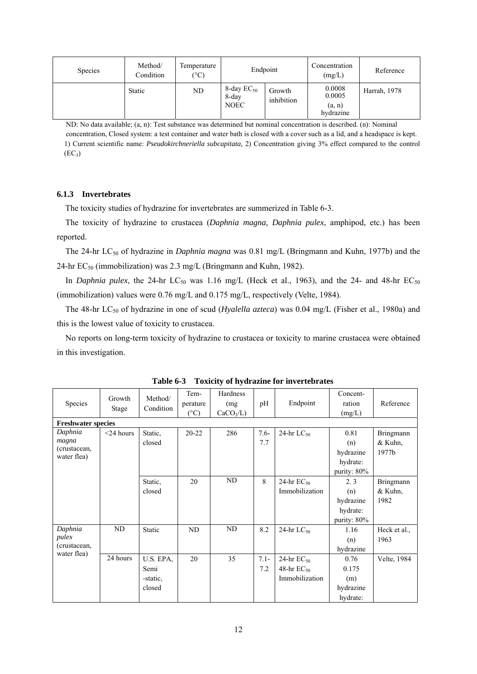| <b>Species</b> | Method/<br>Condition | Temperature<br>$(^{\circ}C)$ | Endpoint                                |                      | Concentration<br>(mg/L)                 | Reference    |
|----------------|----------------------|------------------------------|-----------------------------------------|----------------------|-----------------------------------------|--------------|
|                | <b>Static</b>        | ND                           | 8-day $EC_{50}$<br>8-day<br><b>NOEC</b> | Growth<br>inhibition | 0.0008<br>0.0005<br>(a, n)<br>hydrazine | Harrah, 1978 |

ND: No data available; (a, n): Test substance was determined but nominal concentration is described. (n): Nominal concentration, Closed system: a test container and water bath is closed with a cover such as a lid, and a headspace is kept. 1) Current scientific name: *Pseudokirchneriella subcapitata,* 2) Concentration giving 3% effect compared to the control  $(EC<sub>3</sub>)$ 

### **6.1.3 Invertebrates**

The toxicity studies of hydrazine for invertebrates are summerized in Table 6-3.

The toxicity of hydrazine to crustacea (*Daphnia magna, Daphnia pulex*, amphipod, etc.) has been reported.

The 24-hr LC<sub>50</sub> of hydrazine in *Daphnia magna* was 0.81 mg/L (Bringmann and Kuhn, 1977b) and the 24-hr  $EC_{50}$  (immobilization) was 2.3 mg/L (Bringmann and Kuhn, 1982).

In *Daphnia pulex*, the 24-hr LC<sub>50</sub> was 1.16 mg/L (Heck et al., 1963), and the 24- and 48-hr EC<sub>50</sub> (immobilization) values were 0.76 mg/L and 0.175 mg/L, respectively (Velte, 1984).

The 48-hr LC<sub>50</sub> of hydrazine in one of scud (*Hyalella azteca*) was 0.04 mg/L (Fisher et al., 1980a) and this is the lowest value of toxicity to crustacea.

No reports on long-term toxicity of hydrazine to crustacea or toxicity to marine crustacea were obtained in this investigation.

| Species                     | Growth<br><b>Stage</b> | Method/<br>Condition | Tem-<br>perature<br>$(^{\circ}C)$ | Hardness<br>(mg<br>$CaCO3/L$ ) | pH      | Endpoint        | Concent-<br>ration<br>(mg/L) | Reference        |
|-----------------------------|------------------------|----------------------|-----------------------------------|--------------------------------|---------|-----------------|------------------------------|------------------|
| <b>Freshwater species</b>   |                        |                      |                                   |                                |         |                 |                              |                  |
| Daphnia                     | $<$ 24 hours           | Static,              | $20 - 22$                         | 286                            | $7.6 -$ | 24-hr $LC_{50}$ | 0.81                         | <b>Bringmann</b> |
| magna                       |                        | closed               |                                   |                                | 7.7     |                 | (n)                          | & Kuhn,          |
| (crustacean,<br>water flea) |                        |                      |                                   |                                |         |                 | hydrazine                    | 1977b            |
|                             |                        |                      |                                   |                                |         |                 | hydrate:                     |                  |
|                             |                        |                      |                                   |                                |         |                 | purity: 80%                  |                  |
|                             |                        | Static,              | 20                                | ND                             | 8       | 24-hr $EC_{50}$ | 2.3                          | Bringmann        |
|                             |                        | closed               |                                   |                                |         | Immobilization  | (n)                          | & Kuhn,          |
|                             |                        |                      |                                   |                                |         |                 | hydrazine                    | 1982             |
|                             |                        |                      |                                   |                                |         |                 | hydrate:                     |                  |
|                             |                        |                      |                                   |                                |         |                 | purity: 80%                  |                  |
| Daphnia                     | ND                     | <b>Static</b>        | ND                                | ND                             | 8.2     | 24-hr $LC_{50}$ | 1.16                         | Heck et al.,     |
| pulex                       |                        |                      |                                   |                                |         |                 | (n)                          | 1963             |
| (crustacean,                |                        |                      |                                   |                                |         |                 | hydrazine                    |                  |
| water flea)                 | 24 hours               | U.S. EPA,            | 20                                | 35                             | $7.1 -$ | 24-hr $EC_{50}$ | 0.76                         | Velte, 1984      |
|                             |                        | Semi                 |                                   |                                | 7.2     | 48-hr $EC_{50}$ | 0.175                        |                  |
|                             |                        | -static,             |                                   |                                |         | Immobilization  | (m)                          |                  |
|                             |                        | closed               |                                   |                                |         |                 | hydrazine                    |                  |
|                             |                        |                      |                                   |                                |         |                 | hydrate:                     |                  |

**Table 6-3 Toxicity of hydrazine for invertebrates**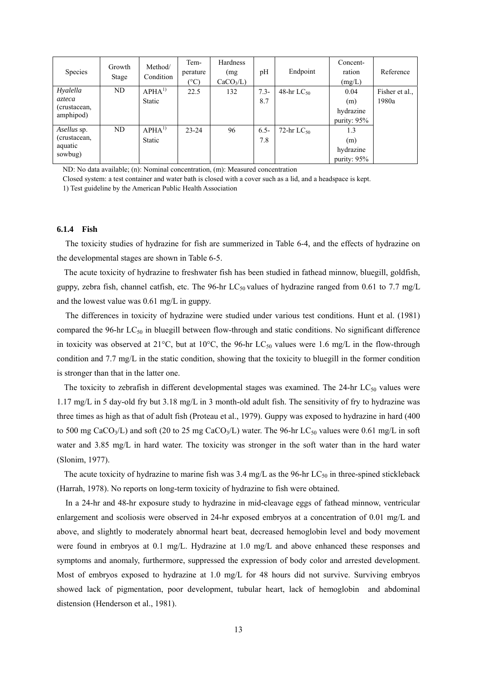| Species                   | Growth<br>Stage | Method/<br>Condition | Tem-<br>perature<br>(°C) | Hardness<br>(mg)<br>$CaCO3/L$ ) | pH      | Endpoint        | Concent-<br>ration<br>(mg/L) | Reference      |
|---------------------------|-----------------|----------------------|--------------------------|---------------------------------|---------|-----------------|------------------------------|----------------|
| Hyalella                  | ND              | APHA <sup>1</sup>    | 22.5                     | 132                             | $7.3 -$ | 48-hr $LC_{50}$ | 0.04                         | Fisher et al., |
| azteca                    |                 | Static               |                          |                                 | 8.7     |                 | (m)                          | 1980a          |
| (crustacean,<br>amphipod) |                 |                      |                          |                                 |         |                 | hydrazine                    |                |
|                           |                 |                      |                          |                                 |         |                 | purity: $95\%$               |                |
| Asellus sp.               | ND              | APHA <sup>1</sup>    | $23 - 24$                | 96                              | $6.5 -$ | 72-hr $LC_{50}$ | 1.3                          |                |
| (crustacean,              |                 | Static               |                          |                                 | 7.8     |                 | (m)                          |                |
| aquatic<br>sowbug)        |                 |                      |                          |                                 |         |                 | hydrazine                    |                |
|                           |                 |                      |                          |                                 |         |                 | purity: $95\%$               |                |

ND: No data available; (n): Nominal concentration, (m): Measured concentration

Closed system: a test container and water bath is closed with a cover such as a lid, and a headspace is kept.

1) Test guideline by the American Public Health Association

### **6.1.4 Fish**

The toxicity studies of hydrazine for fish are summerized in Table 6-4, and the effects of hydrazine on the developmental stages are shown in Table 6-5.

The acute toxicity of hydrazine to freshwater fish has been studied in fathead minnow, bluegill, goldfish, guppy, zebra fish, channel catfish, etc. The 96-hr  $LC_{50}$  values of hydrazine ranged from 0.61 to 7.7 mg/L and the lowest value was 0.61 mg/L in guppy.

The differences in toxicity of hydrazine were studied under various test conditions. Hunt et al. (1981) compared the 96-hr  $LC_{50}$  in bluegill between flow-through and static conditions. No significant difference in toxicity was observed at 21 $^{\circ}$ C, but at 10 $^{\circ}$ C, the 96-hr LC<sub>50</sub> values were 1.6 mg/L in the flow-through condition and 7.7 mg/L in the static condition, showing that the toxicity to bluegill in the former condition is stronger than that in the latter one.

The toxicity to zebrafish in different developmental stages was examined. The 24-hr  $LC_{50}$  values were 1.17 mg/L in 5 day-old fry but 3.18 mg/L in 3 month-old adult fish. The sensitivity of fry to hydrazine was three times as high as that of adult fish (Proteau et al., 1979). Guppy was exposed to hydrazine in hard (400 to 500 mg CaCO<sub>3</sub>/L) and soft (20 to 25 mg CaCO<sub>3</sub>/L) water. The 96-hr LC<sub>50</sub> values were 0.61 mg/L in soft water and 3.85 mg/L in hard water. The toxicity was stronger in the soft water than in the hard water (Slonim, 1977).

The acute toxicity of hydrazine to marine fish was  $3.4 \text{ mg/L}$  as the 96-hr LC<sub>50</sub> in three-spined stickleback (Harrah, 1978). No reports on long-term toxicity of hydrazine to fish were obtained.

In a 24-hr and 48-hr exposure study to hydrazine in mid-cleavage eggs of fathead minnow, ventricular enlargement and scoliosis were observed in 24-hr exposed embryos at a concentration of 0.01 mg/L and above, and slightly to moderately abnormal heart beat, decreased hemoglobin level and body movement were found in embryos at 0.1 mg/L. Hydrazine at 1.0 mg/L and above enhanced these responses and symptoms and anomaly, furthermore, suppressed the expression of body color and arrested development. Most of embryos exposed to hydrazine at 1.0 mg/L for 48 hours did not survive. Surviving embryos showed lack of pigmentation, poor development, tubular heart, lack of hemoglobin and abdominal distension (Henderson et al., 1981).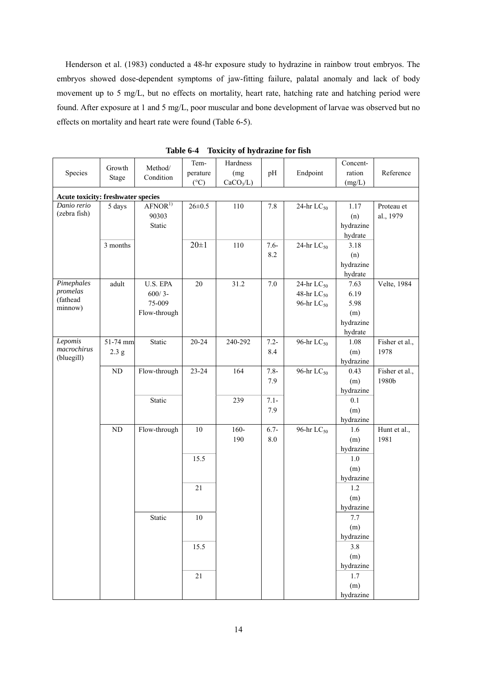Henderson et al. (1983) conducted a 48-hr exposure study to hydrazine in rainbow trout embryos. The embryos showed dose-dependent symptoms of jaw-fitting failure, palatal anomaly and lack of body movement up to 5 mg/L, but no effects on mortality, heart rate, hatching rate and hatching period were found. After exposure at 1 and 5 mg/L, poor muscular and bone development of larvae was observed but no effects on mortality and heart rate were found (Table 6-5).

|                                           | Growth       | Method/            | Tem-          | Hardness              |         |                        | Concent-  |                |
|-------------------------------------------|--------------|--------------------|---------------|-----------------------|---------|------------------------|-----------|----------------|
| Species                                   |              | Condition          | perature      | (mg                   | pH      | Endpoint               | ration    | Reference      |
|                                           | <b>Stage</b> |                    | $(^{\circ}C)$ | CaCO <sub>3</sub> /L) |         |                        | (mg/L)    |                |
| <b>Acute toxicity: freshwater species</b> |              |                    |               |                       |         |                        |           |                |
| Danio rerio                               | 5 days       | AFNOR <sup>1</sup> | $26 \pm 0.5$  | 110                   | 7.8     | 24-hr $LC_{50}$        | 1.17      | Proteau et     |
| (zebra fish)                              |              | 90303              |               |                       |         |                        | (n)       | al., 1979      |
|                                           |              | Static             |               |                       |         |                        | hydrazine |                |
|                                           |              |                    |               |                       |         |                        | hydrate   |                |
|                                           | 3 months     |                    | $20 \pm 1$    | 110                   | $7.6 -$ | 24-hr $LC_{50}$        | 3.18      |                |
|                                           |              |                    |               |                       | 8.2     |                        | (n)       |                |
|                                           |              |                    |               |                       |         |                        | hydrazine |                |
|                                           |              |                    |               |                       |         |                        | hydrate   |                |
| $P$ <i>imephales</i>                      | adult        | U.S. EPA           | $20\,$        | 31.2                  | $7.0\,$ | 24-hr $LC_{50}$        | 7.63      | Velte, 1984    |
| promelas                                  |              | $600/3-$           |               |                       |         | 48-hr $LC_{50}$        | 6.19      |                |
| (fathead                                  |              | 75-009             |               |                       |         | 96-hr $LC_{50}$        | 5.98      |                |
| minnow)                                   |              | Flow-through       |               |                       |         |                        | (m)       |                |
|                                           |              |                    |               |                       |         |                        | hydrazine |                |
|                                           |              |                    |               |                       |         |                        | hydrate   |                |
| Lepomis                                   | 51-74 mm     | Static             | $20 - 24$     | 240-292               | $7.2 -$ | 96-hr LC <sub>50</sub> | 1.08      | Fisher et al., |
| macrochirus                               | 2.3 g        |                    |               |                       | 8.4     |                        | (m)       | 1978           |
| (bluegill)                                |              |                    |               |                       |         |                        | hydrazine |                |
|                                           | $\rm ND$     | Flow-through       | 23-24         | 164                   | $7.8 -$ | 96-hr $LC_{50}$        | 0.43      | Fisher et al., |
|                                           |              |                    |               |                       | 7.9     |                        | (m)       | 1980b          |
|                                           |              |                    |               |                       |         |                        | hydrazine |                |
|                                           |              | Static             |               | 239                   | $7.1 -$ |                        | 0.1       |                |
|                                           |              |                    |               |                       | 7.9     |                        | (m)       |                |
|                                           |              |                    |               |                       |         |                        | hydrazine |                |
|                                           | ND           | Flow-through       | $10\,$        | $160 -$               | $6.7 -$ | 96-hr LC <sub>50</sub> | 1.6       | Hunt et al.,   |
|                                           |              |                    |               | 190                   | 8.0     |                        | (m)       | 1981           |
|                                           |              |                    |               |                       |         |                        | hydrazine |                |
|                                           |              |                    | 15.5          |                       |         |                        | $1.0\,$   |                |
|                                           |              |                    |               |                       |         |                        | (m)       |                |
|                                           |              |                    |               |                       |         |                        | hydrazine |                |
|                                           |              |                    | 21            |                       |         |                        | 1.2       |                |
|                                           |              |                    |               |                       |         |                        | (m)       |                |
|                                           |              |                    |               |                       |         |                        | hydrazine |                |
|                                           |              | Static             | $10\,$        |                       |         |                        | $7.7\,$   |                |
|                                           |              |                    |               |                       |         |                        | (m)       |                |
|                                           |              |                    |               |                       |         |                        | hydrazine |                |
|                                           |              |                    | 15.5          |                       |         |                        | 3.8       |                |
|                                           |              |                    |               |                       |         |                        | (m)       |                |
|                                           |              |                    |               |                       |         |                        | hydrazine |                |
|                                           |              |                    | $21\,$        |                       |         |                        | $1.7$     |                |
|                                           |              |                    |               |                       |         |                        | (m)       |                |
|                                           |              |                    |               |                       |         |                        | hydrazine |                |

**Table 6-4 Toxicity of hydrazine for fish**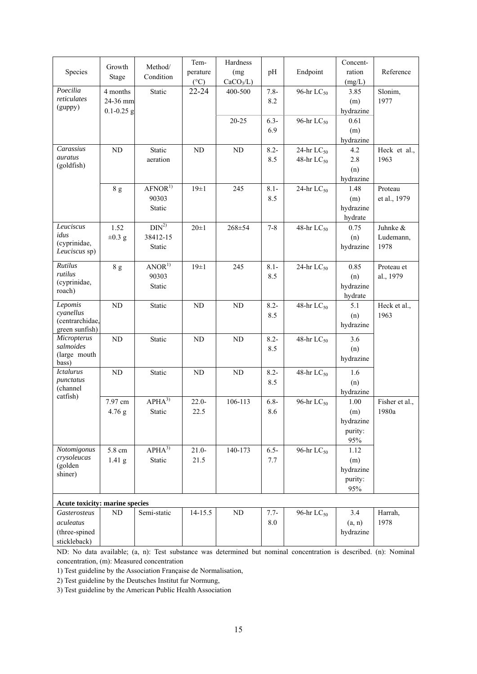|                                |                   |                      | Tem-            | Hardness              |         |                        | Concent-  |                |
|--------------------------------|-------------------|----------------------|-----------------|-----------------------|---------|------------------------|-----------|----------------|
| Species                        | Growth            | Method/<br>Condition | perature        | (mg                   | pH      | Endpoint               | ration    | Reference      |
|                                | Stage             |                      | $({}^{\circ}C)$ | CaCO <sub>3</sub> /L) |         |                        | (mg/L)    |                |
| Poecilia                       | 4 months          | Static               | $22 - 24$       | 400-500               | $7.8 -$ | 96-hr LC <sub>50</sub> | 3.85      | Slonim,        |
| reticulates                    | 24-36 mm          |                      |                 |                       | 8.2     |                        | (m)       | 1977           |
| (guppy)                        | $0.1 - 0.25$ g    |                      |                 |                       |         |                        | hydrazine |                |
|                                |                   |                      |                 | $20 - 25$             | $6.3 -$ | 96-hr LC <sub>50</sub> | 0.61      |                |
|                                |                   |                      |                 |                       | 6.9     |                        | (m)       |                |
|                                |                   |                      |                 |                       |         |                        | hydrazine |                |
| Carassius                      | ND                | Static               | $\rm ND$        | ND                    | $8.2 -$ | 24-hr $LC_{50}$        | 4.2       | Heck et al.,   |
| auratus<br>(goldfish)          |                   | aeration             |                 |                       | 8.5     | 48-hr $LC_{50}$        | 2.8       | 1963           |
|                                |                   |                      |                 |                       |         |                        | (n)       |                |
|                                |                   |                      |                 |                       |         |                        | hydrazine |                |
|                                | 8 g               | AFNOR <sup>1</sup>   | $19\pm1$        | 245                   | $8.1 -$ | 24-hr $LC_{50}$        | 1.48      | Proteau        |
|                                |                   | 90303                |                 |                       | 8.5     |                        | (m)       | et al., 1979   |
|                                |                   | Static               |                 |                       |         |                        | hydrazine |                |
|                                |                   |                      |                 |                       |         |                        | hydrate   |                |
| Leuciscus                      | 1.52              | DIN <sup>2</sup>     | $20 \pm 1$      | $268 + 54$            | $7 - 8$ | 48-hr $LC_{50}$        | 0.75      | Juhnke &       |
| idus<br>(cyprinidae,           | $\pm 0.3$ g       | 38412-15             |                 |                       |         |                        | (n)       | Ludemann,      |
| Leuciscus sp)                  |                   | Static               |                 |                       |         |                        | hydrazine | 1978           |
|                                |                   |                      |                 |                       |         |                        |           |                |
| Rutilus<br>rutilus             | 8g                | ANOR <sup>1</sup>    | $19\pm1$        | 245                   | $8.1 -$ | 24-hr $LC_{50}$        | 0.85      | Proteau et     |
| (cyprinidae,                   |                   | 90303                |                 |                       | 8.5     |                        | (n)       | al., 1979      |
| roach)                         |                   | Static               |                 |                       |         |                        | hydrazine |                |
|                                |                   |                      |                 |                       |         |                        | hydrate   |                |
| Lepomis<br>cyanellus           | $\rm ND$          | Static               | ND              | ${\rm ND}$            | $8.2 -$ | 48-hr $LC_{50}$        | 5.1       | Heck et al.,   |
| (centrarchidae,                |                   |                      |                 |                       | 8.5     |                        | (n)       | 1963           |
| green sunfish)                 |                   |                      |                 |                       |         |                        | hydrazine |                |
| Micropterus                    | ND                | Static               | ND              | ND                    | $8.2 -$ | 48-hr $LC_{50}$        | 3.6       |                |
| salmoides                      |                   |                      |                 |                       | 8.5     |                        | (n)       |                |
| (large mouth                   |                   |                      |                 |                       |         |                        | hydrazine |                |
| bass)<br><b>Ictalurus</b>      | ND                | Static               | ND              | $\rm ND$              | $8.2 -$ | 48-hr $LC_{50}$        | 1.6       |                |
| punctatus                      |                   |                      |                 |                       | 8.5     |                        | (n)       |                |
| (channel                       |                   |                      |                 |                       |         |                        | hydrazine |                |
| catfish)                       | 7.97 cm           | $APHA^{3)}$          | $22.0 -$        | 106-113               | $6.8 -$ | 96-hr $LC_{50}$        | 1.00      | Fisher et al., |
|                                | 4.76 g            | Static               | 22.5            |                       | 8.6     |                        | (m)       | 1980a          |
|                                |                   |                      |                 |                       |         |                        | hydrazine |                |
|                                |                   |                      |                 |                       |         |                        | purity:   |                |
|                                |                   |                      |                 |                       |         |                        | 95%       |                |
| Notomigonus                    | 5.8 cm            | $APHA^{3)}$          | $21.0 -$        | 140-173               | $6.5 -$ | 96-hr $LC_{50}$        | 1.12      |                |
| crysoleucas                    | 1.41 <sub>g</sub> | Static               | 21.5            |                       | 7.7     |                        | (m)       |                |
| (golden                        |                   |                      |                 |                       |         |                        | hydrazine |                |
| shiner)                        |                   |                      |                 |                       |         |                        | purity:   |                |
|                                |                   |                      |                 |                       |         |                        | 95%       |                |
| Acute toxicity: marine species |                   |                      |                 |                       |         |                        |           |                |
| Gasterosteus                   | $\rm ND$          | Semi-static          | $14 - 15.5$     | $\rm ND$              | $7.7 -$ | 96-hr $LC_{50}$        | 3.4       | Harrah,        |
| aculeatus                      |                   |                      |                 |                       | $8.0\,$ |                        | (a, n)    | 1978           |
| (three-spined                  |                   |                      |                 |                       |         |                        | hydrazine |                |
| stickleback)                   |                   |                      |                 |                       |         |                        |           |                |

ND: No data available; (a, n): Test substance was determined but nominal concentration is described. (n): Nominal concentration, (m): Measured concentration

1) Test guideline by the Association Française de Normalisation,

2) Test guideline by the Deutsches Institut fur Normung,

3) Test guideline by the American Public Health Association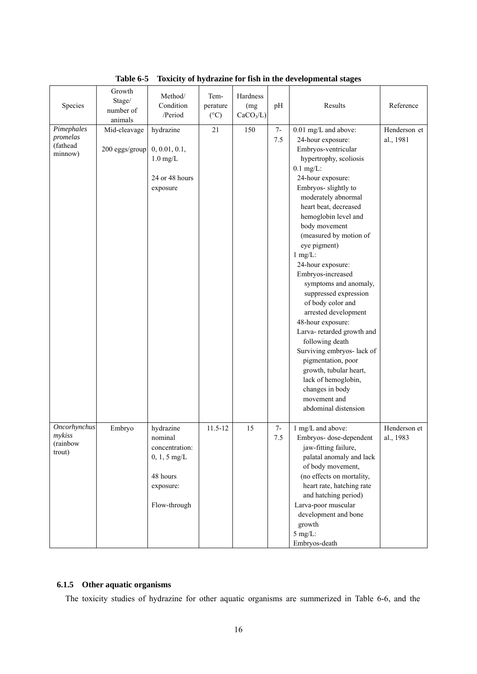| Species                                             | Growth<br>Stage/<br>number of<br>animals | Method/<br>Condition<br>/Period                                                                   | Tem-<br>perature<br>$(^{\circ}C)$ | Hardness<br>(mg<br>CaCO <sub>3</sub> /L) | pH          | Results                                                                                                                                                                                                                                                                                                                                                                                                                                                                                                                                                                                                                                                                              | Reference                 |
|-----------------------------------------------------|------------------------------------------|---------------------------------------------------------------------------------------------------|-----------------------------------|------------------------------------------|-------------|--------------------------------------------------------------------------------------------------------------------------------------------------------------------------------------------------------------------------------------------------------------------------------------------------------------------------------------------------------------------------------------------------------------------------------------------------------------------------------------------------------------------------------------------------------------------------------------------------------------------------------------------------------------------------------------|---------------------------|
| Pimephales<br>promelas<br>(fathead<br>minnow)       | Mid-cleavage<br>200 eggs/group           | hydrazine<br>0, 0.01, 0.1,<br>$1.0$ mg/L<br>24 or 48 hours<br>exposure                            | 21                                | 150                                      | $7-$<br>7.5 | 0.01 mg/L and above:<br>24-hour exposure:<br>Embryos-ventricular<br>hypertrophy, scoliosis<br>$0.1$ mg/L:<br>24-hour exposure:<br>Embryos- slightly to<br>moderately abnormal<br>heart beat, decreased<br>hemoglobin level and<br>body movement<br>(measured by motion of<br>eye pigment)<br>$1$ mg/L:<br>24-hour exposure:<br>Embryos-increased<br>symptoms and anomaly,<br>suppressed expression<br>of body color and<br>arrested development<br>48-hour exposure:<br>Larva-retarded growth and<br>following death<br>Surviving embryos- lack of<br>pigmentation, poor<br>growth, tubular heart,<br>lack of hemoglobin,<br>changes in body<br>movement and<br>abdominal distension | Henderson et<br>al., 1981 |
| <b>Oncorhynchus</b><br>mykiss<br>(rainbow<br>trout) | Embryo                                   | hydrazine<br>nominal<br>concentration:<br>$0, 1, 5$ mg/L<br>48 hours<br>exposure:<br>Flow-through | $11.5 - 12$                       | 15                                       | $7-$<br>7.5 | 1 mg/L and above:<br>Embryos-dose-dependent<br>jaw-fitting failure,<br>palatal anomaly and lack<br>of body movement,<br>(no effects on mortality,<br>heart rate, hatching rate<br>and hatching period)<br>Larva-poor muscular<br>development and bone<br>growth<br>$5$ mg/L:<br>Embryos-death                                                                                                                                                                                                                                                                                                                                                                                        | Henderson et<br>al., 1983 |

**Table 6-5 Toxicity of hydrazine for fish in the developmental stages**

# **6.1.5 Other aquatic organisms**

The toxicity studies of hydrazine for other aquatic organisms are summerized in Table 6-6, and the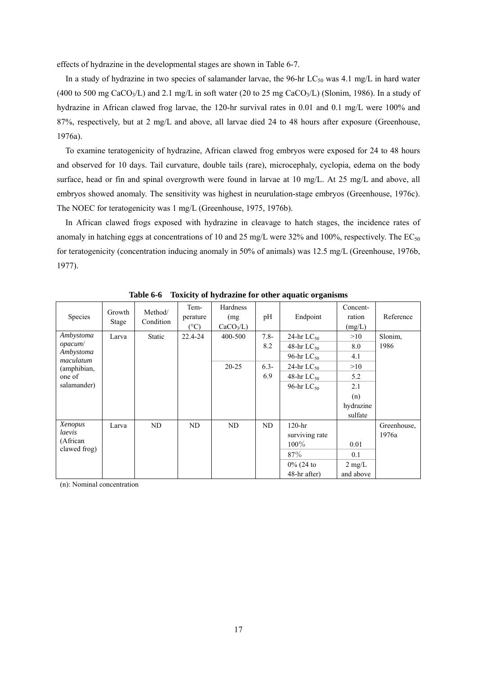effects of hydrazine in the developmental stages are shown in Table 6-7.

In a study of hydrazine in two species of salamander larvae, the 96-hr  $LC_{50}$  was 4.1 mg/L in hard water (400 to 500 mg CaCO<sub>3</sub>/L) and 2.1 mg/L in soft water (20 to 25 mg CaCO<sub>3</sub>/L) (Slonim, 1986). In a study of hydrazine in African clawed frog larvae, the 120-hr survival rates in 0.01 and 0.1 mg/L were 100% and 87%, respectively, but at 2 mg/L and above, all larvae died 24 to 48 hours after exposure (Greenhouse, 1976a).

To examine teratogenicity of hydrazine, African clawed frog embryos were exposed for 24 to 48 hours and observed for 10 days. Tail curvature, double tails (rare), microcephaly, cyclopia, edema on the body surface, head or fin and spinal overgrowth were found in larvae at 10 mg/L. At 25 mg/L and above, all embryos showed anomaly. The sensitivity was highest in neurulation-stage embryos (Greenhouse, 1976c). The NOEC for teratogenicity was 1 mg/L (Greenhouse, 1975, 1976b).

In African clawed frogs exposed with hydrazine in cleavage to hatch stages, the incidence rates of anomaly in hatching eggs at concentrations of 10 and 25 mg/L were 32% and 100%, respectively. The  $EC_{50}$ for teratogenicity (concentration inducing anomaly in 50% of animals) was 12.5 mg/L (Greenhouse, 1976b, 1977).

| Species                           | Growth<br>Stage | Method/<br>Condition | Tem-<br>perature<br>$(^{\circ}C)$ | Hardness<br>(mg)<br>$CaCO3/L$ ) | pH             | Endpoint                           | Concent-<br>ration<br>(mg/L) | Reference       |
|-----------------------------------|-----------------|----------------------|-----------------------------------|---------------------------------|----------------|------------------------------------|------------------------------|-----------------|
| Ambystoma<br>opacum/<br>Ambystoma | Larva           | Static               | 22.4-24                           | 400-500                         | $7.8 -$<br>8.2 | 24-hr $LC_{50}$<br>48-hr $LC_{50}$ | >10<br>8.0                   | Slonim.<br>1986 |
| maculatum                         |                 |                      |                                   | $20 - 25$                       | $6.3 -$        | 96-hr $LC_{50}$<br>24-hr $LC_{50}$ | 4.1<br>>10                   |                 |
| (amphibian,<br>one of             |                 |                      |                                   |                                 | 6.9            | 48-hr $LC_{50}$                    | 5.2                          |                 |
| salamander)                       |                 |                      |                                   |                                 |                | 96-hr $LC_{50}$                    | 2.1                          |                 |
|                                   |                 |                      |                                   |                                 |                |                                    | (n)                          |                 |
|                                   |                 |                      |                                   |                                 |                |                                    | hydrazine                    |                 |
|                                   |                 |                      |                                   |                                 |                |                                    | sulfate                      |                 |
| Xenopus                           | Larva           | ND                   | ND                                | ND                              | ND             | $120-hr$                           |                              | Greenhouse,     |
| laevis                            |                 |                      |                                   |                                 |                | surviving rate                     |                              | 1976a           |
| (African<br>clawed frog)          |                 |                      |                                   |                                 |                | $100\%$                            | 0.01                         |                 |
|                                   |                 |                      |                                   |                                 |                | 87%                                | 0.1                          |                 |
|                                   |                 |                      |                                   |                                 |                | $0\%$ (24 to                       | $2 \text{ mg/L}$             |                 |
|                                   |                 |                      |                                   |                                 |                | 48-hr after)                       | and above                    |                 |

**Table 6-6 Toxicity of hydrazine for other aquatic organisms**

(n): Nominal concentration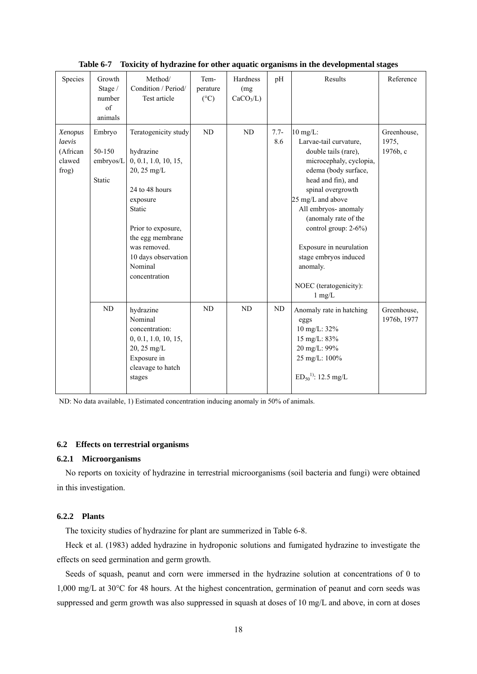| Species                                          | Growth<br>Stage /<br>number<br>$\sigma$ f<br>animals | Method/<br>Condition / Period/<br>Test article                                                                                                                                                                                | Tem-<br>perature<br>$(^{\circ}C)$ | Hardness<br>(mg)<br>CaCO <sub>3</sub> /L) | pH             | Results                                                                                                                                                                                                                                                                                                                                                                | Reference                        |
|--------------------------------------------------|------------------------------------------------------|-------------------------------------------------------------------------------------------------------------------------------------------------------------------------------------------------------------------------------|-----------------------------------|-------------------------------------------|----------------|------------------------------------------------------------------------------------------------------------------------------------------------------------------------------------------------------------------------------------------------------------------------------------------------------------------------------------------------------------------------|----------------------------------|
| Xenopus<br>laevis<br>(African<br>clawed<br>frog) | Embryo<br>50-150<br>embryos/L<br>Static              | Teratogenicity study<br>hydrazine<br>0, 0.1, 1.0, 10, 15,<br>20, 25 mg/L<br>24 to 48 hours<br>exposure<br>Static<br>Prior to exposure,<br>the egg membrane<br>was removed.<br>10 days observation<br>Nominal<br>concentration | ND                                | ND                                        | $7.7 -$<br>8.6 | $10 \text{ mg/L}$ :<br>Larvae-tail curvature,<br>double tails (rare),<br>microcephaly, cyclopia,<br>edema (body surface,<br>head and fin), and<br>spinal overgrowth<br>25 mg/L and above<br>All embryos- anomaly<br>(anomaly rate of the<br>control group: 2-6%)<br>Exposure in neurulation<br>stage embryos induced<br>anomaly.<br>NOEC (teratogenicity):<br>$1$ mg/L | Greenhouse,<br>1975,<br>1976b, c |
|                                                  | ${\rm ND}$                                           | hydrazine<br>Nominal<br>concentration:<br>0, 0.1, 1.0, 10, 15,<br>20, 25 mg/L<br>Exposure in<br>cleavage to hatch<br>stages                                                                                                   | ND                                | ND                                        | ND             | Anomaly rate in hatching<br>eggs<br>10 mg/L: 32%<br>15 mg/L: 83%<br>20 mg/L: 99%<br>25 mg/L: 100%<br>$ED_{50}^{11}$ : 12.5 mg/L                                                                                                                                                                                                                                        | Greenhouse,<br>1976b, 1977       |

**Table 6-7 Toxicity of hydrazine for other aquatic organisms in the developmental stages** 

ND: No data available, 1) Estimated concentration inducing anomaly in 50% of animals.

#### **6.2 Effects on terrestrial organisms**

#### **6.2.1 Microorganisms**

No reports on toxicity of hydrazine in terrestrial microorganisms (soil bacteria and fungi) were obtained in this investigation.

# **6.2.2 Plants**

The toxicity studies of hydrazine for plant are summerized in Table 6-8.

Heck et al. (1983) added hydrazine in hydroponic solutions and fumigated hydrazine to investigate the effects on seed germination and germ growth.

Seeds of squash, peanut and corn were immersed in the hydrazine solution at concentrations of 0 to 1,000 mg/L at 30°C for 48 hours. At the highest concentration, germination of peanut and corn seeds was suppressed and germ growth was also suppressed in squash at doses of 10 mg/L and above, in corn at doses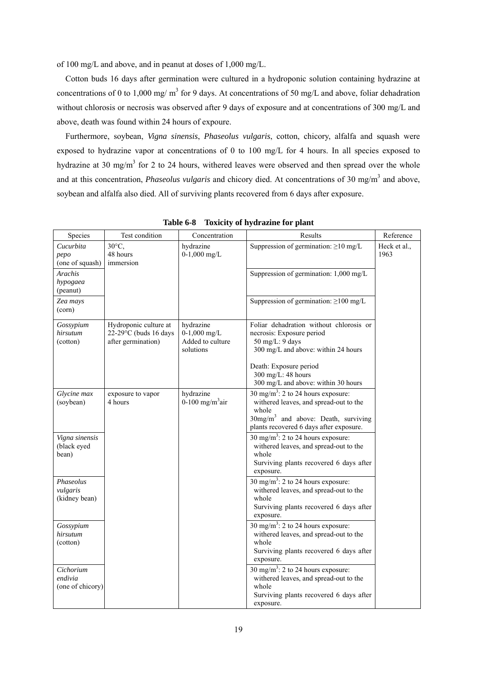of 100 mg/L and above, and in peanut at doses of 1,000 mg/L.

Cotton buds 16 days after germination were cultured in a hydroponic solution containing hydrazine at concentrations of 0 to 1,000 mg/  $m<sup>3</sup>$  for 9 days. At concentrations of 50 mg/L and above, foliar dehadration without chlorosis or necrosis was observed after 9 days of exposure and at concentrations of 300 mg/L and above, death was found within 24 hours of expoure.

Furthermore, soybean, *Vigna sinensis*, *Phaseolus vulgaris*, cotton, chicory, alfalfa and squash were exposed to hydrazine vapor at concentrations of 0 to 100 mg/L for 4 hours. In all species exposed to hydrazine at 30 mg/m<sup>3</sup> for 2 to 24 hours, withered leaves were observed and then spread over the whole and at this concentration, *Phaseolus vulgaris* and chicory died. At concentrations of 30 mg/m<sup>3</sup> and above, soybean and alfalfa also died. All of surviving plants recovered from 6 days after exposure.

| Species                                  | Test condition                                                          | Concentration                                                | Results                                                                                                                                                                                                               | Reference            |
|------------------------------------------|-------------------------------------------------------------------------|--------------------------------------------------------------|-----------------------------------------------------------------------------------------------------------------------------------------------------------------------------------------------------------------------|----------------------|
| Cucurbita<br>pepo<br>(one of squash)     | $30^{\circ}$ C,<br>48 hours<br>immersion                                | hydrazine<br>$0-1,000$ mg/L                                  | Suppression of germination: $\geq 10$ mg/L                                                                                                                                                                            | Heck et al.,<br>1963 |
| <b>Arachis</b><br>hypogaea<br>(peanut)   |                                                                         |                                                              | Suppression of germination: 1,000 mg/L                                                                                                                                                                                |                      |
| Zea mays<br>(corn)                       |                                                                         |                                                              | Suppression of germination: $\geq$ 100 mg/L                                                                                                                                                                           |                      |
| Gossypium<br>hirsutum<br>(cotton)        | Hydroponic culture at<br>$22-29$ °C (buds 16 days<br>after germination) | hydrazine<br>$0-1,000$ mg/L<br>Added to culture<br>solutions | Foliar dehadration without chlorosis or<br>necrosis: Exposure period<br>50 mg/L: 9 days<br>300 mg/L and above: within 24 hours<br>Death: Exposure period<br>300 mg/L: 48 hours<br>300 mg/L and above: within 30 hours |                      |
| Glycine max<br>(soybean)                 | exposure to vapor<br>4 hours                                            | hydrazine<br>0-100 mg/m <sup>3</sup> air                     | 30 mg/m <sup>3</sup> : 2 to 24 hours exposure:<br>withered leaves, and spread-out to the<br>whole<br>30mg/m <sup>3</sup> and above: Death, surviving<br>plants recovered 6 days after exposure.                       |                      |
| Vigna sinensis<br>(black eyed<br>bean)   |                                                                         |                                                              | 30 mg/m <sup>3</sup> : 2 to 24 hours exposure:<br>withered leaves, and spread-out to the<br>whole<br>Surviving plants recovered 6 days after<br>exposure.                                                             |                      |
| Phaseolus<br>vulgaris<br>(kidney bean)   |                                                                         |                                                              | 30 mg/m <sup>3</sup> : 2 to 24 hours exposure:<br>withered leaves, and spread-out to the<br>whole<br>Surviving plants recovered 6 days after<br>exposure.                                                             |                      |
| Gossypium<br>hirsutum<br>(cotton)        |                                                                         |                                                              | 30 mg/m <sup>3</sup> : 2 to 24 hours exposure:<br>withered leaves, and spread-out to the<br>whole<br>Surviving plants recovered 6 days after<br>exposure.                                                             |                      |
| Cichorium<br>endivia<br>(one of chicory) |                                                                         |                                                              | $\frac{1}{30}$ mg/m <sup>3</sup> : 2 to 24 hours exposure:<br>withered leaves, and spread-out to the<br>whole<br>Surviving plants recovered 6 days after<br>exposure.                                                 |                      |

**Table 6-8 Toxicity of hydrazine for plant**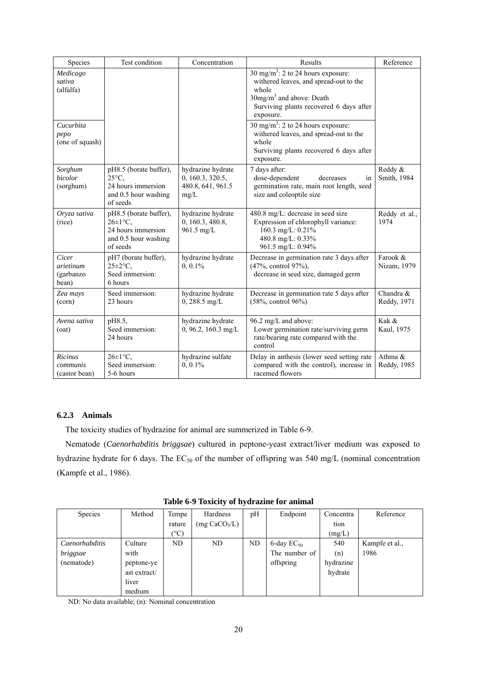| Species                                                                 | Test condition                                                                                         | Concentration                                                      | Results                                                                                                                                                                                                                                                                                                                                                       | Reference                |
|-------------------------------------------------------------------------|--------------------------------------------------------------------------------------------------------|--------------------------------------------------------------------|---------------------------------------------------------------------------------------------------------------------------------------------------------------------------------------------------------------------------------------------------------------------------------------------------------------------------------------------------------------|--------------------------|
| Medicago<br>sativa<br>(alfalfa)<br>Cucurbita<br>pepo<br>(one of squash) |                                                                                                        |                                                                    | 30 mg/m <sup>3</sup> : 2 to 24 hours exposure:<br>withered leaves, and spread-out to the<br>whole<br>30mg/m <sup>3</sup> and above: Death<br>Surviving plants recovered 6 days after<br>exposure.<br>$30 \text{ mg/m}^3$ : 2 to 24 hours exposure:<br>withered leaves, and spread-out to the<br>whole<br>Surviving plants recovered 6 days after<br>exposure. |                          |
| Sorghum<br>bicolor<br>(sorghum)                                         | pH8.5 (borate buffer),<br>$25^{\circ}$ C.<br>24 hours immersion<br>and 0.5 hour washing<br>of seeds    | hydrazine hydrate<br>0, 160.3, 320.5,<br>480.8, 641, 961.5<br>mg/L | 7 days after:<br>dose-dependent<br>decreases<br>in<br>germination rate, main root length, seed<br>size and coleoptile size                                                                                                                                                                                                                                    | Reddy &<br>Smith, 1984   |
| Oryza sativa<br>(rice)                                                  | pH8.5 (borate buffer),<br>$26\pm1\degree$ C.<br>24 hours immersion<br>and 0.5 hour washing<br>of seeds | hydrazine hydrate<br>0, 160.3, 480.8,<br>961.5 mg/L                | 480.8 mg/L: decrease in seed size<br>Expression of chlorophyll variance:<br>160.3 mg/L: 0.21%<br>480.8 mg/L: 0.33%<br>961.5 mg/L: 0.94%                                                                                                                                                                                                                       | Reddy et al.,<br>1974    |
| Cicer<br>arietinum<br>(garbanzo<br>bean)                                | pH7 (borate buffer),<br>$25 \pm 2$ °C,<br>Seed immersion:<br>6 hours                                   | hydrazine hydrate<br>$0, 0.1\%$                                    | Decrease in germination rate 3 days after<br>(47%, control 97%),<br>decrease in seed size, damaged germ                                                                                                                                                                                                                                                       | Farook &<br>Nizam, 1979  |
| Zea mays<br>(corn)                                                      | Seed immersion:<br>23 hours                                                                            | hydrazine hydrate<br>$0, 288.5$ mg/L                               | Decrease in germination rate 5 days after<br>$(58\% , \text{control } 96\%)$                                                                                                                                                                                                                                                                                  | Chandra &<br>Reddy, 1971 |
| Avena sativa<br>(oat)                                                   | pH8.5,<br>Seed immersion:<br>24 hours                                                                  | hydrazine hydrate<br>$0, 96.2, 160.3$ mg/L                         | 96.2 mg/L and above:<br>Lower germination rate/surviving germ<br>rate/bearing rate compared with the<br>control                                                                                                                                                                                                                                               | Kak &<br>Kaul, 1975      |
| <b>Ricinus</b><br>communis<br>(castor bean)                             | $26 \pm 1$ °C,<br>Seed immersion:<br>5-6 hours                                                         | hydrazine sulfate<br>$0, 0.1\%$                                    | Delay in anthesis (lower seed setting rate<br>compared with the control), increase in<br>racemed flowers                                                                                                                                                                                                                                                      | Athma &<br>Reddy, 1985   |

## **6.2.3 Animals**

The toxicity studies of hydrazine for animal are summerized in Table 6-9.

Nematode (*Caenorhabditis briggsae*) cultured in peptone-yeast extract/liver medium was exposed to hydrazine hydrate for 6 days. The  $EC_{50}$  of the number of offspring was 540 mg/L (nominal concentration (Kampfe et al., 1986).

| Species        | Method       | Tempe  | Hardness                  | pH | Endpoint        | Concentra | Reference      |  |  |  |
|----------------|--------------|--------|---------------------------|----|-----------------|-----------|----------------|--|--|--|
|                |              | rature | (mg CaCO <sub>3</sub> /L) |    |                 | tion      |                |  |  |  |
|                |              | (°C)   |                           |    |                 | (mg/L)    |                |  |  |  |
| Caenorhabditis | Culture      | ND     | ND                        | ND | 6-day $EC_{50}$ | 540       | Kampfe et al., |  |  |  |
| briggsae       | with         |        |                           |    | The number of   | (n)       | 1986           |  |  |  |
| (nematode)     | peptone-ye   |        |                           |    | offspring       | hydrazine |                |  |  |  |
|                | ast extract/ |        |                           |    |                 | hydrate   |                |  |  |  |
|                | liver        |        |                           |    |                 |           |                |  |  |  |
|                | medium       |        |                           |    |                 |           |                |  |  |  |

**Table 6-9 Toxicity of hydrazine for animal** 

ND: No data available; (n): Nominal concentration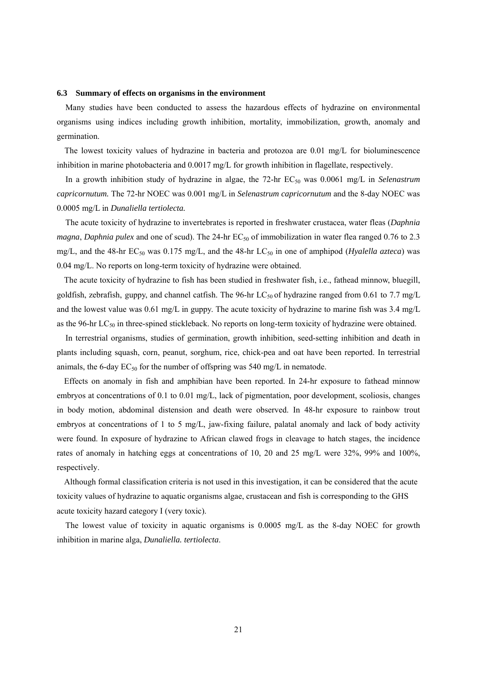#### **6.3 Summary of effects on organisms in the environment**

Many studies have been conducted to assess the hazardous effects of hydrazine on environmental organisms using indices including growth inhibition, mortality, immobilization, growth, anomaly and germination.

The lowest toxicity values of hydrazine in bacteria and protozoa are 0.01 mg/L for bioluminescence inhibition in marine photobacteria and 0.0017 mg/L for growth inhibition in flagellate, respectively.

In a growth inhibition study of hydrazine in algae, the 72-hr EC<sub>50</sub> was 0.0061 mg/L in *Selenastrum capricornutum.* The 72-hr NOEC was 0.001 mg/L in *Selenastrum capricornutum* and the 8-day NOEC was 0.0005 mg/L in *Dunaliella tertiolecta.*

The acute toxicity of hydrazine to invertebrates is reported in freshwater crustacea, water fleas (*Daphnia magna*, *Daphnia pulex* and one of scud). The 24-hr EC<sub>50</sub> of immobilization in water flea ranged 0.76 to 2.3 mg/L, and the 48-hr EC<sub>50</sub> was 0.175 mg/L, and the 48-hr LC<sub>50</sub> in one of amphipod (*Hyalella azteca*) was 0.04 mg/L. No reports on long-term toxicity of hydrazine were obtained.

The acute toxicity of hydrazine to fish has been studied in freshwater fish, i.e., fathead minnow, bluegill, goldfish, zebrafish, guppy, and channel catfish. The 96-hr  $LC_{50}$  of hydrazine ranged from 0.61 to 7.7 mg/L and the lowest value was 0.61 mg/L in guppy. The acute toxicity of hydrazine to marine fish was 3.4 mg/L as the 96-hr LC<sub>50</sub> in three-spined stickleback. No reports on long-term toxicity of hydrazine were obtained.

In terrestrial organisms, studies of germination, growth inhibition, seed-setting inhibition and death in plants including squash, corn, peanut, sorghum, rice, chick-pea and oat have been reported. In terrestrial animals, the 6-day  $EC_{50}$  for the number of offspring was 540 mg/L in nematode.

Effects on anomaly in fish and amphibian have been reported. In 24-hr exposure to fathead minnow embryos at concentrations of 0.1 to 0.01 mg/L, lack of pigmentation, poor development, scoliosis, changes in body motion, abdominal distension and death were observed. In 48-hr exposure to rainbow trout embryos at concentrations of 1 to 5 mg/L, jaw-fixing failure, palatal anomaly and lack of body activity were found. In exposure of hydrazine to African clawed frogs in cleavage to hatch stages, the incidence rates of anomaly in hatching eggs at concentrations of 10, 20 and 25 mg/L were 32%, 99% and 100%, respectively.

Although formal classification criteria is not used in this investigation, it can be considered that the acute toxicity values of hydrazine to aquatic organisms algae, crustacean and fish is corresponding to the GHS acute toxicity hazard category I (very toxic).

The lowest value of toxicity in aquatic organisms is 0.0005 mg/L as the 8-day NOEC for growth inhibition in marine alga, *Dunaliella. tertiolecta*.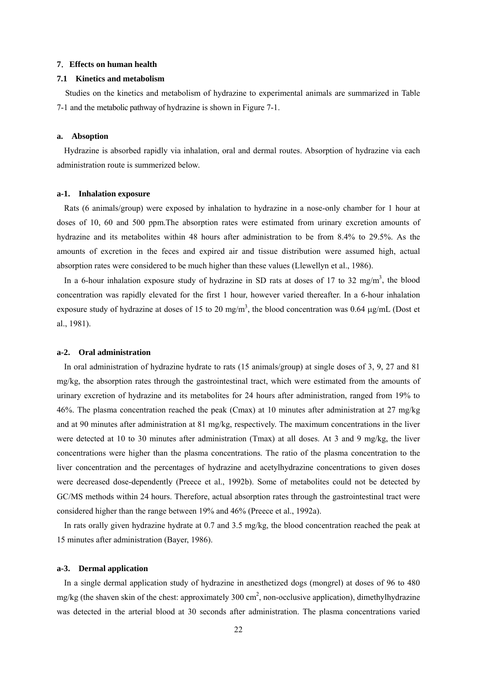#### **7**.**Effects on human health**

#### **7.1 Kinetics and metabolism**

Studies on the kinetics and metabolism of hydrazine to experimental animals are summarized in Table 7-1 and the metabolic pathway of hydrazine is shown in Figure 7-1.

#### **a. Absoption**

Hydrazine is absorbed rapidly via inhalation, oral and dermal routes. Absorption of hydrazine via each administration route is summerized below.

#### **a-1. Inhalation exposure**

Rats (6 animals/group) were exposed by inhalation to hydrazine in a nose-only chamber for 1 hour at doses of 10, 60 and 500 ppm.The absorption rates were estimated from urinary excretion amounts of hydrazine and its metabolites within 48 hours after administration to be from 8.4% to 29.5%. As the amounts of excretion in the feces and expired air and tissue distribution were assumed high, actual absorption rates were considered to be much higher than these values (Llewellyn et al., 1986).

In a 6-hour inhalation exposure study of hydrazine in SD rats at doses of 17 to 32 mg/m<sup>3</sup>, the blood concentration was rapidly elevated for the first 1 hour, however varied thereafter. In a 6-hour inhalation exposure study of hydrazine at doses of 15 to 20 mg/m<sup>3</sup>, the blood concentration was 0.64  $\mu$ g/mL (Dost et al., 1981).

#### **a-2. Oral administration**

In oral administration of hydrazine hydrate to rats (15 animals/group) at single doses of 3, 9, 27 and 81 mg/kg, the absorption rates through the gastrointestinal tract, which were estimated from the amounts of urinary excretion of hydrazine and its metabolites for 24 hours after administration, ranged from 19% to 46%. The plasma concentration reached the peak (Cmax) at 10 minutes after administration at 27 mg/kg and at 90 minutes after administration at 81 mg/kg, respectively. The maximum concentrations in the liver were detected at 10 to 30 minutes after administration (Tmax) at all doses. At 3 and 9 mg/kg, the liver concentrations were higher than the plasma concentrations. The ratio of the plasma concentration to the liver concentration and the percentages of hydrazine and acetylhydrazine concentrations to given doses were decreased dose-dependently (Preece et al., 1992b). Some of metabolites could not be detected by GC/MS methods within 24 hours. Therefore, actual absorption rates through the gastrointestinal tract were considered higher than the range between 19% and 46% (Preece et al., 1992a).

In rats orally given hydrazine hydrate at 0.7 and 3.5 mg/kg, the blood concentration reached the peak at 15 minutes after administration (Bayer, 1986).

#### **a-3. Dermal application**

In a single dermal application study of hydrazine in anesthetized dogs (mongrel) at doses of 96 to 480 mg/kg (the shaven skin of the chest: approximately 300 cm<sup>2</sup>, non-occlusive application), dimethylhydrazine was detected in the arterial blood at 30 seconds after administration. The plasma concentrations varied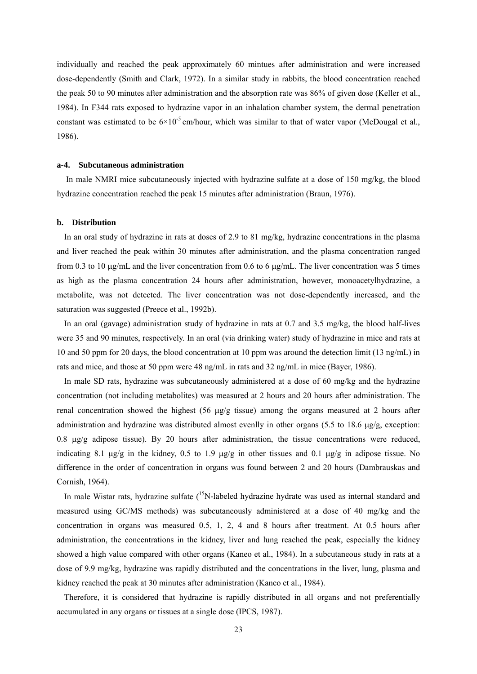individually and reached the peak approximately 60 mintues after administration and were increased dose-dependently (Smith and Clark, 1972). In a similar study in rabbits, the blood concentration reached the peak 50 to 90 minutes after administration and the absorption rate was 86% of given dose (Keller et al., 1984). In F344 rats exposed to hydrazine vapor in an inhalation chamber system, the dermal penetration constant was estimated to be  $6\times10^{-5}$  cm/hour, which was similar to that of water vapor (McDougal et al., 1986).

#### **a-4. Subcutaneous administration**

In male NMRI mice subcutaneously injected with hydrazine sulfate at a dose of 150 mg/kg, the blood hydrazine concentration reached the peak 15 minutes after administration (Braun, 1976).

#### **b. Distribution**

In an oral study of hydrazine in rats at doses of 2.9 to 81 mg/kg, hydrazine concentrations in the plasma and liver reached the peak within 30 minutes after administration, and the plasma concentration ranged from 0.3 to 10 μg/mL and the liver concentration from 0.6 to 6 μg/mL. The liver concentration was 5 times as high as the plasma concentration 24 hours after administration, however, monoacetylhydrazine, a metabolite, was not detected. The liver concentration was not dose-dependently increased, and the saturation was suggested (Preece et al., 1992b).

In an oral (gavage) administration study of hydrazine in rats at 0.7 and 3.5 mg/kg, the blood half-lives were 35 and 90 minutes, respectively. In an oral (via drinking water) study of hydrazine in mice and rats at 10 and 50 ppm for 20 days, the blood concentration at 10 ppm was around the detection limit (13 ng/mL) in rats and mice, and those at 50 ppm were 48 ng/mL in rats and 32 ng/mL in mice (Bayer, 1986).

In male SD rats, hydrazine was subcutaneously administered at a dose of 60 mg/kg and the hydrazine concentration (not including metabolites) was measured at 2 hours and 20 hours after administration. The renal concentration showed the highest (56 μg/g tissue) among the organs measured at 2 hours after administration and hydrazine was distributed almost evenlly in other organs (5.5 to 18.6  $\mu$ g/g, exception: 0.8 μg/g adipose tissue). By 20 hours after administration, the tissue concentrations were reduced, indicating 8.1 μg/g in the kidney, 0.5 to 1.9 μg/g in other tissues and 0.1 μg/g in adipose tissue. No difference in the order of concentration in organs was found between 2 and 20 hours (Dambrauskas and Cornish, 1964).

In male Wistar rats, hydrazine sulfate  $(15N$ -labeled hydrazine hydrate was used as internal standard and measured using GC/MS methods) was subcutaneously administered at a dose of 40 mg/kg and the concentration in organs was measured 0.5, 1, 2, 4 and 8 hours after treatment. At 0.5 hours after administration, the concentrations in the kidney, liver and lung reached the peak, especially the kidney showed a high value compared with other organs (Kaneo et al., 1984). In a subcutaneous study in rats at a dose of 9.9 mg/kg, hydrazine was rapidly distributed and the concentrations in the liver, lung, plasma and kidney reached the peak at 30 minutes after administration (Kaneo et al., 1984).

Therefore, it is considered that hydrazine is rapidly distributed in all organs and not preferentially accumulated in any organs or tissues at a single dose (IPCS, 1987).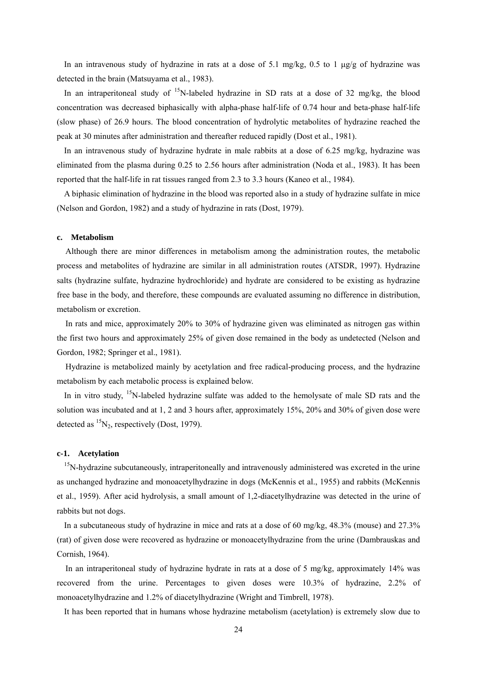In an intravenous study of hydrazine in rats at a dose of 5.1 mg/kg, 0.5 to 1  $\mu$ g/g of hydrazine was detected in the brain (Matsuyama et al., 1983).

In an intraperitoneal study of  $15N$ -labeled hydrazine in SD rats at a dose of 32 mg/kg, the blood concentration was decreased biphasically with alpha-phase half-life of 0.74 hour and beta-phase half-life (slow phase) of 26.9 hours. The blood concentration of hydrolytic metabolites of hydrazine reached the peak at 30 minutes after administration and thereafter reduced rapidly (Dost et al., 1981).

In an intravenous study of hydrazine hydrate in male rabbits at a dose of 6.25 mg/kg, hydrazine was eliminated from the plasma during 0.25 to 2.56 hours after administration (Noda et al., 1983). It has been reported that the half-life in rat tissues ranged from 2.3 to 3.3 hours (Kaneo et al., 1984).

A biphasic elimination of hydrazine in the blood was reported also in a study of hydrazine sulfate in mice (Nelson and Gordon, 1982) and a study of hydrazine in rats (Dost, 1979).

#### **c. Metabolism**

Although there are minor differences in metabolism among the administration routes, the metabolic process and metabolites of hydrazine are similar in all administration routes (ATSDR, 1997). Hydrazine salts (hydrazine sulfate, hydrazine hydrochloride) and hydrate are considered to be existing as hydrazine free base in the body, and therefore, these compounds are evaluated assuming no difference in distribution, metabolism or excretion.

In rats and mice, approximately 20% to 30% of hydrazine given was eliminated as nitrogen gas within the first two hours and approximately 25% of given dose remained in the body as undetected (Nelson and Gordon, 1982; Springer et al., 1981).

Hydrazine is metabolized mainly by acetylation and free radical-producing process, and the hydrazine metabolism by each metabolic process is explained below.

In in vitro study,  $15N$ -labeled hydrazine sulfate was added to the hemolysate of male SD rats and the solution was incubated and at 1, 2 and 3 hours after, approximately 15%, 20% and 30% of given dose were detected as  ${}^{15}N_2$ , respectively (Dost, 1979).

#### **c-1. Acetylation**

<sup>15</sup>N-hydrazine subcutaneously, intraperitoneally and intravenously administered was excreted in the urine as unchanged hydrazine and monoacetylhydrazine in dogs (McKennis et al., 1955) and rabbits (McKennis et al., 1959). After acid hydrolysis, a small amount of 1,2-diacetylhydrazine was detected in the urine of rabbits but not dogs.

In a subcutaneous study of hydrazine in mice and rats at a dose of 60 mg/kg, 48.3% (mouse) and 27.3% (rat) of given dose were recovered as hydrazine or monoacetylhydrazine from the urine (Dambrauskas and Cornish, 1964).

In an intraperitoneal study of hydrazine hydrate in rats at a dose of 5 mg/kg, approximately 14% was recovered from the urine. Percentages to given doses were 10.3% of hydrazine, 2.2% of monoacetylhydrazine and 1.2% of diacetylhydrazine (Wright and Timbrell, 1978).

It has been reported that in humans whose hydrazine metabolism (acetylation) is extremely slow due to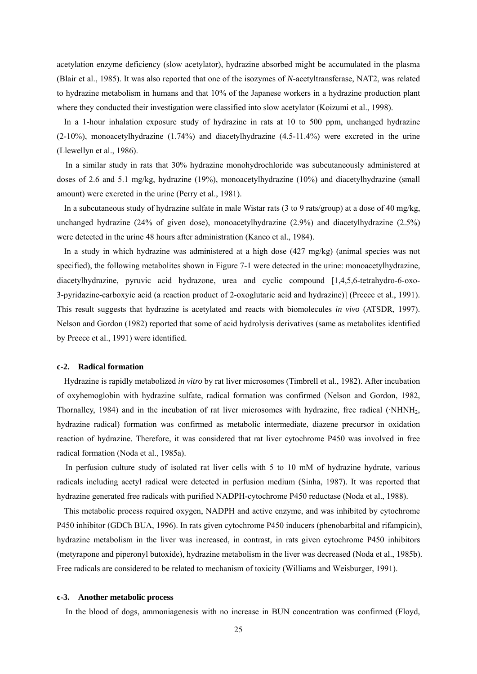acetylation enzyme deficiency (slow acetylator), hydrazine absorbed might be accumulated in the plasma (Blair et al., 1985). It was also reported that one of the isozymes of *N*-acetyltransferase, NAT2, was related to hydrazine metabolism in humans and that 10% of the Japanese workers in a hydrazine production plant where they conducted their investigation were classified into slow acetylator (Koizumi et al., 1998).

In a 1-hour inhalation exposure study of hydrazine in rats at 10 to 500 ppm, unchanged hydrazine (2-10%), monoacetylhydrazine (1.74%) and diacetylhydrazine (4.5-11.4%) were excreted in the urine (Llewellyn et al., 1986).

In a similar study in rats that 30% hydrazine monohydrochloride was subcutaneously administered at doses of 2.6 and 5.1 mg/kg, hydrazine (19%), monoacetylhydrazine (10%) and diacetylhydrazine (small amount) were excreted in the urine (Perry et al., 1981).

In a subcutaneous study of hydrazine sulfate in male Wistar rats (3 to 9 rats/group) at a dose of 40 mg/kg, unchanged hydrazine (24% of given dose), monoacetylhydrazine (2.9%) and diacetylhydrazine (2.5%) were detected in the urine 48 hours after administration (Kaneo et al., 1984).

In a study in which hydrazine was administered at a high dose (427 mg/kg) (animal species was not specified), the following metabolites shown in Figure 7-1 were detected in the urine: monoacetylhydrazine, diacetylhydrazine, pyruvic acid hydrazone, urea and cyclic compound [1,4,5,6-tetrahydro-6-oxo-3-pyridazine-carboxyic acid (a reaction product of 2-oxoglutaric acid and hydrazine)] (Preece et al., 1991). This result suggests that hydrazine is acetylated and reacts with biomolecules *in vivo* (ATSDR, 1997). Nelson and Gordon (1982) reported that some of acid hydrolysis derivatives (same as metabolites identified by Preece et al., 1991) were identified.

#### **c-2. Radical formation**

Hydrazine is rapidly metabolized *in vitro* by rat liver microsomes (Timbrell et al., 1982). After incubation of oxyhemoglobin with hydrazine sulfate, radical formation was confirmed (Nelson and Gordon, 1982, Thornalley, 1984) and in the incubation of rat liver microsomes with hydrazine, free radical (·NHNH2, hydrazine radical) formation was confirmed as metabolic intermediate, diazene precursor in oxidation reaction of hydrazine. Therefore, it was considered that rat liver cytochrome P450 was involved in free radical formation (Noda et al., 1985a).

In perfusion culture study of isolated rat liver cells with 5 to 10 mM of hydrazine hydrate, various radicals including acetyl radical were detected in perfusion medium (Sinha, 1987). It was reported that hydrazine generated free radicals with purified NADPH-cytochrome P450 reductase (Noda et al., 1988).

This metabolic process required oxygen, NADPH and active enzyme, and was inhibited by cytochrome P450 inhibitor (GDCh BUA, 1996). In rats given cytochrome P450 inducers (phenobarbital and rifampicin), hydrazine metabolism in the liver was increased, in contrast, in rats given cytochrome P450 inhibitors (metyrapone and piperonyl butoxide), hydrazine metabolism in the liver was decreased (Noda et al., 1985b). Free radicals are considered to be related to mechanism of toxicity (Williams and Weisburger, 1991).

#### **c-3. Another metabolic process**

In the blood of dogs, ammoniagenesis with no increase in BUN concentration was confirmed (Floyd,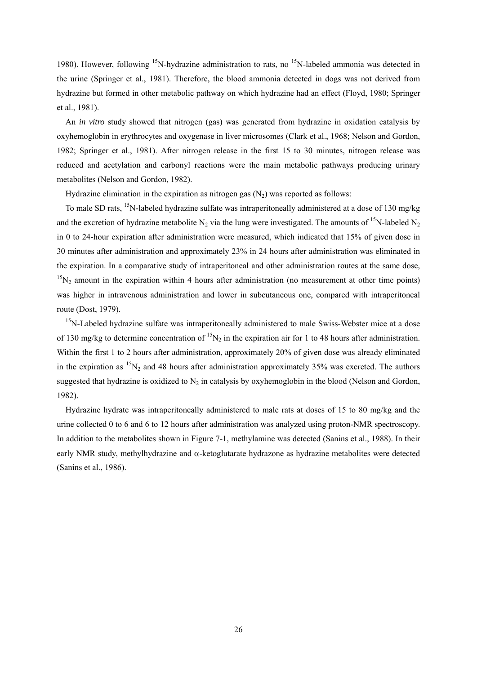1980). However, following <sup>15</sup>N-hydrazine administration to rats, no <sup>15</sup>N-labeled ammonia was detected in the urine (Springer et al., 1981). Therefore, the blood ammonia detected in dogs was not derived from hydrazine but formed in other metabolic pathway on which hydrazine had an effect (Floyd, 1980; Springer et al., 1981).

An *in vitro* study showed that nitrogen (gas) was generated from hydrazine in oxidation catalysis by oxyhemoglobin in erythrocytes and oxygenase in liver microsomes (Clark et al., 1968; Nelson and Gordon, 1982; Springer et al., 1981). After nitrogen release in the first 15 to 30 minutes, nitrogen release was reduced and acetylation and carbonyl reactions were the main metabolic pathways producing urinary metabolites (Nelson and Gordon, 1982).

Hydrazine elimination in the expiration as nitrogen gas  $(N_2)$  was reported as follows:

To male SD rats, <sup>15</sup>N-labeled hydrazine sulfate was intraperitoneally administered at a dose of 130 mg/kg and the excretion of hydrazine metabolite  $N_2$  via the lung were investigated. The amounts of <sup>15</sup>N-labeled N<sub>2</sub> in 0 to 24-hour expiration after administration were measured, which indicated that 15% of given dose in 30 minutes after administration and approximately 23% in 24 hours after administration was eliminated in the expiration. In a comparative study of intraperitoneal and other administration routes at the same dose,  $15N<sub>2</sub>$  amount in the expiration within 4 hours after administration (no measurement at other time points) was higher in intravenous administration and lower in subcutaneous one, compared with intraperitoneal route (Dost, 1979).

<sup>15</sup>N-Labeled hydrazine sulfate was intraperitoneally administered to male Swiss-Webster mice at a dose of 130 mg/kg to determine concentration of  ${}^{15}N_2$  in the expiration air for 1 to 48 hours after administration. Within the first 1 to 2 hours after administration, approximately 20% of given dose was already eliminated in the expiration as  ${}^{15}N_2$  and 48 hours after administration approximately 35% was excreted. The authors suggested that hydrazine is oxidized to  $N_2$  in catalysis by oxyhemoglobin in the blood (Nelson and Gordon, 1982).

Hydrazine hydrate was intraperitoneally administered to male rats at doses of 15 to 80 mg/kg and the urine collected 0 to 6 and 6 to 12 hours after administration was analyzed using proton-NMR spectroscopy. In addition to the metabolites shown in Figure 7-1, methylamine was detected (Sanins et al., 1988). In their early NMR study, methylhydrazine and α-ketoglutarate hydrazone as hydrazine metabolites were detected (Sanins et al., 1986).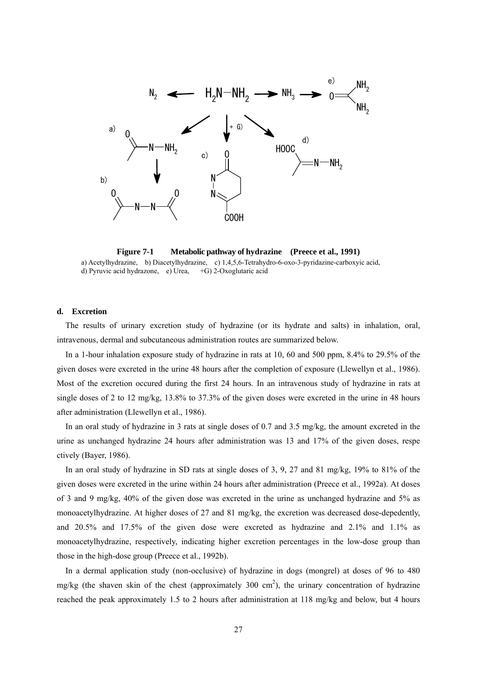

**Figure 7-1 Metabolic pathway of hydrazine (Preece et al., 1991)**  a) Acetylhydrazine, b) Diacetylhydrazine, c) 1,4,5,6-Tetrahydro-6-oxo-3-pyridazine-carboxyic acid, d) Pyruvic acid hydrazone, e) Urea, +G) 2-Oxoglutaric acid

#### **d. Excretion**

The results of urinary excretion study of hydrazine (or its hydrate and salts) in inhalation, oral, intravenous, dermal and subcutaneous administration routes are summarized below.

In a 1-hour inhalation exposure study of hydrazine in rats at 10, 60 and 500 ppm, 8.4% to 29.5% of the given doses were excreted in the urine 48 hours after the completion of exposure (Llewellyn et al., 1986). Most of the excretion occured during the first 24 hours. In an intravenous study of hydrazine in rats at single doses of 2 to 12 mg/kg, 13.8% to 37.3% of the given doses were excreted in the urine in 48 hours after administration (Llewellyn et al., 1986).

In an oral study of hydrazine in 3 rats at single doses of 0.7 and 3.5 mg/kg, the amount excreted in the urine as unchanged hydrazine 24 hours after administration was 13 and 17% of the given doses, respe ctively (Bayer, 1986).

In an oral study of hydrazine in SD rats at single doses of 3, 9, 27 and 81 mg/kg, 19% to 81% of the given doses were excreted in the urine within 24 hours after administration (Preece et al., 1992a). At doses of 3 and 9 mg/kg, 40% of the given dose was excreted in the urine as unchanged hydrazine and 5% as monoacetylhydrazine. At higher doses of 27 and 81 mg/kg, the excretion was decreased dose-depedently, and 20.5% and 17.5% of the given dose were excreted as hydrazine and 2.1% and 1.1% as monoacetylhydrazine, respectively, indicating higher excretion percentages in the low-dose group than those in the high-dose group (Preece et al., 1992b).

In a dermal application study (non-occlusive) of hydrazine in dogs (mongrel) at doses of 96 to 480 mg/kg (the shaven skin of the chest (approximately 300 cm<sup>2</sup>), the urinary concentration of hydrazine reached the peak approximately 1.5 to 2 hours after administration at 118 mg/kg and below, but 4 hours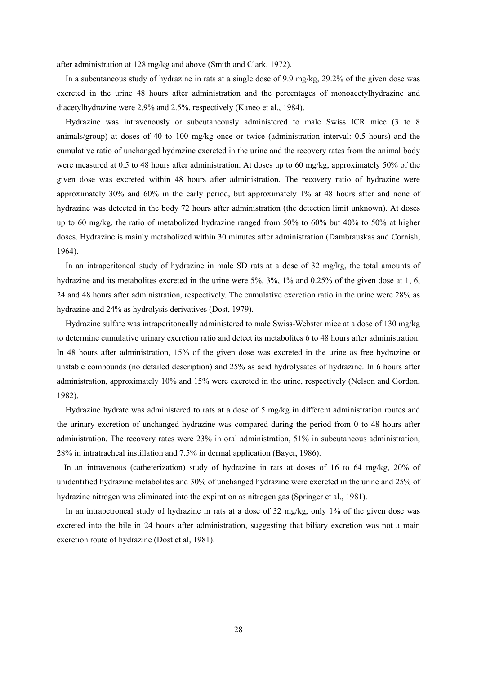after administration at 128 mg/kg and above (Smith and Clark, 1972).

In a subcutaneous study of hydrazine in rats at a single dose of 9.9 mg/kg, 29.2% of the given dose was excreted in the urine 48 hours after administration and the percentages of monoacetylhydrazine and diacetylhydrazine were 2.9% and 2.5%, respectively (Kaneo et al., 1984).

Hydrazine was intravenously or subcutaneously administered to male Swiss ICR mice (3 to 8 animals/group) at doses of 40 to 100 mg/kg once or twice (administration interval: 0.5 hours) and the cumulative ratio of unchanged hydrazine excreted in the urine and the recovery rates from the animal body were measured at 0.5 to 48 hours after administration. At doses up to 60 mg/kg, approximately 50% of the given dose was excreted within 48 hours after administration. The recovery ratio of hydrazine were approximately 30% and 60% in the early period, but approximately 1% at 48 hours after and none of hydrazine was detected in the body 72 hours after administration (the detection limit unknown). At doses up to 60 mg/kg, the ratio of metabolized hydrazine ranged from 50% to 60% but 40% to 50% at higher doses. Hydrazine is mainly metabolized within 30 minutes after administration (Dambrauskas and Cornish, 1964).

In an intraperitoneal study of hydrazine in male SD rats at a dose of 32 mg/kg, the total amounts of hydrazine and its metabolites excreted in the urine were 5%, 3%, 1% and 0.25% of the given dose at 1, 6, 24 and 48 hours after administration, respectively. The cumulative excretion ratio in the urine were 28% as hydrazine and 24% as hydrolysis derivatives (Dost, 1979).

Hydrazine sulfate was intraperitoneally administered to male Swiss-Webster mice at a dose of 130 mg/kg to determine cumulative urinary excretion ratio and detect its metabolites 6 to 48 hours after administration. In 48 hours after administration, 15% of the given dose was excreted in the urine as free hydrazine or unstable compounds (no detailed description) and 25% as acid hydrolysates of hydrazine. In 6 hours after administration, approximately 10% and 15% were excreted in the urine, respectively (Nelson and Gordon, 1982).

Hydrazine hydrate was administered to rats at a dose of 5 mg/kg in different administration routes and the urinary excretion of unchanged hydrazine was compared during the period from 0 to 48 hours after administration. The recovery rates were 23% in oral administration, 51% in subcutaneous administration, 28% in intratracheal instillation and 7.5% in dermal application (Bayer, 1986).

In an intravenous (catheterization) study of hydrazine in rats at doses of 16 to 64 mg/kg, 20% of unidentified hydrazine metabolites and 30% of unchanged hydrazine were excreted in the urine and 25% of hydrazine nitrogen was eliminated into the expiration as nitrogen gas (Springer et al., 1981).

In an intrapetroneal study of hydrazine in rats at a dose of 32 mg/kg, only 1% of the given dose was excreted into the bile in 24 hours after administration, suggesting that biliary excretion was not a main excretion route of hydrazine (Dost et al, 1981).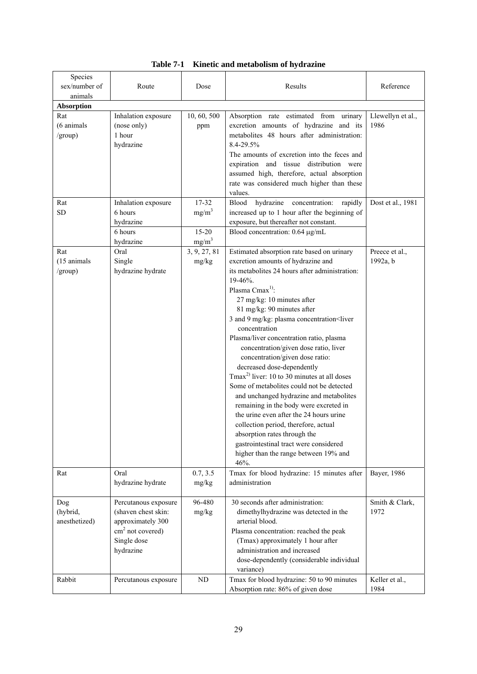| Species<br>sex/number of     | Route                                                     | Dose               | Results                                                                                                                                                                                                                                                                                                                                                                                                                                                                                                                                                                                                                                                                                                                                                                                                                                             | Reference                 |
|------------------------------|-----------------------------------------------------------|--------------------|-----------------------------------------------------------------------------------------------------------------------------------------------------------------------------------------------------------------------------------------------------------------------------------------------------------------------------------------------------------------------------------------------------------------------------------------------------------------------------------------------------------------------------------------------------------------------------------------------------------------------------------------------------------------------------------------------------------------------------------------------------------------------------------------------------------------------------------------------------|---------------------------|
| animals                      |                                                           |                    |                                                                                                                                                                                                                                                                                                                                                                                                                                                                                                                                                                                                                                                                                                                                                                                                                                                     |                           |
| <b>Absorption</b>            |                                                           |                    |                                                                                                                                                                                                                                                                                                                                                                                                                                                                                                                                                                                                                                                                                                                                                                                                                                                     |                           |
| Rat<br>(6 animals<br>/group) | Inhalation exposure<br>(nose only)<br>1 hour<br>hydrazine | 10, 60, 500<br>ppm | Absorption rate estimated from urinary<br>excretion amounts of hydrazine and its<br>metabolites 48 hours after administration:<br>8.4-29.5%<br>The amounts of excretion into the feces and<br>expiration and tissue distribution were<br>assumed high, therefore, actual absorption<br>rate was considered much higher than these<br>values.                                                                                                                                                                                                                                                                                                                                                                                                                                                                                                        | Llewellyn et al.,<br>1986 |
| Rat                          | Inhalation exposure                                       | $17 - 32$          | hydrazine<br>concentration:<br>rapidly<br>Blood                                                                                                                                                                                                                                                                                                                                                                                                                                                                                                                                                                                                                                                                                                                                                                                                     | Dost et al., 1981         |
| <b>SD</b>                    | 6 hours                                                   | $mg/m^3$           | increased up to 1 hour after the beginning of                                                                                                                                                                                                                                                                                                                                                                                                                                                                                                                                                                                                                                                                                                                                                                                                       |                           |
|                              | hydrazine                                                 |                    | exposure, but thereafter not constant.                                                                                                                                                                                                                                                                                                                                                                                                                                                                                                                                                                                                                                                                                                                                                                                                              |                           |
|                              | 6 hours                                                   | $15 - 20$          | Blood concentration: 0.64 µg/mL                                                                                                                                                                                                                                                                                                                                                                                                                                                                                                                                                                                                                                                                                                                                                                                                                     |                           |
|                              | hydrazine                                                 | mg/m <sup>3</sup>  |                                                                                                                                                                                                                                                                                                                                                                                                                                                                                                                                                                                                                                                                                                                                                                                                                                                     |                           |
| Rat                          | Oral                                                      | 3, 9, 27, 81       | Estimated absorption rate based on urinary                                                                                                                                                                                                                                                                                                                                                                                                                                                                                                                                                                                                                                                                                                                                                                                                          | Preece et al.,            |
| (15 animals<br>/group)       | Single<br>hydrazine hydrate                               | mg/kg              | excretion amounts of hydrazine and<br>its metabolites 24 hours after administration:<br>$19-46%$<br>Plasma Cmax <sup>1)</sup> :<br>27 mg/kg: 10 minutes after<br>81 mg/kg: 90 minutes after<br>3 and 9 mg/kg: plasma concentration <liver<br>concentration<br/>Plasma/liver concentration ratio, plasma<br/>concentration/given dose ratio, liver<br/>concentration/given dose ratio:<br/>decreased dose-dependently<br/>Tmax<sup>2)</sup> liver: 10 to 30 minutes at all doses<br/>Some of metabolites could not be detected<br/>and unchanged hydrazine and metabolites<br/>remaining in the body were excreted in<br/>the urine even after the 24 hours urine<br/>collection period, therefore, actual<br/>absorption rates through the<br/>gastrointestinal tract were considered<br/>higher than the range between 19% and<br/>46%.</liver<br> | 1992a, b                  |
| Rat                          | Oral                                                      | 0.7, 3.5           | Tmax for blood hydrazine: 15 minutes after                                                                                                                                                                                                                                                                                                                                                                                                                                                                                                                                                                                                                                                                                                                                                                                                          | Bayer, 1986               |
|                              | hydrazine hydrate                                         | mg/kg              | administration                                                                                                                                                                                                                                                                                                                                                                                                                                                                                                                                                                                                                                                                                                                                                                                                                                      |                           |
| Dog                          | Percutanous exposure                                      | 96-480             | 30 seconds after administration:                                                                                                                                                                                                                                                                                                                                                                                                                                                                                                                                                                                                                                                                                                                                                                                                                    | Smith & Clark,            |
| (hybrid,                     | (shaven chest skin:                                       | mg/kg              | dimethylhydrazine was detected in the                                                                                                                                                                                                                                                                                                                                                                                                                                                                                                                                                                                                                                                                                                                                                                                                               | 1972                      |
| anesthetized)                | approximately 300<br>$cm2$ not covered)                   |                    | arterial blood.                                                                                                                                                                                                                                                                                                                                                                                                                                                                                                                                                                                                                                                                                                                                                                                                                                     |                           |
|                              | Single dose                                               |                    | Plasma concentration: reached the peak<br>(Tmax) approximately 1 hour after                                                                                                                                                                                                                                                                                                                                                                                                                                                                                                                                                                                                                                                                                                                                                                         |                           |
|                              | hydrazine                                                 |                    | administration and increased                                                                                                                                                                                                                                                                                                                                                                                                                                                                                                                                                                                                                                                                                                                                                                                                                        |                           |
|                              |                                                           |                    | dose-dependently (considerable individual                                                                                                                                                                                                                                                                                                                                                                                                                                                                                                                                                                                                                                                                                                                                                                                                           |                           |
|                              |                                                           |                    | variance)                                                                                                                                                                                                                                                                                                                                                                                                                                                                                                                                                                                                                                                                                                                                                                                                                                           |                           |
| Rabbit                       | Percutanous exposure                                      | ND                 | Tmax for blood hydrazine: 50 to 90 minutes                                                                                                                                                                                                                                                                                                                                                                                                                                                                                                                                                                                                                                                                                                                                                                                                          | Keller et al.,            |
|                              |                                                           |                    | Absorption rate: 86% of given dose                                                                                                                                                                                                                                                                                                                                                                                                                                                                                                                                                                                                                                                                                                                                                                                                                  | 1984                      |

|  | Table 7-1 Kinetic and metabolism of hydrazine |  |  |
|--|-----------------------------------------------|--|--|
|--|-----------------------------------------------|--|--|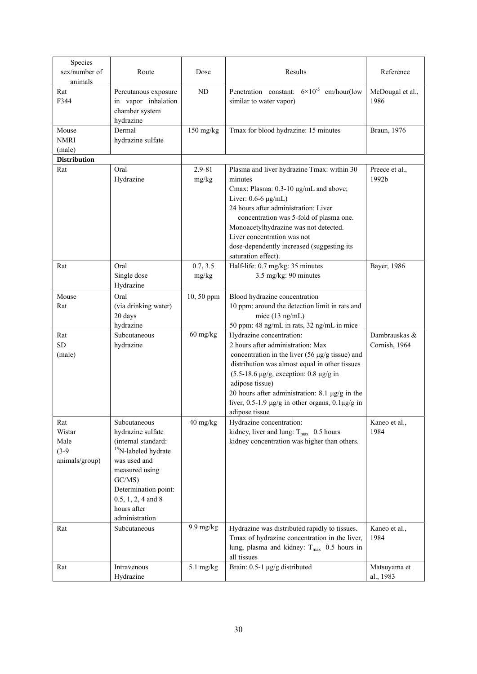| Species<br>sex/number of<br>animals                | Route                                                                                                                                                                                                                    | Dose                | Results                                                                                                                                                                                                                                                                                                                                                                                         | Reference                      |
|----------------------------------------------------|--------------------------------------------------------------------------------------------------------------------------------------------------------------------------------------------------------------------------|---------------------|-------------------------------------------------------------------------------------------------------------------------------------------------------------------------------------------------------------------------------------------------------------------------------------------------------------------------------------------------------------------------------------------------|--------------------------------|
| Rat<br>F344                                        | Percutanous exposure<br>in vapor inhalation<br>chamber system<br>hydrazine                                                                                                                                               | ND                  | Penetration constant: $6 \times 10^{-5}$ cm/hour(low<br>similar to water vapor)                                                                                                                                                                                                                                                                                                                 | McDougal et al.,<br>1986       |
| Mouse<br><b>NMRI</b><br>(male)                     | Dermal<br>hydrazine sulfate                                                                                                                                                                                              | $150$ mg/kg         | Tmax for blood hydrazine: 15 minutes                                                                                                                                                                                                                                                                                                                                                            | Braun, 1976                    |
| <b>Distribution</b><br>Rat                         | Oral<br>Hydrazine                                                                                                                                                                                                        | 2.9-81<br>mg/kg     | Plasma and liver hydrazine Tmax: within 30<br>minutes<br>Cmax: Plasma: 0.3-10 µg/mL and above;<br>Liver: $0.6-6 \mu g/mL$ )<br>24 hours after administration: Liver<br>concentration was 5-fold of plasma one.<br>Monoacetylhydrazine was not detected.<br>Liver concentration was not<br>dose-dependently increased (suggesting its<br>saturation effect).                                     | Preece et al.,<br>1992b        |
| Rat                                                | Oral<br>Single dose<br>Hydrazine                                                                                                                                                                                         | 0.7, 3.5<br>mg/kg   | Half-life: 0.7 mg/kg: 35 minutes<br>3.5 mg/kg: 90 minutes                                                                                                                                                                                                                                                                                                                                       | Bayer, 1986                    |
| Mouse<br>Rat                                       | Oral<br>(via drinking water)<br>20 days<br>hydrazine                                                                                                                                                                     | 10, 50 ppm          | Blood hydrazine concentration<br>10 ppm: around the detection limit in rats and<br>mice $(13 \text{ ng/mL})$<br>50 ppm: 48 ng/mL in rats, 32 ng/mL in mice                                                                                                                                                                                                                                      |                                |
| Rat<br><b>SD</b><br>(male)                         | Subcutaneous<br>hydrazine                                                                                                                                                                                                | $60$ mg/kg          | Hydrazine concentration:<br>2 hours after administration: Max<br>concentration in the liver $(56 \text{ µg/g tissue})$ and<br>distribution was almost equal in other tissues<br>$(5.5-18.6 \text{ µg/g},$ exception: 0.8 $\mu$ g/g in<br>adipose tissue)<br>20 hours after administration: 8.1 $\mu$ g/g in the<br>liver, $0.5-1.9 \mu g/g$ in other organs, $0.1 \mu g/g$ in<br>adipose tissue | Dambrauskas &<br>Cornish, 1964 |
| Rat<br>Wistar<br>Male<br>$(3-9)$<br>animals/group) | Subcutaneous<br>hydrazine sulfate<br>(internal standard:<br><sup>15</sup> N-labeled hydrate<br>was used and<br>measured using<br>GC/MS)<br>Determination point:<br>$0.5, 1, 2, 4$ and 8<br>hours after<br>administration | $40$ mg/kg          | Hydrazine concentration:<br>kidney, liver and lung: $T_{\text{max}}$ 0.5 hours<br>kidney concentration was higher than others.                                                                                                                                                                                                                                                                  | Kaneo et al.,<br>1984          |
| Rat                                                | Subcutaneous                                                                                                                                                                                                             | $9.9 \text{ mg/kg}$ | Hydrazine was distributed rapidly to tissues.<br>Tmax of hydrazine concentration in the liver,<br>lung, plasma and kidney: $T_{\text{max}}$ 0.5 hours in<br>all tissues                                                                                                                                                                                                                         | Kaneo et al.,<br>1984          |
| Rat                                                | Intravenous<br>Hydrazine                                                                                                                                                                                                 | $5.1$ mg/kg         | Brain: 0.5-1 µg/g distributed                                                                                                                                                                                                                                                                                                                                                                   | Matsuyama et<br>al., 1983      |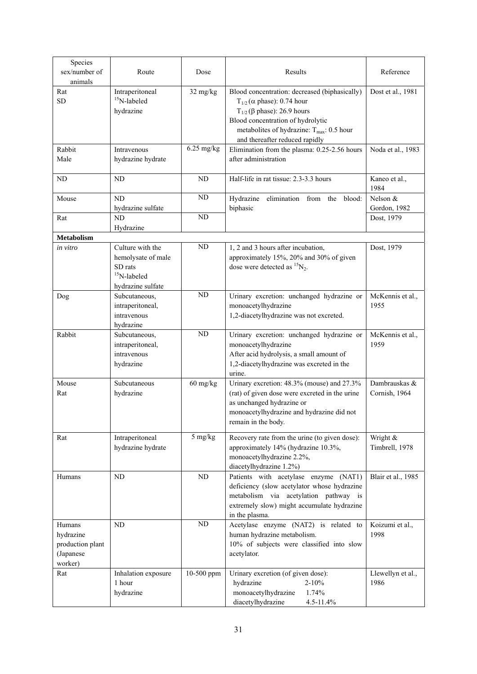| Species<br>sex/number of<br>animals                             | Route                                                                                    | Dose            | Results                                                                                                                                                                                                                                                           | Reference                      |
|-----------------------------------------------------------------|------------------------------------------------------------------------------------------|-----------------|-------------------------------------------------------------------------------------------------------------------------------------------------------------------------------------------------------------------------------------------------------------------|--------------------------------|
| Rat<br><b>SD</b>                                                | Intraperitoneal<br>$15$ N-labeled<br>hydrazine                                           | 32 mg/kg        | Blood concentration: decreased (biphasically)<br>$T_{1/2}$ ( $\alpha$ phase): 0.74 hour<br>$T_{1/2}$ ( $\beta$ phase): 26.9 hours<br>Blood concentration of hydrolytic<br>metabolites of hydrazine: $T_{\text{max}}$ : 0.5 hour<br>and thereafter reduced rapidly | Dost et al., 1981              |
| Rabbit<br>Male                                                  | Intravenous<br>hydrazine hydrate                                                         | $6.25$ mg/kg    | Elimination from the plasma: 0.25-2.56 hours<br>after administration                                                                                                                                                                                              | Noda et al., 1983              |
| <b>ND</b>                                                       | ND                                                                                       | <b>ND</b>       | Half-life in rat tissue: 2.3-3.3 hours                                                                                                                                                                                                                            | Kaneo et al.,<br>1984          |
| Mouse                                                           | ND<br>hydrazine sulfate                                                                  | $\rm ND$        | Hydrazine elimination from the blood:<br>biphasic                                                                                                                                                                                                                 | Nelson &<br>Gordon, 1982       |
| Rat                                                             | ND<br>Hydrazine                                                                          | ND              |                                                                                                                                                                                                                                                                   | Dost, 1979                     |
| <b>Metabolism</b>                                               |                                                                                          |                 |                                                                                                                                                                                                                                                                   |                                |
| in vitro                                                        | Culture with the<br>hemolysate of male<br>SD rats<br>$15$ N-labeled<br>hydrazine sulfate | ND              | 1, 2 and 3 hours after incubation,<br>approximately 15%, 20% and 30% of given<br>dose were detected as ${}^{15}N_2$ .                                                                                                                                             | Dost, 1979                     |
| Dog                                                             | Subcutaneous,<br>intraperitoneal,<br>intravenous<br>hydrazine                            | $\overline{ND}$ | Urinary excretion: unchanged hydrazine or<br>monoacetylhydrazine<br>1,2-diacetylhydrazine was not excreted.                                                                                                                                                       | McKennis et al.,<br>1955       |
| Rabbit                                                          | Subcutaneous,<br>intraperitoneal,<br>intravenous<br>hydrazine                            | ND              | Urinary excretion: unchanged hydrazine or<br>monoacetylhydrazine<br>After acid hydrolysis, a small amount of<br>1,2-diacetylhydrazine was excreted in the<br>urine.                                                                                               | McKennis et al.,<br>1959       |
| Mouse<br>Rat                                                    | Subcutaneous<br>hydrazine                                                                | 60 mg/kg        | Urinary excretion: 48.3% (mouse) and 27.3%<br>(rat) of given dose were excreted in the urine<br>as unchanged hydrazine or<br>monoacetylhydrazine and hydrazine did not<br>remain in the body.                                                                     | Dambrauskas &<br>Cornish, 1964 |
| Rat                                                             | Intraperitoneal<br>hydrazine hydrate                                                     | 5 mg/kg         | Recovery rate from the urine (to given dose):<br>approximately 14% (hydrazine 10.3%,<br>monoacetylhydrazine 2.2%,<br>diacetylhydrazine 1.2%)                                                                                                                      | Wright &<br>Timbrell, 1978     |
| Humans                                                          | ND                                                                                       | ND              | Patients with acetylase enzyme (NAT1)<br>deficiency (slow acetylator whose hydrazine<br>metabolism via acetylation pathway is<br>extremely slow) might accumulate hydrazine<br>in the plasma.                                                                     | Blair et al., 1985             |
| Humans<br>hydrazine<br>production plant<br>(Japanese<br>worker) | ND                                                                                       | $\rm ND$        | Acetylase enzyme (NAT2) is related to<br>human hydrazine metabolism.<br>10% of subjects were classified into slow<br>acetylator.                                                                                                                                  | Koizumi et al.,<br>1998        |
| Rat                                                             | Inhalation exposure<br>1 hour<br>hydrazine                                               | 10-500 ppm      | Urinary excretion (of given dose):<br>hydrazine<br>$2 - 10\%$<br>monoacetylhydrazine<br>1.74%<br>diacetylhydrazine<br>4.5-11.4%                                                                                                                                   | Llewellyn et al.,<br>1986      |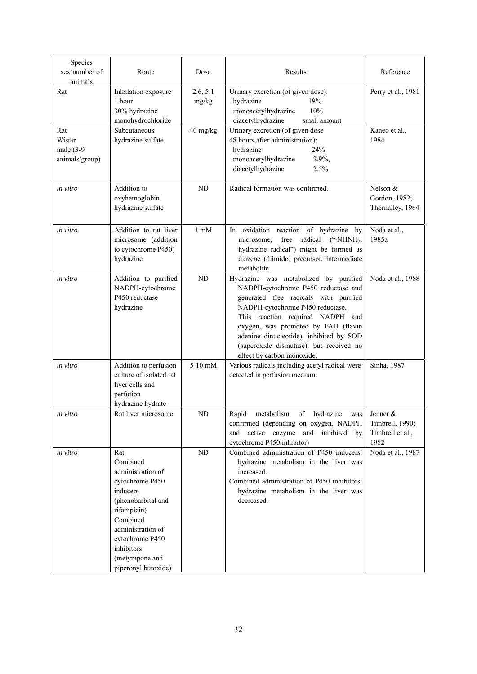| Species<br>sex/number of<br>animals             | Route                                                                                                                                                                                                                | Dose              | Results                                                                                                                                                                                                                                                                                                                                                  | Reference                                       |
|-------------------------------------------------|----------------------------------------------------------------------------------------------------------------------------------------------------------------------------------------------------------------------|-------------------|----------------------------------------------------------------------------------------------------------------------------------------------------------------------------------------------------------------------------------------------------------------------------------------------------------------------------------------------------------|-------------------------------------------------|
| Rat                                             | Inhalation exposure<br>1 hour<br>30% hydrazine<br>monohydrochloride                                                                                                                                                  | 2.6, 5.1<br>mg/kg | Urinary excretion (of given dose):<br>hydrazine<br>19%<br>monoacetylhydrazine<br>10%<br>diacetylhydrazine<br>small amount                                                                                                                                                                                                                                | Perry et al., 1981                              |
| Rat<br>Wistar<br>male $(3-9)$<br>animals/group) | Subcutaneous<br>hydrazine sulfate                                                                                                                                                                                    | 40 mg/kg          | Urinary excretion (of given dose<br>48 hours after administration):<br>hydrazine<br>24%<br>monoacetylhydrazine<br>2.9%,<br>diacetylhydrazine<br>2.5%                                                                                                                                                                                                     | Kaneo et al.,<br>1984                           |
| in vitro                                        | Addition to<br>oxyhemoglobin<br>hydrazine sulfate                                                                                                                                                                    | ND                | Radical formation was confirmed.                                                                                                                                                                                                                                                                                                                         | Nelson $&$<br>Gordon, 1982;<br>Thornalley, 1984 |
| in vitro                                        | Addition to rat liver<br>microsome (addition<br>to cytochrome P450)<br>hydrazine                                                                                                                                     | $1 \text{ mM}$    | oxidation reaction of hydrazine<br>In<br>by<br>free<br>radical<br>microsome,<br>$($ "·NHNH <sub>2</sub> ,<br>hydrazine radical") might be formed as<br>diazene (diimide) precursor, intermediate<br>metabolite.                                                                                                                                          | Noda et al.,<br>1985a                           |
| in vitro                                        | Addition to purified<br>NADPH-cytochrome<br>P450 reductase<br>hydrazine                                                                                                                                              | ND                | Hydrazine was metabolized by purified<br>NADPH-cytochrome P450 reductase and<br>generated free radicals with purified<br>NADPH-cytochrome P450 reductase.<br>This reaction required NADPH and<br>oxygen, was promoted by FAD (flavin<br>adenine dinucleotide), inhibited by SOD<br>(superoxide dismutase), but received no<br>effect by carbon monoxide. | Noda et al., 1988                               |
| in vitro                                        | Addition to perfusion<br>culture of isolated rat<br>liver cells and<br>perfution<br>hydrazine hydrate                                                                                                                | $5-10$ mM         | Various radicals including acetyl radical were<br>detected in perfusion medium.                                                                                                                                                                                                                                                                          | Sinha, 1987                                     |
| in vitro                                        | Rat liver microsome                                                                                                                                                                                                  | ND                | Rapid metabolism of hydrazine was Jenner &<br>confirmed (depending on oxygen, NADPH<br>and active enzyme and inhibited by<br>cytochrome P450 inhibitor)                                                                                                                                                                                                  | Timbrell, 1990;<br>Timbrell et al.,<br>1982     |
| in vitro                                        | Rat<br>Combined<br>administration of<br>cytochrome P450<br>inducers<br>(phenobarbital and<br>rifampicin)<br>Combined<br>administration of<br>cytochrome P450<br>inhibitors<br>(metyrapone and<br>piperonyl butoxide) | ND                | Combined administration of P450 inducers:<br>hydrazine metabolism in the liver was<br>increased.<br>Combined administration of P450 inhibitors:<br>hydrazine metabolism in the liver was<br>decreased.                                                                                                                                                   | Noda et al., 1987                               |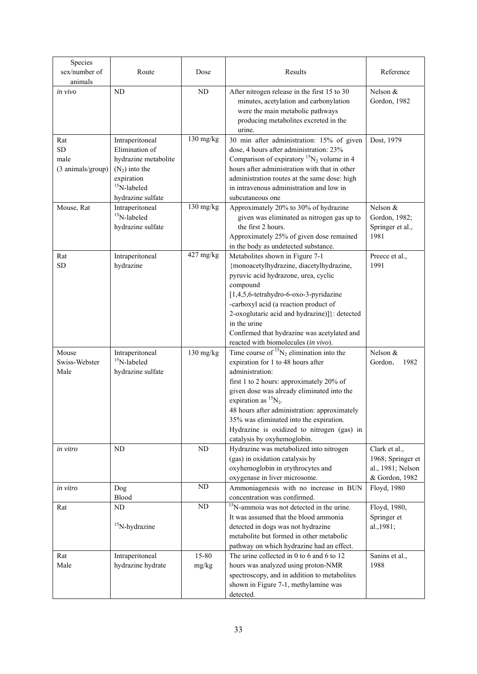| Species<br>sex/number of<br>animals           | Route                                                                                                                              | Dose            | Results                                                                                                                                                                                                                                                                                                                                                                                                     | Reference                                                                 |
|-----------------------------------------------|------------------------------------------------------------------------------------------------------------------------------------|-----------------|-------------------------------------------------------------------------------------------------------------------------------------------------------------------------------------------------------------------------------------------------------------------------------------------------------------------------------------------------------------------------------------------------------------|---------------------------------------------------------------------------|
| in vivo                                       | ND                                                                                                                                 | ND              | After nitrogen release in the first 15 to 30<br>minutes, acetylation and carbonylation<br>were the main metabolic pathways<br>producing metabolites excreted in the<br>urine.                                                                                                                                                                                                                               | Nelson &<br>Gordon, 1982                                                  |
| Rat<br><b>SD</b><br>male<br>(3 animals/group) | Intraperitoneal<br>Elimination of<br>hydrazine metabolite<br>$(N_2)$ into the<br>expiration<br>$15$ N-labeled<br>hydrazine sulfate | 130 mg/kg       | 30 min after administration: 15% of given<br>dose, 4 hours after administration: 23%<br>Comparison of expiratory ${}^{15}N_2$ volume in 4<br>hours after administration with that in other<br>administration routes at the same dose: high<br>in intravenous administration and low in<br>subcutaneous one                                                                                                  | Dost, 1979                                                                |
| Mouse, Rat                                    | Intraperitoneal<br>$15$ N-labeled<br>hydrazine sulfate                                                                             | 130 mg/kg       | Approximately 20% to 30% of hydrazine<br>given was eliminated as nitrogen gas up to<br>the first 2 hours.<br>Approximately 25% of given dose remained<br>in the body as undetected substance.                                                                                                                                                                                                               | Nelson &<br>Gordon, 1982;<br>Springer et al.,<br>1981                     |
| Rat<br><b>SD</b>                              | Intraperitoneal<br>hydrazine                                                                                                       | 427 mg/kg       | Metabolites shown in Figure 7-1<br>{monoacetylhydrazine, diacetylhydrazine,<br>pyruvic acid hydrazone, urea, cyclic<br>compound<br>[1,4,5,6-tetrahydro-6-oxo-3-pyridazine<br>-carboxyl acid (a reaction product of<br>2-oxoglutaric acid and hydrazine)]}: detected<br>in the urine<br>Confirmed that hydrazine was acetylated and<br>reacted with biomolecules (in vivo).                                  | Preece et al.,<br>1991                                                    |
| Mouse<br>Swiss-Webster<br>Male                | Intraperitoneal<br>$15$ N-labeled<br>hydrazine sulfate                                                                             | $130$ mg/kg     | Time course of ${}^{15}N_2$ elimination into the<br>expiration for 1 to 48 hours after<br>administration:<br>first 1 to 2 hours: approximately 20% of<br>given dose was already eliminated into the<br>expiration as ${}^{15}N_2$ .<br>48 hours after administration: approximately<br>35% was eliminated into the expiration.<br>Hydrazine is oxidized to nitrogen (gas) in<br>catalysis by oxyhemoglobin. | Nelson &<br>1982<br>Gordon,                                               |
| in vitro                                      | ND                                                                                                                                 | ND              | Hydrazine was metabolized into nitrogen<br>(gas) in oxidation catalysis by<br>oxyhemoglobin in erythrocytes and<br>oxygenase in liver microsome.                                                                                                                                                                                                                                                            | Clark et al.,<br>1968; Springer et<br>al., 1981; Nelson<br>& Gordon, 1982 |
| in vitro                                      | Dog<br>Blood                                                                                                                       | ND              | Ammoniagenesis with no increase in BUN<br>concentration was confirmed.                                                                                                                                                                                                                                                                                                                                      | Floyd, 1980                                                               |
| Rat                                           | ND<br>$15$ N-hydrazine                                                                                                             | $\overline{ND}$ | <sup>15</sup> N-ammoia was not detected in the urine.<br>It was assumed that the blood ammonia<br>detected in dogs was not hydrazine<br>metabolite but formed in other metabolic<br>pathway on which hydrazine had an effect.                                                                                                                                                                               | Floyd, 1980,<br>Springer et<br>al., 1981;                                 |
| Rat<br>Male                                   | Intraperitoneal<br>hydrazine hydrate                                                                                               | 15-80<br>mg/kg  | The urine collected in 0 to 6 and 6 to 12<br>hours was analyzed using proton-NMR<br>spectroscopy, and in addition to metabolites<br>shown in Figure 7-1, methylamine was<br>detected.                                                                                                                                                                                                                       | Sanins et al.,<br>1988                                                    |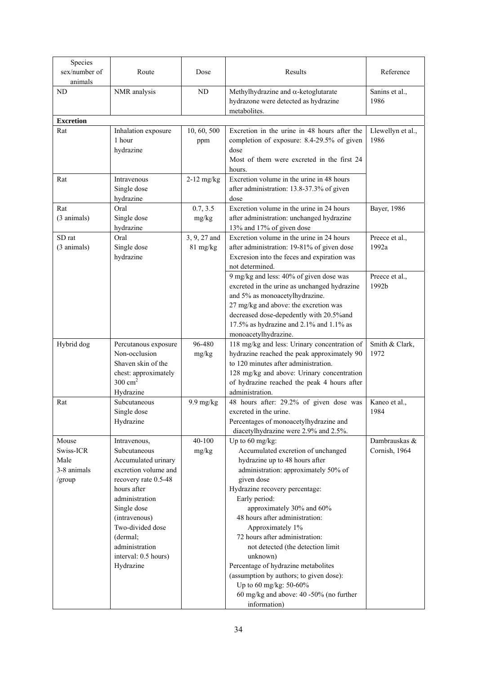| Species<br>sex/number of<br>animals                 | Route                                                                                                                                                                                                                                                       | Dose                     | Results                                                                                                                                                                                                                                                                                                                                                                                                                                                                                                                                       | Reference                         |
|-----------------------------------------------------|-------------------------------------------------------------------------------------------------------------------------------------------------------------------------------------------------------------------------------------------------------------|--------------------------|-----------------------------------------------------------------------------------------------------------------------------------------------------------------------------------------------------------------------------------------------------------------------------------------------------------------------------------------------------------------------------------------------------------------------------------------------------------------------------------------------------------------------------------------------|-----------------------------------|
| <b>ND</b>                                           | NMR analysis                                                                                                                                                                                                                                                | ND                       | Methylhydrazine and $\alpha$ -ketoglutarate<br>hydrazone were detected as hydrazine<br>metabolites.                                                                                                                                                                                                                                                                                                                                                                                                                                           | Sanins et al.,<br>1986            |
| <b>Excretion</b>                                    |                                                                                                                                                                                                                                                             |                          |                                                                                                                                                                                                                                                                                                                                                                                                                                                                                                                                               |                                   |
| Rat                                                 | Inhalation exposure<br>1 hour<br>hydrazine                                                                                                                                                                                                                  | 10, 60, 500<br>ppm       | Excretion in the urine in 48 hours after the<br>completion of exposure: 8.4-29.5% of given<br>dose<br>Most of them were excreted in the first 24<br>hours.                                                                                                                                                                                                                                                                                                                                                                                    | Llewellyn et al.,<br>1986         |
| Rat                                                 | Intravenous<br>Single dose<br>hydrazine                                                                                                                                                                                                                     | $2-12$ mg/kg             | Excretion volume in the urine in 48 hours<br>after administration: 13.8-37.3% of given<br>dose                                                                                                                                                                                                                                                                                                                                                                                                                                                |                                   |
| Rat<br>(3 animals)                                  | Oral<br>Single dose<br>hydrazine                                                                                                                                                                                                                            | 0.7, 3.5<br>mg/kg        | Excretion volume in the urine in 24 hours<br>after administration: unchanged hydrazine<br>13% and 17% of given dose                                                                                                                                                                                                                                                                                                                                                                                                                           | Bayer, 1986                       |
| SD rat<br>(3 animals)                               | Oral<br>Single dose<br>hydrazine                                                                                                                                                                                                                            | 3, 9, 27 and<br>81 mg/kg | Excretion volume in the urine in 24 hours<br>after administration: 19-81% of given dose<br>Excresion into the feces and expiration was<br>not determined.                                                                                                                                                                                                                                                                                                                                                                                     | Preece et al.,<br>1992a           |
|                                                     |                                                                                                                                                                                                                                                             |                          | 9 mg/kg and less: 40% of given dose was<br>excreted in the urine as unchanged hydrazine<br>and 5% as monoacetylhydrazine.<br>27 mg/kg and above: the excretion was<br>decreased dose-depedently with 20.5% and<br>17.5% as hydrazine and 2.1% and 1.1% as<br>monoacetylhydrazine.                                                                                                                                                                                                                                                             | Preece et al.,<br>1992b           |
| Hybrid dog                                          | Percutanous exposure<br>Non-occlusion<br>Shaven skin of the<br>chest: approximately<br>$300 \text{ cm}^2$<br>Hydrazine                                                                                                                                      | 96-480<br>mg/kg          | 118 mg/kg and less: Urinary concentration of<br>hydrazine reached the peak approximately 90<br>to 120 minutes after administration.<br>128 mg/kg and above: Urinary concentration<br>of hydrazine reached the peak 4 hours after<br>administration.                                                                                                                                                                                                                                                                                           | Smith & Clark,<br>1972            |
| Rat                                                 | Subcutaneous<br>Single dose<br>Hydrazine                                                                                                                                                                                                                    | $9.9 \text{ mg/kg}$      | 48 hours after: 29.2% of given dose was<br>excreted in the urine.<br>Percentages of monoacetylhydrazine and<br>diacetylhydrazine were 2.9% and 2.5%.                                                                                                                                                                                                                                                                                                                                                                                          | Kaneo et al.,<br>1984             |
| Mouse<br>Swiss-ICR<br>Male<br>3-8 animals<br>/group | Intravenous,<br>Subcutaneous<br>Accumulated urinary<br>excretion volume and<br>recovery rate 0.5-48<br>hours after<br>administration<br>Single dose<br>(intravenous)<br>Two-divided dose<br>(dermal;<br>administration<br>interval: 0.5 hours)<br>Hydrazine | 40-100<br>mg/kg          | Up to 60 mg/kg:<br>Accumulated excretion of unchanged<br>hydrazine up to 48 hours after<br>administration: approximately 50% of<br>given dose<br>Hydrazine recovery percentage:<br>Early period:<br>approximately 30% and 60%<br>48 hours after administration:<br>Approximately 1%<br>72 hours after administration:<br>not detected (the detection limit<br>unknown)<br>Percentage of hydrazine metabolites<br>(assumption by authors; to given dose):<br>Up to 60 mg/kg: 50-60%<br>60 mg/kg and above: 40 -50% (no further<br>information) | Dambrauskas $\&$<br>Cornish, 1964 |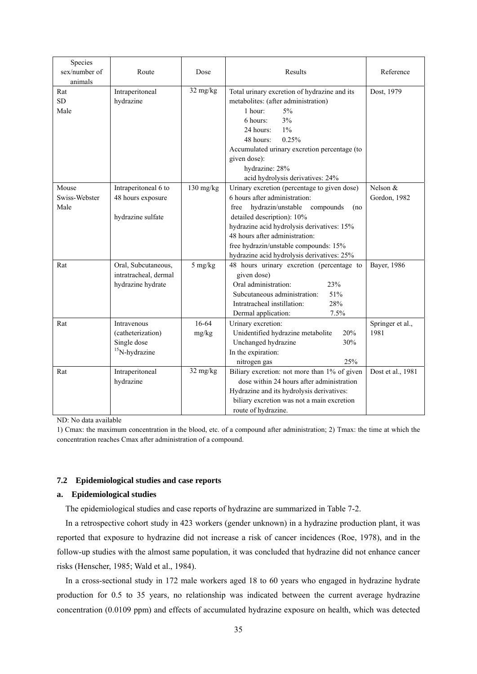| Species<br>sex/number of<br>animals | Route                                                               | Dose               | Results                                                                                                                                                                                                                                                                                                                             | Reference                |
|-------------------------------------|---------------------------------------------------------------------|--------------------|-------------------------------------------------------------------------------------------------------------------------------------------------------------------------------------------------------------------------------------------------------------------------------------------------------------------------------------|--------------------------|
| Rat<br><b>SD</b><br>Male            | Intraperitoneal<br>hydrazine                                        | 32 mg/kg           | Total urinary excretion of hydrazine and its<br>metabolites: (after administration)<br>1 hour:<br>5%<br>3%<br>6 hours:<br>$1\%$<br>24 hours:<br>48 hours:<br>0.25%<br>Accumulated urinary excretion percentage (to<br>given dose):<br>hydrazine: 28%<br>acid hydrolysis derivatives: 24%                                            | Dost, 1979               |
| Mouse<br>Swiss-Webster<br>Male      | Intraperitoneal 6 to<br>48 hours exposure<br>hydrazine sulfate      | 130 mg/kg          | Urinary excretion (percentage to given dose)<br>6 hours after administration:<br>hydrazin/unstable<br>compounds<br>free<br>(no<br>detailed description): 10%<br>hydrazine acid hydrolysis derivatives: 15%<br>48 hours after administration:<br>free hydrazin/unstable compounds: 15%<br>hydrazine acid hydrolysis derivatives: 25% | Nelson &<br>Gordon, 1982 |
| Rat                                 | Oral, Subcutaneous,<br>intratracheal, dermal<br>hydrazine hydrate   | 5 mg/kg            | 48 hours urinary excretion (percentage to<br>given dose)<br>Oral administration:<br>23%<br>Subcutaneous administration:<br>51%<br>Intratracheal instillation:<br>28%<br>Dermal application:<br>7.5%                                                                                                                                 | Bayer, 1986              |
| Rat                                 | Intravenous<br>(catheterization)<br>Single dose<br>$15$ N-hydrazine | 16-64<br>mg/kg     | Urinary excretion:<br>Unidentified hydrazine metabolite<br>20%<br>30%<br>Unchanged hydrazine<br>In the expiration:<br>25%<br>nitrogen gas                                                                                                                                                                                           | Springer et al.,<br>1981 |
| Rat                                 | Intraperitoneal<br>hydrazine                                        | $32 \text{ mg/kg}$ | Biliary excretion: not more than 1% of given<br>dose within 24 hours after administration<br>Hydrazine and its hydrolysis derivatives:<br>biliary excretion was not a main excretion<br>route of hydrazine.                                                                                                                         | Dost et al., 1981        |

ND: No data available

1) Cmax: the maximum concentration in the blood, etc. of a compound after administration; 2) Tmax: the time at which the concentration reaches Cmax after administration of a compound.

### **7.2 Epidemiological studies and case reports**

# **a. Epidemiological studies**

The epidemiological studies and case reports of hydrazine are summarized in Table 7-2.

In a retrospective cohort study in 423 workers (gender unknown) in a hydrazine production plant, it was reported that exposure to hydrazine did not increase a risk of cancer incidences (Roe, 1978), and in the follow-up studies with the almost same population, it was concluded that hydrazine did not enhance cancer risks (Henscher, 1985; Wald et al., 1984).

In a cross-sectional study in 172 male workers aged 18 to 60 years who engaged in hydrazine hydrate production for 0.5 to 35 years, no relationship was indicated between the current average hydrazine concentration (0.0109 ppm) and effects of accumulated hydrazine exposure on health, which was detected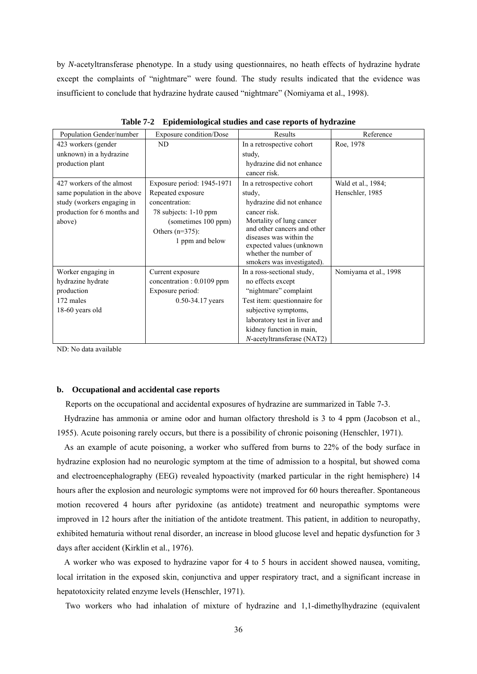by *N*-acetyltransferase phenotype. In a study using questionnaires, no heath effects of hydrazine hydrate except the complaints of "nightmare" were found. The study results indicated that the evidence was insufficient to conclude that hydrazine hydrate caused "nightmare" (Nomiyama et al., 1998).

| Population Gender/number     | Exposure condition/Dose    | Results                                                | Reference             |
|------------------------------|----------------------------|--------------------------------------------------------|-----------------------|
| 423 workers (gender          | ND                         | In a retrospective cohort                              | Roe, 1978             |
| unknown) in a hydrazine      |                            | study,                                                 |                       |
| production plant             |                            | hydrazine did not enhance                              |                       |
|                              |                            | cancer risk.                                           |                       |
| 427 workers of the almost    | Exposure period: 1945-1971 | In a retrospective cohort                              | Wald et al., 1984;    |
| same population in the above | Repeated exposure          | study,                                                 | Henschler, 1985       |
| study (workers engaging in   | concentration:             | hydrazine did not enhance                              |                       |
| production for 6 months and  | 78 subjects: 1-10 ppm      | cancer risk.                                           |                       |
| above)                       | (sometimes 100 ppm)        | Mortality of lung cancer                               |                       |
|                              | Others $(n=375)$ :         | and other cancers and other<br>diseases was within the |                       |
|                              | 1 ppm and below            | expected values (unknown)                              |                       |
|                              |                            | whether the number of                                  |                       |
|                              |                            | smokers was investigated).                             |                       |
| Worker engaging in           | Current exposure           | In a ross-sectional study,                             | Nomiyama et al., 1998 |
| hydrazine hydrate            | concentration : 0.0109 ppm | no effects except                                      |                       |
| production                   | Exposure period:           | "nightmare" complaint                                  |                       |
| 172 males                    | $0.50 - 34.17$ years       | Test item: questionnaire for                           |                       |
| 18-60 years old              |                            | subjective symptoms,                                   |                       |
|                              |                            | laboratory test in liver and                           |                       |
|                              |                            | kidney function in main,                               |                       |
|                              |                            | <i>N</i> -acetyltransferase (NAT2)                     |                       |

**Table 7-2 Epidemiological studies and case reports of hydrazine** 

ND: No data available

# **b. Occupational and accidental case reports**

Reports on the occupational and accidental exposures of hydrazine are summarized in Table 7-3.

Hydrazine has ammonia or amine odor and human olfactory threshold is 3 to 4 ppm (Jacobson et al., 1955). Acute poisoning rarely occurs, but there is a possibility of chronic poisoning (Henschler, 1971).

As an example of acute poisoning, a worker who suffered from burns to 22% of the body surface in hydrazine explosion had no neurologic symptom at the time of admission to a hospital, but showed coma and electroencephalography (EEG) revealed hypoactivity (marked particular in the right hemisphere) 14 hours after the explosion and neurologic symptoms were not improved for 60 hours thereafter. Spontaneous motion recovered 4 hours after pyridoxine (as antidote) treatment and neuropathic symptoms were improved in 12 hours after the initiation of the antidote treatment. This patient, in addition to neuropathy, exhibited hematuria without renal disorder, an increase in blood glucose level and hepatic dysfunction for 3 days after accident (Kirklin et al., 1976).

A worker who was exposed to hydrazine vapor for 4 to 5 hours in accident showed nausea, vomiting, local irritation in the exposed skin, conjunctiva and upper respiratory tract, and a significant increase in hepatotoxicity related enzyme levels (Henschler, 1971).

Two workers who had inhalation of mixture of hydrazine and 1,1-dimethylhydrazine (equivalent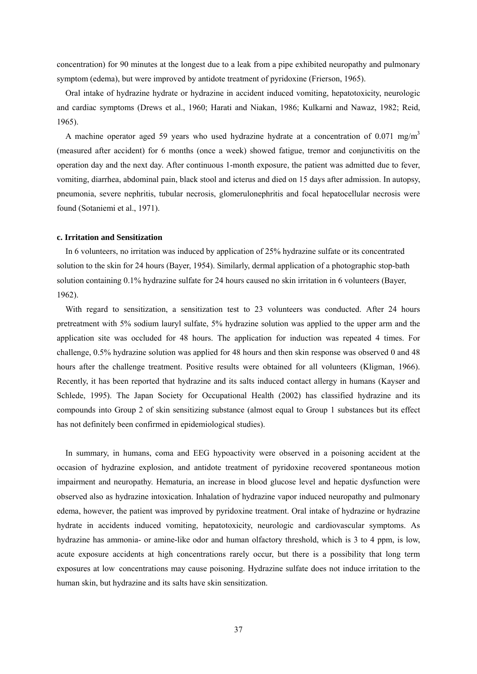concentration) for 90 minutes at the longest due to a leak from a pipe exhibited neuropathy and pulmonary symptom (edema), but were improved by antidote treatment of pyridoxine (Frierson, 1965).

Oral intake of hydrazine hydrate or hydrazine in accident induced vomiting, hepatotoxicity, neurologic and cardiac symptoms (Drews et al., 1960; Harati and Niakan, 1986; Kulkarni and Nawaz, 1982; Reid, 1965).

A machine operator aged 59 years who used hydrazine hydrate at a concentration of 0.071 mg/m<sup>3</sup> (measured after accident) for 6 months (once a week) showed fatigue, tremor and conjunctivitis on the operation day and the next day. After continuous 1-month exposure, the patient was admitted due to fever, vomiting, diarrhea, abdominal pain, black stool and icterus and died on 15 days after admission. In autopsy, pneumonia, severe nephritis, tubular necrosis, glomerulonephritis and focal hepatocellular necrosis were found (Sotaniemi et al., 1971).

#### **c. Irritation and Sensitization**

In 6 volunteers, no irritation was induced by application of 25% hydrazine sulfate or its concentrated solution to the skin for 24 hours (Bayer, 1954). Similarly, dermal application of a photographic stop-bath solution containing 0.1% hydrazine sulfate for 24 hours caused no skin irritation in 6 volunteers (Bayer, 1962).

With regard to sensitization, a sensitization test to 23 volunteers was conducted. After 24 hours pretreatment with 5% sodium lauryl sulfate, 5% hydrazine solution was applied to the upper arm and the application site was occluded for 48 hours. The application for induction was repeated 4 times. For challenge, 0.5% hydrazine solution was applied for 48 hours and then skin response was observed 0 and 48 hours after the challenge treatment. Positive results were obtained for all volunteers (Kligman, 1966). Recently, it has been reported that hydrazine and its salts induced contact allergy in humans (Kayser and Schlede, 1995). The Japan Society for Occupational Health (2002) has classified hydrazine and its compounds into Group 2 of skin sensitizing substance (almost equal to Group 1 substances but its effect has not definitely been confirmed in epidemiological studies).

In summary, in humans, coma and EEG hypoactivity were observed in a poisoning accident at the occasion of hydrazine explosion, and antidote treatment of pyridoxine recovered spontaneous motion impairment and neuropathy. Hematuria, an increase in blood glucose level and hepatic dysfunction were observed also as hydrazine intoxication. Inhalation of hydrazine vapor induced neuropathy and pulmonary edema, however, the patient was improved by pyridoxine treatment. Oral intake of hydrazine or hydrazine hydrate in accidents induced vomiting, hepatotoxicity, neurologic and cardiovascular symptoms. As hydrazine has ammonia- or amine-like odor and human olfactory threshold, which is 3 to 4 ppm, is low, acute exposure accidents at high concentrations rarely occur, but there is a possibility that long term exposures at low concentrations may cause poisoning. Hydrazine sulfate does not induce irritation to the human skin, but hydrazine and its salts have skin sensitization.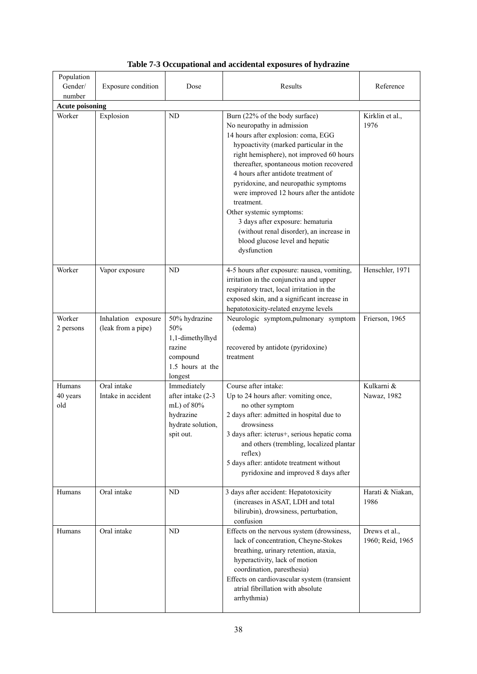| Population<br>Gender/<br>number | Exposure condition                        | Dose                                                                                            | Results                                                                                                                                                                                                                                                                                                                                                                                                                                                                                                                                       | Reference                         |
|---------------------------------|-------------------------------------------|-------------------------------------------------------------------------------------------------|-----------------------------------------------------------------------------------------------------------------------------------------------------------------------------------------------------------------------------------------------------------------------------------------------------------------------------------------------------------------------------------------------------------------------------------------------------------------------------------------------------------------------------------------------|-----------------------------------|
| <b>Acute poisoning</b>          |                                           |                                                                                                 |                                                                                                                                                                                                                                                                                                                                                                                                                                                                                                                                               |                                   |
| Worker                          | Explosion                                 | ND                                                                                              | Burn (22% of the body surface)<br>No neuropathy in admission<br>14 hours after explosion: coma, EGG<br>hypoactivity (marked particular in the<br>right hemisphere), not improved 60 hours<br>thereafter, spontaneous motion recovered<br>4 hours after antidote treatment of<br>pyridoxine, and neuropathic symptoms<br>were improved 12 hours after the antidote<br>treatment.<br>Other systemic symptoms:<br>3 days after exposure: hematuria<br>(without renal disorder), an increase in<br>blood glucose level and hepatic<br>dysfunction | Kirklin et al.,<br>1976           |
| Worker                          | Vapor exposure                            | ND                                                                                              | 4-5 hours after exposure: nausea, vomiting,<br>irritation in the conjunctiva and upper<br>respiratory tract, local irritation in the<br>exposed skin, and a significant increase in<br>hepatotoxicity-related enzyme levels                                                                                                                                                                                                                                                                                                                   | Henschler, 1971                   |
| Worker<br>2 persons             | Inhalation exposure<br>(leak from a pipe) | 50% hydrazine<br>$50\%$<br>1,1-dimethylhyd<br>razine<br>compound<br>1.5 hours at the<br>longest | Neurologic symptom, pulmonary symptom<br>(edema)<br>recovered by antidote (pyridoxine)<br>treatment                                                                                                                                                                                                                                                                                                                                                                                                                                           | Frierson, 1965                    |
| Humans<br>40 years<br>old       | Oral intake<br>Intake in accident         | Immediately<br>after intake (2-3<br>mL) of 80%<br>hydrazine<br>hydrate solution,<br>spit out.   | Course after intake:<br>Up to 24 hours after: vomiting once,<br>no other symptom<br>2 days after: admitted in hospital due to<br>drowsiness<br>3 days after: icterus+, serious hepatic coma<br>and others (trembling, localized plantar<br>reflex)<br>5 days after: antidote treatment without<br>pyridoxine and improved 8 days after                                                                                                                                                                                                        | Kulkarni &<br>Nawaz, 1982         |
| Humans                          | Oral intake                               | ND                                                                                              | 3 days after accident: Hepatotoxicity<br>(increases in ASAT, LDH and total<br>bilirubin), drowsiness, perturbation,<br>confusion                                                                                                                                                                                                                                                                                                                                                                                                              | Harati & Niakan,<br>1986          |
| Humans                          | Oral intake                               | ND                                                                                              | Effects on the nervous system (drowsiness,<br>lack of concentration, Cheyne-Stokes<br>breathing, urinary retention, ataxia,<br>hyperactivity, lack of motion<br>coordination, paresthesia)<br>Effects on cardiovascular system (transient<br>atrial fibrillation with absolute<br>arrhythmia)                                                                                                                                                                                                                                                 | Drews et al.,<br>1960; Reid, 1965 |

# **Table 7-3 Occupational and accidental exposures of hydrazine**

٦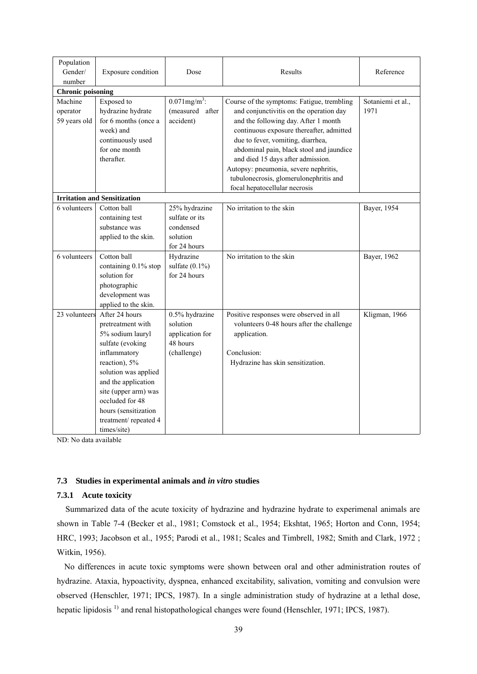| Population                          |                                         |                             |                                                                                      |                           |
|-------------------------------------|-----------------------------------------|-----------------------------|--------------------------------------------------------------------------------------|---------------------------|
| Gender/                             | Exposure condition                      | Dose                        | Results                                                                              | Reference                 |
| number                              |                                         |                             |                                                                                      |                           |
| <b>Chronic poisoning</b><br>Machine |                                         | $0.071$ mg/m <sup>3</sup> : |                                                                                      |                           |
|                                     | Exposed to                              | (measured after             | Course of the symptoms: Fatigue, trembling                                           | Sotaniemi et al.,<br>1971 |
| operator                            | hydrazine hydrate                       | accident)                   | and conjunctivitis on the operation day                                              |                           |
| 59 years old                        | for 6 months (once a<br>week) and       |                             | and the following day. After 1 month                                                 |                           |
|                                     |                                         |                             | continuous exposure thereafter, admitted                                             |                           |
|                                     | continuously used<br>for one month      |                             | due to fever, vomiting, diarrhea,                                                    |                           |
|                                     | therafter.                              |                             | abdominal pain, black stool and jaundice                                             |                           |
|                                     |                                         |                             | and died 15 days after admission.                                                    |                           |
|                                     |                                         |                             | Autopsy: pneumonia, severe nephritis,                                                |                           |
|                                     |                                         |                             | tubulonecrosis, glomerulonephritis and                                               |                           |
|                                     | <b>Irritation and Sensitization</b>     |                             | focal hepatocellular necrosis                                                        |                           |
| 6 volunteers                        | Cotton ball                             | 25% hydrazine               | No irritation to the skin                                                            | Bayer, 1954               |
|                                     | containing test                         | sulfate or its              |                                                                                      |                           |
|                                     | substance was                           | condensed                   |                                                                                      |                           |
|                                     |                                         | solution                    |                                                                                      |                           |
|                                     | applied to the skin.                    | for 24 hours                |                                                                                      |                           |
| 6 volunteers                        | Cotton ball                             | Hydrazine                   | No irritation to the skin                                                            | Bayer, 1962               |
|                                     | containing 0.1% stop                    | sulfate $(0.1\%)$           |                                                                                      |                           |
|                                     | solution for                            | for 24 hours                |                                                                                      |                           |
|                                     | photographic                            |                             |                                                                                      |                           |
|                                     |                                         |                             |                                                                                      |                           |
|                                     | development was<br>applied to the skin. |                             |                                                                                      |                           |
| 23 volunteers                       | After 24 hours                          | 0.5% hydrazine              |                                                                                      | Kligman, 1966             |
|                                     | pretreatment with                       | solution                    | Positive responses were observed in all<br>volunteers 0-48 hours after the challenge |                           |
|                                     | 5% sodium lauryl                        | application for             | application.                                                                         |                           |
|                                     | sulfate (evoking                        | 48 hours                    |                                                                                      |                           |
|                                     | inflammatory                            | (challenge)                 | Conclusion:                                                                          |                           |
|                                     | reaction), 5%                           |                             | Hydrazine has skin sensitization.                                                    |                           |
|                                     | solution was applied                    |                             |                                                                                      |                           |
|                                     | and the application                     |                             |                                                                                      |                           |
|                                     | site (upper arm) was                    |                             |                                                                                      |                           |
|                                     | occluded for 48                         |                             |                                                                                      |                           |
|                                     | hours (sensitization                    |                             |                                                                                      |                           |
|                                     |                                         |                             |                                                                                      |                           |
|                                     | treatment/repeated 4                    |                             |                                                                                      |                           |
|                                     | times/site)                             |                             |                                                                                      |                           |

ND: No data available

# **7.3 Studies in experimental animals and** *in vitro* **studies**

#### **7.3.1 Acute toxicity**

Summarized data of the acute toxicity of hydrazine and hydrazine hydrate to experimenal animals are shown in Table 7-4 (Becker et al., 1981; Comstock et al., 1954; Ekshtat, 1965; Horton and Conn, 1954; HRC, 1993; Jacobson et al., 1955; Parodi et al., 1981; Scales and Timbrell, 1982; Smith and Clark, 1972 ; Witkin, 1956).

No differences in acute toxic symptoms were shown between oral and other administration routes of hydrazine. Ataxia, hypoactivity, dyspnea, enhanced excitability, salivation, vomiting and convulsion were observed (Henschler, 1971; IPCS, 1987). In a single administration study of hydrazine at a lethal dose, hepatic lipidosis<sup>1)</sup> and renal histopathological changes were found (Henschler, 1971; IPCS, 1987).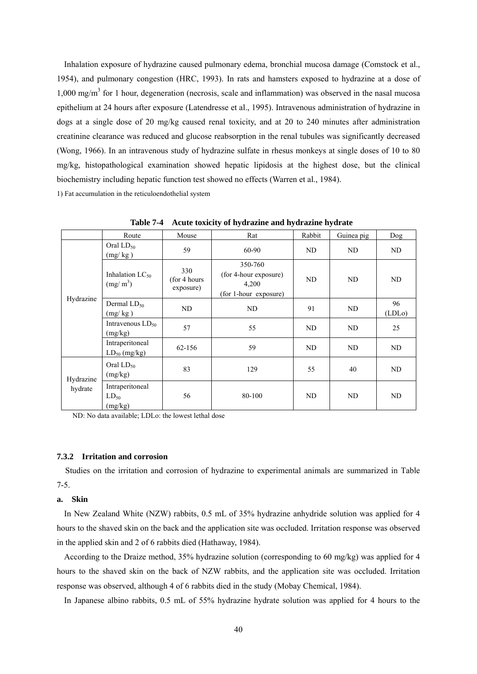Inhalation exposure of hydrazine caused pulmonary edema, bronchial mucosa damage (Comstock et al., 1954), and pulmonary congestion (HRC, 1993). In rats and hamsters exposed to hydrazine at a dose of 1,000 mg/m<sup>3</sup> for 1 hour, degeneration (necrosis, scale and inflammation) was observed in the nasal mucosa epithelium at 24 hours after exposure (Latendresse et al., 1995). Intravenous administration of hydrazine in dogs at a single dose of 20 mg/kg caused renal toxicity, and at 20 to 240 minutes after administration creatinine clearance was reduced and glucose reabsorption in the renal tubules was significantly decreased (Wong, 1966). In an intravenous study of hydrazine sulfate in rhesus monkeys at single doses of 10 to 80 mg/kg, histopathological examination showed hepatic lipidosis at the highest dose, but the clinical biochemistry including hepatic function test showed no effects (Warren et al., 1984).

1) Fat accumulation in the reticuloendothelial system

|           | Route                                        | Mouse                             | Rat                                                                | Rabbit | Guinea pig | Dog          |
|-----------|----------------------------------------------|-----------------------------------|--------------------------------------------------------------------|--------|------------|--------------|
|           | Oral $LD_{50}$<br>(mg/kg)                    | 59                                | 60-90                                                              | ND     | ND         | ND           |
|           | Inhalation $LC_{50}$<br>(mg/m <sup>3</sup> ) | 330<br>(for 4 hours)<br>exposure) | 350-760<br>(for 4-hour exposure)<br>4,200<br>(for 1-hour exposure) | ND     | ND         | ND           |
| Hydrazine | Dermal $LD_{50}$<br>(mg/kg)                  | ND                                | ND                                                                 | 91     | ND         | 96<br>(LDLo) |
|           | Intravenous $LD_{50}$<br>(mg/kg)             | 57                                | 55                                                                 | ND     | ND         | 25           |
|           | Intraperitoneal<br>$LD_{50}$ (mg/kg)         | 62-156                            | 59                                                                 | ND     | ND         | ND           |
| Hydrazine | Oral $LD_{50}$<br>(mg/kg)                    | 83                                | 129                                                                | 55     | 40         | ND           |
| hydrate   | Intraperitoneal<br>$LD_{50}$<br>(mg/kg)      | 56                                | 80-100                                                             | ND     | ND         | ND           |

**Table 7-4 Acute toxicity of hydrazine and hydrazine hydrate** 

ND: No data available; LDLo: the lowest lethal dose

#### **7.3.2 Irritation and corrosion**

Studies on the irritation and corrosion of hydrazine to experimental animals are summarized in Table 7-5.

# **a. Skin**

In New Zealand White (NZW) rabbits, 0.5 mL of 35% hydrazine anhydride solution was applied for 4 hours to the shaved skin on the back and the application site was occluded. Irritation response was observed in the applied skin and 2 of 6 rabbits died (Hathaway, 1984).

According to the Draize method, 35% hydrazine solution (corresponding to 60 mg/kg) was applied for 4 hours to the shaved skin on the back of NZW rabbits, and the application site was occluded. Irritation response was observed, although 4 of 6 rabbits died in the study (Mobay Chemical, 1984).

In Japanese albino rabbits, 0.5 mL of 55% hydrazine hydrate solution was applied for 4 hours to the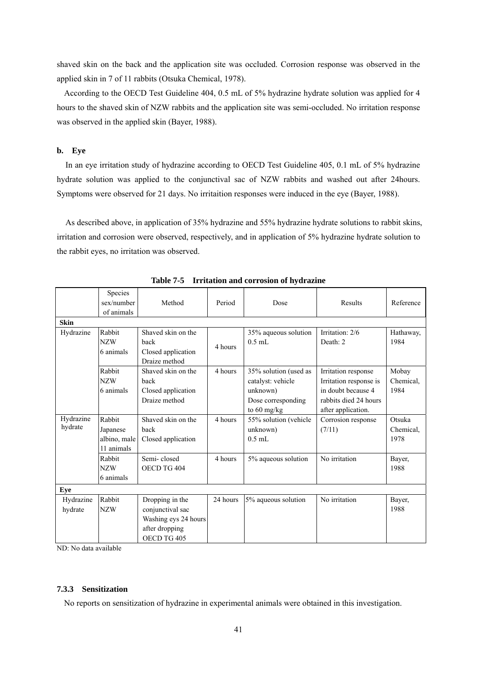shaved skin on the back and the application site was occluded. Corrosion response was observed in the applied skin in 7 of 11 rabbits (Otsuka Chemical, 1978).

According to the OECD Test Guideline 404, 0.5 mL of 5% hydrazine hydrate solution was applied for 4 hours to the shaved skin of NZW rabbits and the application site was semi-occluded. No irritation response was observed in the applied skin (Bayer, 1988).

# **b. Eye**

In an eye irritation study of hydrazine according to OECD Test Guideline 405, 0.1 mL of 5% hydrazine hydrate solution was applied to the conjunctival sac of NZW rabbits and washed out after 24hours. Symptoms were observed for 21 days. No irritaition responses were induced in the eye (Bayer, 1988).

As described above, in application of 35% hydrazine and 55% hydrazine hydrate solutions to rabbit skins, irritation and corrosion were observed, respectively, and in application of 5% hydrazine hydrate solution to the rabbit eyes, no irritation was observed.

|             | Species<br>sex/number | Method               | Period   | Dose                  | Results                | Reference |
|-------------|-----------------------|----------------------|----------|-----------------------|------------------------|-----------|
|             | of animals            |                      |          |                       |                        |           |
| <b>Skin</b> |                       |                      |          |                       |                        |           |
| Hydrazine   | Rabbit                | Shaved skin on the   |          | 35% aqueous solution  | Irritation: 2/6        | Hathaway, |
|             | <b>NZW</b>            | back                 | 4 hours  | $0.5$ mL              | Death: 2               | 1984      |
|             | 6 animals             | Closed application   |          |                       |                        |           |
|             |                       | Draize method        |          |                       |                        |           |
|             | Rabbit                | Shaved skin on the   | 4 hours  | 35% solution (used as | Irritation response    | Mobay     |
|             | <b>NZW</b>            | back                 |          | catalyst: vehicle     | Irritation response is | Chemical, |
|             | 6 animals             | Closed application   |          | unknown)              | in doubt because 4     | 1984      |
|             |                       | Draize method        |          | Dose corresponding    | rabbits died 24 hours  |           |
|             |                       |                      |          | to 60 mg/kg           | after application.     |           |
| Hydrazine   | Rabbit                | Shaved skin on the   | 4 hours  | 55% solution (vehicle | Corrosion response     | Otsuka    |
| hydrate     | Japanese              | back                 |          | unknown)              | (7/11)                 | Chemical, |
|             | albino, male          | Closed application   |          | $0.5$ mL              |                        | 1978      |
|             | 11 animals            |                      |          |                       |                        |           |
|             | Rabbit                | Semi-closed          | 4 hours  | 5% aqueous solution   | No irritation          | Bayer,    |
|             | <b>NZW</b>            | OECD TG 404          |          |                       |                        | 1988      |
|             | 6 animals             |                      |          |                       |                        |           |
| Eye         |                       |                      |          |                       |                        |           |
| Hydrazine   | Rabbit                | Dropping in the      | 24 hours | 5% aqueous solution   | No irritation          | Bayer,    |
| hydrate     | <b>NZW</b>            | conjunctival sac     |          |                       |                        | 1988      |
|             |                       | Washing eys 24 hours |          |                       |                        |           |
|             |                       | after dropping       |          |                       |                        |           |
|             |                       | OECD TG 405          |          |                       |                        |           |

**Table 7-5 Irritation and corrosion of hydrazine** 

ND: No data available

### **7.3.3 Sensitization**

No reports on sensitization of hydrazine in experimental animals were obtained in this investigation.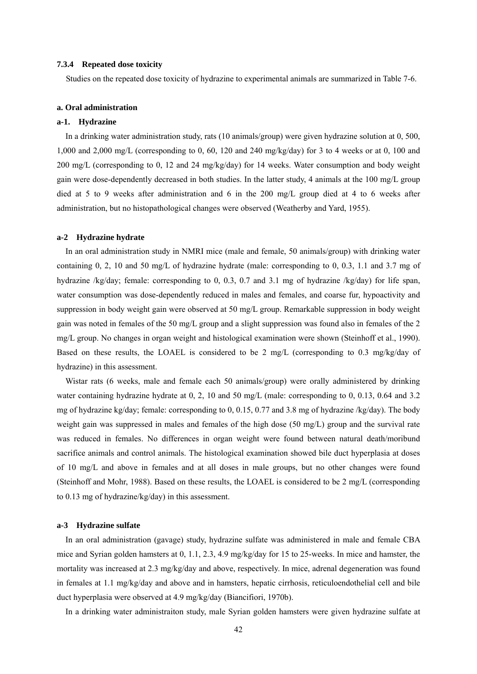#### **7.3.4 Repeated dose toxicity**

Studies on the repeated dose toxicity of hydrazine to experimental animals are summarized in Table 7-6.

### **a. Oral administration**

### **a-1. Hydrazine**

In a drinking water administration study, rats (10 animals/group) were given hydrazine solution at 0, 500, 1,000 and 2,000 mg/L (corresponding to 0, 60, 120 and 240 mg/kg/day) for 3 to 4 weeks or at 0, 100 and 200 mg/L (corresponding to 0, 12 and 24 mg/kg/day) for 14 weeks. Water consumption and body weight gain were dose-dependently decreased in both studies. In the latter study, 4 animals at the 100 mg/L group died at 5 to 9 weeks after administration and 6 in the 200 mg/L group died at 4 to 6 weeks after administration, but no histopathological changes were observed (Weatherby and Yard, 1955).

#### **a-2 Hydrazine hydrate**

In an oral administration study in NMRI mice (male and female, 50 animals/group) with drinking water containing 0, 2, 10 and 50 mg/L of hydrazine hydrate (male: corresponding to 0, 0.3, 1.1 and 3.7 mg of hydrazine /kg/day; female: corresponding to 0, 0.3, 0.7 and 3.1 mg of hydrazine /kg/day) for life span, water consumption was dose-dependently reduced in males and females, and coarse fur, hypoactivity and suppression in body weight gain were observed at 50 mg/L group. Remarkable suppression in body weight gain was noted in females of the 50 mg/L group and a slight suppression was found also in females of the 2 mg/L group. No changes in organ weight and histological examination were shown (Steinhoff et al., 1990). Based on these results, the LOAEL is considered to be 2 mg/L (corresponding to 0.3 mg/kg/day of hydrazine) in this assessment.

Wistar rats (6 weeks, male and female each 50 animals/group) were orally administered by drinking water containing hydrazine hydrate at 0, 2, 10 and 50 mg/L (male: corresponding to 0, 0.13, 0.64 and 3.2) mg of hydrazine kg/day; female: corresponding to 0, 0.15, 0.77 and 3.8 mg of hydrazine /kg/day). The body weight gain was suppressed in males and females of the high dose (50 mg/L) group and the survival rate was reduced in females. No differences in organ weight were found between natural death/moribund sacrifice animals and control animals. The histological examination showed bile duct hyperplasia at doses of 10 mg/L and above in females and at all doses in male groups, but no other changes were found (Steinhoff and Mohr, 1988). Based on these results, the LOAEL is considered to be 2 mg/L (corresponding to 0.13 mg of hydrazine/kg/day) in this assessment.

#### **a-3 Hydrazine sulfate**

In an oral administration (gavage) study, hydrazine sulfate was administered in male and female CBA mice and Syrian golden hamsters at 0, 1.1, 2.3, 4.9 mg/kg/day for 15 to 25-weeks. In mice and hamster, the mortality was increased at 2.3 mg/kg/day and above, respectively. In mice, adrenal degeneration was found in females at 1.1 mg/kg/day and above and in hamsters, hepatic cirrhosis, reticuloendothelial cell and bile duct hyperplasia were observed at 4.9 mg/kg/day (Biancifiori, 1970b).

In a drinking water administraiton study, male Syrian golden hamsters were given hydrazine sulfate at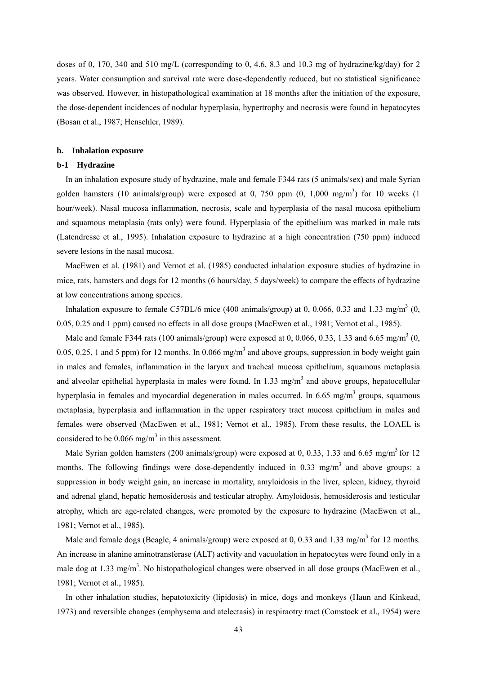doses of 0, 170, 340 and 510 mg/L (corresponding to 0, 4.6, 8.3 and 10.3 mg of hydrazine/kg/day) for 2 years. Water consumption and survival rate were dose-dependently reduced, but no statistical significance was observed. However, in histopathological examination at 18 months after the initiation of the exposure, the dose-dependent incidences of nodular hyperplasia, hypertrophy and necrosis were found in hepatocytes (Bosan et al., 1987; Henschler, 1989).

#### **b. Inhalation exposure**

#### **b-1 Hydrazine**

In an inhalation exposure study of hydrazine, male and female F344 rats (5 animals/sex) and male Syrian golden hamsters (10 animals/group) were exposed at 0, 750 ppm  $(0, 1,000 \text{ mg/m}^3)$  for 10 weeks (1) hour/week). Nasal mucosa inflammation, necrosis, scale and hyperplasia of the nasal mucosa epithelium and squamous metaplasia (rats only) were found. Hyperplasia of the epithelium was marked in male rats (Latendresse et al., 1995). Inhalation exposure to hydrazine at a high concentration (750 ppm) induced severe lesions in the nasal mucosa.

MacEwen et al. (1981) and Vernot et al. (1985) conducted inhalation exposure studies of hydrazine in mice, rats, hamsters and dogs for 12 months (6 hours/day, 5 days/week) to compare the effects of hydrazine at low concentrations among species.

Inhalation exposure to female C57BL/6 mice (400 animals/group) at 0, 0.066, 0.33 and 1.33 mg/m<sup>3</sup> (0, 0.05, 0.25 and 1 ppm) caused no effects in all dose groups (MacEwen et al., 1981; Vernot et al., 1985).

Male and female F344 rats (100 animals/group) were exposed at 0, 0.066, 0.33, 1.33 and 6.65 mg/m<sup>3</sup> (0, 0.05, 0.25, 1 and 5 ppm) for 12 months. In 0.066 mg/m<sup>3</sup> and above groups, suppression in body weight gain in males and females, inflammation in the larynx and tracheal mucosa epithelium, squamous metaplasia and alveolar epithelial hyperplasia in males were found. In 1.33 mg/m<sup>3</sup> and above groups, hepatocellular hyperplasia in females and myocardial degeneration in males occurred. In 6.65 mg/m<sup>3</sup> groups, squamous metaplasia, hyperplasia and inflammation in the upper respiratory tract mucosa epithelium in males and females were observed (MacEwen et al., 1981; Vernot et al., 1985). From these results, the LOAEL is considered to be  $0.066$  mg/m<sup>3</sup> in this assessment.

Male Syrian golden hamsters (200 animals/group) were exposed at 0, 0.33, 1.33 and 6.65 mg/m<sup>3</sup> for 12 months. The following findings were dose-dependently induced in 0.33 mg/m<sup>3</sup> and above groups: a suppression in body weight gain, an increase in mortality, amyloidosis in the liver, spleen, kidney, thyroid and adrenal gland, hepatic hemosiderosis and testicular atrophy. Amyloidosis, hemosiderosis and testicular atrophy, which are age-related changes, were promoted by the exposure to hydrazine (MacEwen et al., 1981; Vernot et al., 1985).

Male and female dogs (Beagle, 4 animals/group) were exposed at 0, 0.33 and 1.33 mg/m<sup>3</sup> for 12 months. An increase in alanine aminotransferase (ALT) activity and vacuolation in hepatocytes were found only in a male dog at 1.33 mg/m<sup>3</sup>. No histopathological changes were observed in all dose groups (MacEwen et al., 1981; Vernot et al., 1985).

In other inhalation studies, hepatotoxicity (lipidosis) in mice, dogs and monkeys (Haun and Kinkead, 1973) and reversible changes (emphysema and atelectasis) in respiraotry tract (Comstock et al., 1954) were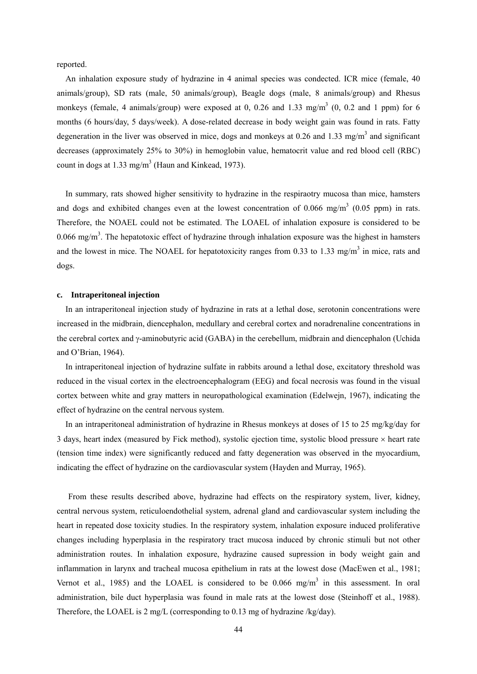reported.

An inhalation exposure study of hydrazine in 4 animal species was condected. ICR mice (female, 40 animals/group), SD rats (male, 50 animals/group), Beagle dogs (male, 8 animals/group) and Rhesus monkeys (female, 4 animals/group) were exposed at 0, 0.26 and 1.33 mg/m<sup>3</sup> (0, 0.2 and 1 ppm) for 6 months (6 hours/day, 5 days/week). A dose-related decrease in body weight gain was found in rats. Fatty degeneration in the liver was observed in mice, dogs and monkeys at  $0.26$  and  $1.33$  mg/m<sup>3</sup> and significant decreases (approximately 25% to 30%) in hemoglobin value, hematocrit value and red blood cell (RBC) count in dogs at  $1.33$  mg/m<sup>3</sup> (Haun and Kinkead, 1973).

In summary, rats showed higher sensitivity to hydrazine in the respiraotry mucosa than mice, hamsters and dogs and exhibited changes even at the lowest concentration of 0.066 mg/m<sup>3</sup> (0.05 ppm) in rats. Therefore, the NOAEL could not be estimated. The LOAEL of inhalation exposure is considered to be  $0.066$  mg/m<sup>3</sup>. The hepatotoxic effect of hydrazine through inhalation exposure was the highest in hamsters and the lowest in mice. The NOAEL for hepatotoxicity ranges from 0.33 to 1.33 mg/m<sup>3</sup> in mice, rats and dogs.

### **c. Intraperitoneal injection**

In an intraperitoneal injection study of hydrazine in rats at a lethal dose, serotonin concentrations were increased in the midbrain, diencephalon, medullary and cerebral cortex and noradrenaline concentrations in the cerebral cortex and γ-aminobutyric acid (GABA) in the cerebellum, midbrain and diencephalon (Uchida and O'Brian, 1964).

In intraperitoneal injection of hydrazine sulfate in rabbits around a lethal dose, excitatory threshold was reduced in the visual cortex in the electroencephalogram (EEG) and focal necrosis was found in the visual cortex between white and gray matters in neuropathological examination (Edelwejn, 1967), indicating the effect of hydrazine on the central nervous system.

In an intraperitoneal administration of hydrazine in Rhesus monkeys at doses of 15 to 25 mg/kg/day for 3 days, heart index (measured by Fick method), systolic ejection time, systolic blood pressure  $\times$  heart rate (tension time index) were significantly reduced and fatty degeneration was observed in the myocardium, indicating the effect of hydrazine on the cardiovascular system (Hayden and Murray, 1965).

From these results described above, hydrazine had effects on the respiratory system, liver, kidney, central nervous system, reticuloendothelial system, adrenal gland and cardiovascular system including the heart in repeated dose toxicity studies. In the respiratory system, inhalation exposure induced proliferative changes including hyperplasia in the respiratory tract mucosa induced by chronic stimuli but not other administration routes. In inhalation exposure, hydrazine caused supression in body weight gain and inflammation in larynx and tracheal mucosa epithelium in rats at the lowest dose (MacEwen et al., 1981; Vernot et al., 1985) and the LOAEL is considered to be  $0.066$  mg/m<sup>3</sup> in this assessment. In oral administration, bile duct hyperplasia was found in male rats at the lowest dose (Steinhoff et al., 1988). Therefore, the LOAEL is 2 mg/L (corresponding to 0.13 mg of hydrazine /kg/day).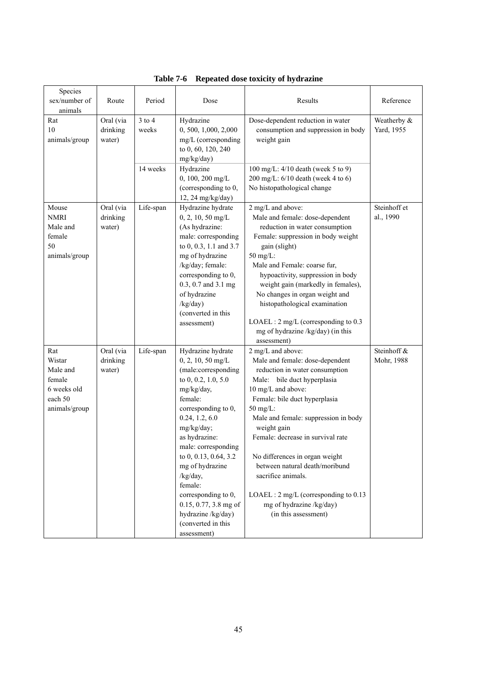| Species<br>sex/number of<br>animals                                            | Route                           | Period              | Dose                                                                                                                                                                                                                                                                                                                                                                                           | Results                                                                                                                                                                                                                                                                                                                                                                                                                                                                                              | Reference                 |
|--------------------------------------------------------------------------------|---------------------------------|---------------------|------------------------------------------------------------------------------------------------------------------------------------------------------------------------------------------------------------------------------------------------------------------------------------------------------------------------------------------------------------------------------------------------|------------------------------------------------------------------------------------------------------------------------------------------------------------------------------------------------------------------------------------------------------------------------------------------------------------------------------------------------------------------------------------------------------------------------------------------------------------------------------------------------------|---------------------------|
| Rat<br>10<br>animals/group                                                     | Oral (via<br>drinking<br>water) | $3$ to $4$<br>weeks | Hydrazine<br>0, 500, 1,000, 2,000<br>mg/L (corresponding<br>to 0, 60, 120, 240<br>mg/kg/day)                                                                                                                                                                                                                                                                                                   | Dose-dependent reduction in water<br>consumption and suppression in body<br>weight gain                                                                                                                                                                                                                                                                                                                                                                                                              | Weatherby &<br>Yard, 1955 |
|                                                                                |                                 | 14 weeks            | Hydrazine<br>0, 100, 200 mg/L<br>(corresponding to 0,<br>12, 24 mg/kg/day)                                                                                                                                                                                                                                                                                                                     | 100 mg/L: 4/10 death (week 5 to 9)<br>200 mg/L: $6/10$ death (week 4 to 6)<br>No histopathological change                                                                                                                                                                                                                                                                                                                                                                                            |                           |
| Mouse<br><b>NMRI</b><br>Male and<br>female<br>50<br>animals/group              | Oral (via<br>drinking<br>water) | Life-span           | Hydrazine hydrate<br>$0, 2, 10, 50$ mg/L<br>(As hydrazine:<br>male: corresponding<br>to 0, 0.3, 1.1 and 3.7<br>mg of hydrazine<br>/kg/day; female:<br>corresponding to 0,<br>0.3, 0.7 and 3.1 mg<br>of hydrazine<br>/kg/day)<br>(converted in this<br>assessment)                                                                                                                              | 2 mg/L and above:<br>Male and female: dose-dependent<br>reduction in water consumption<br>Female: suppression in body weight<br>gain (slight)<br>50 mg/L:<br>Male and Female: coarse fur,<br>hypoactivity, suppression in body<br>weight gain (markedly in females),<br>No changes in organ weight and<br>histopathological examination<br>LOAEL: 2 mg/L (corresponding to 0.3)<br>mg of hydrazine /kg/day) (in this                                                                                 | Steinhoff et<br>al., 1990 |
| Rat<br>Wistar<br>Male and<br>female<br>6 weeks old<br>each 50<br>animals/group | Oral (via<br>drinking<br>water) | Life-span           | Hydrazine hydrate<br>$0, 2, 10, 50$ mg/L<br>(male:corresponding<br>to 0, 0.2, 1.0, 5.0<br>mg/kg/day,<br>female:<br>corresponding to 0,<br>0.24, 1.2, 6.0<br>mg/kg/day;<br>as hydrazine:<br>male: corresponding<br>to 0, 0.13, 0.64, 3.2<br>mg of hydrazine<br>/kg/day,<br>female:<br>corresponding to 0,<br>$0.15, 0.77, 3.8$ mg of<br>hydrazine /kg/day)<br>(converted in this<br>assessment) | assessment)<br>2 mg/L and above:<br>Male and female: dose-dependent<br>reduction in water consumption<br>Male: bile duct hyperplasia<br>10 mg/L and above:<br>Female: bile duct hyperplasia<br>50 mg/L:<br>Male and female: suppression in body<br>weight gain<br>Female: decrease in survival rate<br>No differences in organ weight<br>between natural death/moribund<br>sacrifice animals.<br>LOAEL: $2 \text{ mg/L}$ (corresponding to 0.13)<br>mg of hydrazine /kg/day)<br>(in this assessment) | Steinhoff &<br>Mohr, 1988 |

|  |  |  | Table 7-6 Repeated dose toxicity of hydrazine |
|--|--|--|-----------------------------------------------|
|--|--|--|-----------------------------------------------|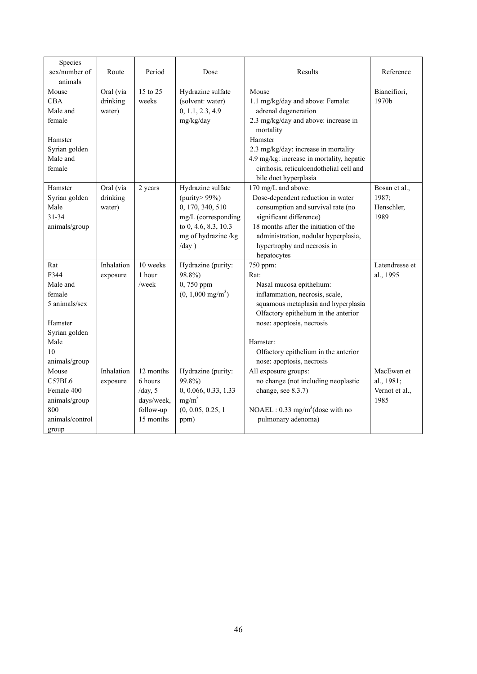| Species<br>sex/number of<br>animals                                                                           | Route                           | Period                                                                    | Dose                                                                                                                                          | Results                                                                                                                                                                                                                                                                                    | Reference                                          |
|---------------------------------------------------------------------------------------------------------------|---------------------------------|---------------------------------------------------------------------------|-----------------------------------------------------------------------------------------------------------------------------------------------|--------------------------------------------------------------------------------------------------------------------------------------------------------------------------------------------------------------------------------------------------------------------------------------------|----------------------------------------------------|
| Mouse<br><b>CBA</b><br>Male and<br>female<br>Hamster<br>Syrian golden<br>Male and<br>female                   | Oral (via<br>drinking<br>water) | 15 to 25<br>weeks                                                         | Hydrazine sulfate<br>(solvent: water)<br>0, 1.1, 2.3, 4.9<br>mg/kg/day                                                                        | Mouse<br>1.1 mg/kg/day and above: Female:<br>adrenal degeneration<br>2.3 mg/kg/day and above: increase in<br>mortality<br>Hamster<br>2.3 mg/kg/day: increase in mortality<br>4.9 mg/kg: increase in mortality, hepatic<br>cirrhosis, reticuloendothelial cell and<br>bile duct hyperplasia | Biancifiori,<br>1970b                              |
| Hamster<br>Syrian golden<br>Male<br>31-34<br>animals/group                                                    | Oral (via<br>drinking<br>water) | 2 years                                                                   | Hydrazine sulfate<br>(purity > $99\%$ )<br>0, 170, 340, 510<br>mg/L (corresponding<br>to 0, 4.6, 8.3, 10.3<br>mg of hydrazine /kg<br>$/day$ ) | 170 mg/L and above:<br>Dose-dependent reduction in water<br>consumption and survival rate (no<br>significant difference)<br>18 months after the initiation of the<br>administration, nodular hyperplasia,<br>hypertrophy and necrosis in<br>hepatocytes                                    | Bosan et al.,<br>1987;<br>Henschler,<br>1989       |
| Rat<br>F344<br>Male and<br>female<br>5 animals/sex<br>Hamster<br>Syrian golden<br>Male<br>10<br>animals/group | Inhalation<br>exposure          | 10 weeks<br>1 hour<br>/week                                               | Hydrazine (purity:<br>98.8%)<br>0,750 ppm<br>$(0, 1,000 \text{ mg/m}^3)$                                                                      | 750 ppm:<br>Rat:<br>Nasal mucosa epithelium:<br>inflammation, necrosis, scale,<br>squamous metaplasia and hyperplasia<br>Olfactory epithelium in the anterior<br>nose: apoptosis, necrosis<br>Hamster:<br>Olfactory epithelium in the anterior<br>nose: apoptosis, necrosis                | Latendresse et<br>al., 1995                        |
| Mouse<br>C57BL6<br>Female 400<br>animals/group<br>800<br>animals/control<br>group                             | Inhalation<br>exposure          | 12 months<br>6 hours<br>/day, $5$<br>days/week,<br>follow-up<br>15 months | Hydrazine (purity:<br>99.8%)<br>0, 0.066, 0.33, 1.33<br>$mg/m^3$<br>(0, 0.05, 0.25, 1)<br>ppm)                                                | All exposure groups:<br>no change (not including neoplastic<br>change, see 8.3.7)<br>NOAEL : $0.33 \text{ mg/m}^3$ (dose with no<br>pulmonary adenoma)                                                                                                                                     | MacEwen et<br>al., 1981;<br>Vernot et al.,<br>1985 |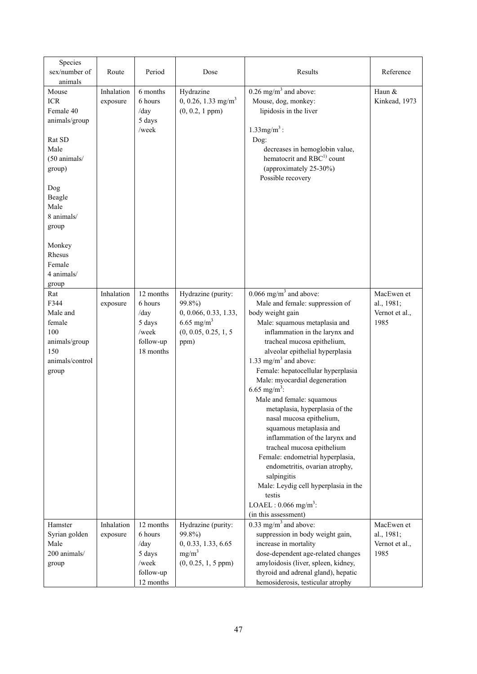| Species<br>sex/number of<br>animals                                                                                                                                                                | Route                  | Period                                                                    | Dose                                                                                                             | Results                                                                                                                                                                                                                                                                                                                                                                                                                                                                                                                                                                                                                                                                                                                                                             | Reference                                          |
|----------------------------------------------------------------------------------------------------------------------------------------------------------------------------------------------------|------------------------|---------------------------------------------------------------------------|------------------------------------------------------------------------------------------------------------------|---------------------------------------------------------------------------------------------------------------------------------------------------------------------------------------------------------------------------------------------------------------------------------------------------------------------------------------------------------------------------------------------------------------------------------------------------------------------------------------------------------------------------------------------------------------------------------------------------------------------------------------------------------------------------------------------------------------------------------------------------------------------|----------------------------------------------------|
| Mouse<br><b>ICR</b><br>Female 40<br>animals/group<br>Rat SD<br>Male<br>(50 animals/<br>group)<br>Dog<br>Beagle<br>Male<br>8 animals/<br>group<br>Monkey<br>Rhesus<br>Female<br>4 animals/<br>group | Inhalation<br>exposure | 6 months<br>6 hours<br>/day<br>5 days<br>/week                            | Hydrazine<br>$0, 0.26, 1.33$ mg/m <sup>3</sup><br>$(0, 0.2, 1$ ppm $)$                                           | $0.26$ mg/m <sup>3</sup> and above:<br>Mouse, dog, monkey:<br>lipidosis in the liver<br>$1.33$ mg/m <sup>3</sup> :<br>Dog:<br>decreases in hemoglobin value,<br>hematocrit and RBC <sup>1)</sup> count<br>(approximately 25-30%)<br>Possible recovery                                                                                                                                                                                                                                                                                                                                                                                                                                                                                                               | Haun &<br>Kinkead, 1973                            |
| Rat<br>F344<br>Male and<br>female<br>100<br>animals/group<br>150<br>animals/control<br>group                                                                                                       | Inhalation<br>exposure | 12 months<br>6 hours<br>/day<br>5 days<br>/week<br>follow-up<br>18 months | Hydrazine (purity:<br>99.8%)<br>0, 0.066, 0.33, 1.33,<br>6.65 mg/m <sup>3</sup><br>(0, 0.05, 0.25, 1, 5)<br>ppm) | $0.066$ mg/m <sup>3</sup> and above:<br>Male and female: suppression of<br>body weight gain<br>Male: squamous metaplasia and<br>inflammation in the larynx and<br>tracheal mucosa epithelium,<br>alveolar epithelial hyperplasia<br>1.33 mg/m <sup>3</sup> and above:<br>Female: hepatocellular hyperplasia<br>Male: myocardial degeneration<br>6.65 mg/m <sup>3</sup> :<br>Male and female: squamous<br>metaplasia, hyperplasia of the<br>nasal mucosa epithelium,<br>squamous metaplasia and<br>inflammation of the larynx and<br>tracheal mucosa epithelium<br>Female: endometrial hyperplasia,<br>endometritis, ovarian atrophy,<br>salpingitis<br>Male: Leydig cell hyperplasia in the<br>testis<br>LOAEL: $0.066$ mg/m <sup>3</sup> :<br>(in this assessment) | MacEwen et<br>al., 1981;<br>Vernot et al.,<br>1985 |
| Hamster<br>Syrian golden<br>Male<br>200 animals/<br>group                                                                                                                                          | Inhalation<br>exposure | 12 months<br>6 hours<br>/day<br>5 days<br>/week<br>follow-up<br>12 months | Hydrazine (purity:<br>99.8%)<br>0, 0.33, 1.33, 6.65<br>mg/m <sup>3</sup><br>$(0, 0.25, 1, 5$ ppm $)$             | $0.33$ mg/m <sup>3</sup> and above:<br>suppression in body weight gain,<br>increase in mortality<br>dose-dependent age-related changes<br>amyloidosis (liver, spleen, kidney,<br>thyroid and adrenal gland), hepatic<br>hemosiderosis, testicular atrophy                                                                                                                                                                                                                                                                                                                                                                                                                                                                                                           | MacEwen et<br>al., 1981;<br>Vernot et al.,<br>1985 |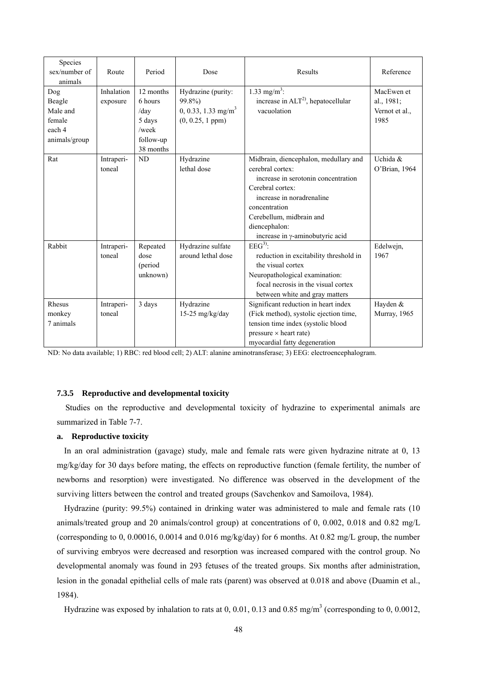| Species<br>sex/number of<br>animals                            | Route                  | Period                                                                    | Dose                                                                                     | Results                                                                                                                                                                                                                                            | Reference                                          |
|----------------------------------------------------------------|------------------------|---------------------------------------------------------------------------|------------------------------------------------------------------------------------------|----------------------------------------------------------------------------------------------------------------------------------------------------------------------------------------------------------------------------------------------------|----------------------------------------------------|
| Dog<br>Beagle<br>Male and<br>female<br>each 4<br>animals/group | Inhalation<br>exposure | 12 months<br>6 hours<br>/day<br>5 days<br>/week<br>follow-up<br>38 months | Hydrazine (purity:<br>99.8%)<br>0, 0.33, 1.33 mg/m <sup>3</sup><br>$(0, 0.25, 1$ ppm $)$ | 1.33 mg/m <sup>3</sup> :<br>increase in $ALT^2$ , hepatocellular<br>vacuolation                                                                                                                                                                    | MacEwen et<br>al., 1981;<br>Vernot et al.,<br>1985 |
| Rat                                                            | Intraperi-<br>toneal   | <b>ND</b>                                                                 | Hydrazine<br>lethal dose                                                                 | Midbrain, diencephalon, medullary and<br>cerebral cortex:<br>increase in serotonin concentration<br>Cerebral cortex:<br>increase in noradrenaline<br>concentration<br>Cerebellum, midbrain and<br>diencephalon:<br>increase in y-aminobutyric acid | Uchida &<br>O'Brian, 1964                          |
| Rabbit                                                         | Intraperi-<br>toneal   | Repeated<br>dose<br>(period<br>unknown)                                   | Hydrazine sulfate<br>around lethal dose                                                  | $EEG3$ :<br>reduction in excitability threshold in<br>the visual cortex<br>Neuropathological examination:<br>focal necrosis in the visual cortex<br>between white and gray matters                                                                 | Edelwejn,<br>1967                                  |
| Rhesus<br>monkey<br>7 animals                                  | Intraperi-<br>toneal   | 3 days                                                                    | Hydrazine<br>$15-25$ mg/kg/day                                                           | Significant reduction in heart index<br>(Fick method), systolic ejection time,<br>tension time index (systolic blood<br>pressure $\times$ heart rate)<br>myocardial fatty degeneration                                                             | Hayden &<br>Murray, 1965                           |

ND: No data available; 1) RBC: red blood cell; 2) ALT: alanine aminotransferase; 3) EEG: electroencephalogram.

## **7.3.5 Reproductive and developmental toxicity**

Studies on the reproductive and developmental toxicity of hydrazine to experimental animals are summarized in Table 7-7.

# **a. Reproductive toxicity**

In an oral administration (gavage) study, male and female rats were given hydrazine nitrate at 0, 13 mg/kg/day for 30 days before mating, the effects on reproductive function (female fertility, the number of newborns and resorption) were investigated. No difference was observed in the development of the surviving litters between the control and treated groups (Savchenkov and Samoilova, 1984).

Hydrazine (purity: 99.5%) contained in drinking water was administered to male and female rats (10 animals/treated group and 20 animals/control group) at concentrations of 0, 0.002, 0.018 and 0.82 mg/L (corresponding to 0, 0.00016, 0.0014 and 0.016 mg/kg/day) for 6 months. At 0.82 mg/L group, the number of surviving embryos were decreased and resorption was increased compared with the control group. No developmental anomaly was found in 293 fetuses of the treated groups. Six months after administration, lesion in the gonadal epithelial cells of male rats (parent) was observed at 0.018 and above (Duamin et al., 1984).

Hydrazine was exposed by inhalation to rats at 0, 0.01, 0.13 and 0.85 mg/m<sup>3</sup> (corresponding to 0, 0.0012,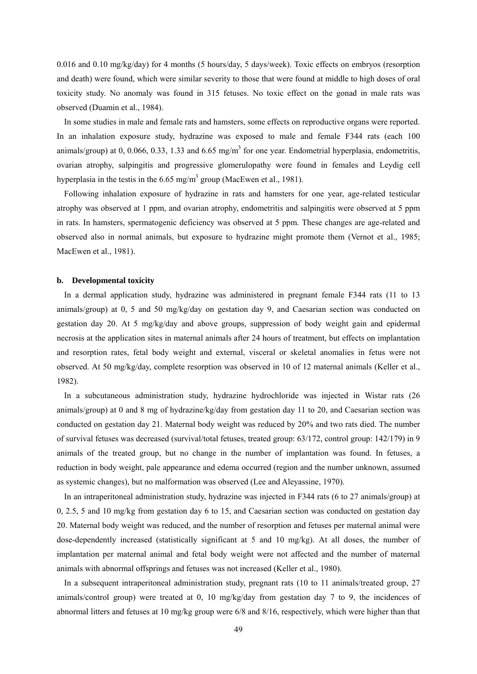0.016 and 0.10 mg/kg/day) for 4 months (5 hours/day, 5 days/week). Toxic effects on embryos (resorption and death) were found, which were similar severity to those that were found at middle to high doses of oral toxicity study. No anomaly was found in 315 fetuses. No toxic effect on the gonad in male rats was observed (Duamin et al., 1984).

In some studies in male and female rats and hamsters, some effects on reproductive organs were reported. In an inhalation exposure study, hydrazine was exposed to male and female F344 rats (each 100 animals/group) at 0, 0.066, 0.33, 1.33 and 6.65 mg/m<sup>3</sup> for one year. Endometrial hyperplasia, endometritis, ovarian atrophy, salpingitis and progressive glomerulopathy were found in females and Leydig cell hyperplasia in the testis in the  $6.65$  mg/m<sup>3</sup> group (MacEwen et al., 1981).

Following inhalation exposure of hydrazine in rats and hamsters for one year, age-related testicular atrophy was observed at 1 ppm, and ovarian atrophy, endometritis and salpingitis were observed at 5 ppm in rats. In hamsters, spermatogenic deficiency was observed at 5 ppm. These changes are age-related and observed also in normal animals, but exposure to hydrazine might promote them (Vernot et al., 1985; MacEwen et al., 1981).

#### **b. Developmental toxicity**

In a dermal application study, hydrazine was administered in pregnant female F344 rats (11 to 13 animals/group) at 0, 5 and 50 mg/kg/day on gestation day 9, and Caesarian section was conducted on gestation day 20. At 5 mg/kg/day and above groups, suppression of body weight gain and epidermal necrosis at the application sites in maternal animals after 24 hours of treatment, but effects on implantation and resorption rates, fetal body weight and external, visceral or skeletal anomalies in fetus were not observed. At 50 mg/kg/day, complete resorption was observed in 10 of 12 maternal animals (Keller et al., 1982).

In a subcutaneous administration study, hydrazine hydrochloride was injected in Wistar rats (26 animals/group) at 0 and 8 mg of hydrazine/kg/day from gestation day 11 to 20, and Caesarian section was conducted on gestation day 21. Maternal body weight was reduced by 20% and two rats died. The number of survival fetuses was decreased (survival/total fetuses, treated group: 63/172, control group: 142/179) in 9 animals of the treated group, but no change in the number of implantation was found. In fetuses, a reduction in body weight, pale appearance and edema occurred (region and the number unknown, assumed as systemic changes), but no malformation was observed (Lee and Aleyassine, 1970).

In an intraperitoneal administration study, hydrazine was injected in F344 rats (6 to 27 animals/group) at 0, 2.5, 5 and 10 mg/kg from gestation day 6 to 15, and Caesarian section was conducted on gestation day 20. Maternal body weight was reduced, and the number of resorption and fetuses per maternal animal were dose-dependently increased (statistically significant at 5 and 10 mg/kg). At all doses, the number of implantation per maternal animal and fetal body weight were not affected and the number of maternal animals with abnormal offsprings and fetuses was not increased (Keller et al., 1980).

In a subsequent intraperitoneal administration study, pregnant rats (10 to 11 animals/treated group, 27 animals/control group) were treated at 0, 10 mg/kg/day from gestation day 7 to 9, the incidences of abnormal litters and fetuses at 10 mg/kg group were 6/8 and 8/16, respectively, which were higher than that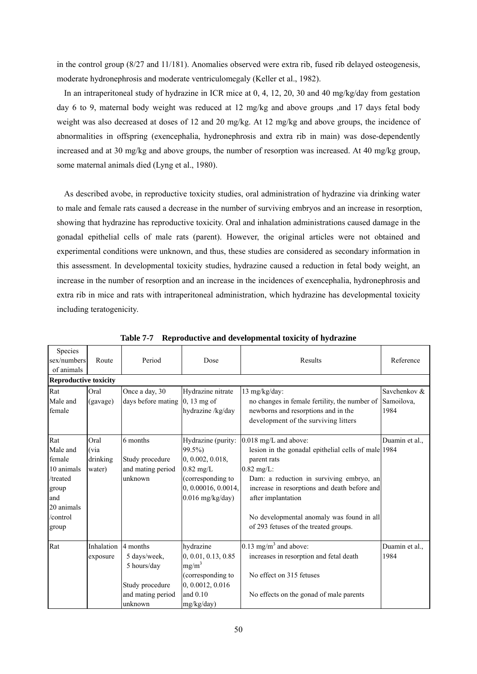in the control group (8/27 and 11/181). Anomalies observed were extra rib, fused rib delayed osteogenesis, moderate hydronephrosis and moderate ventriculomegaly (Keller et al., 1982).

In an intraperitoneal study of hydrazine in ICR mice at 0, 4, 12, 20, 30 and 40 mg/kg/day from gestation day 6 to 9, maternal body weight was reduced at 12 mg/kg and above groups ,and 17 days fetal body weight was also decreased at doses of 12 and 20 mg/kg. At 12 mg/kg and above groups, the incidence of abnormalities in offspring (exencephalia, hydronephrosis and extra rib in main) was dose-dependently increased and at 30 mg/kg and above groups, the number of resorption was increased. At 40 mg/kg group, some maternal animals died (Lyng et al., 1980).

As described avobe, in reproductive toxicity studies, oral administration of hydrazine via drinking water to male and female rats caused a decrease in the number of surviving embryos and an increase in resorption, showing that hydrazine has reproductive toxicity. Oral and inhalation administrations caused damage in the gonadal epithelial cells of male rats (parent). However, the original articles were not obtained and experimental conditions were unknown, and thus, these studies are considered as secondary information in this assessment. In developmental toxicity studies, hydrazine caused a reduction in fetal body weight, an increase in the number of resorption and an increase in the incidences of exencephalia, hydronephrosis and extra rib in mice and rats with intraperitoneal administration, which hydrazine has developmental toxicity including teratogenicity.

| Species                      |                   |                    |                     |                                                     |                |
|------------------------------|-------------------|--------------------|---------------------|-----------------------------------------------------|----------------|
| sex/numbers                  | Route             | Period             | Dose                | Results                                             | Reference      |
| of animals                   |                   |                    |                     |                                                     |                |
| <b>Reproductive toxicity</b> |                   |                    |                     |                                                     |                |
| Rat                          | Oral              | Once a day, 30     | Hydrazine nitrate   | 13 mg/kg/day:                                       | Savchenkov &   |
| Male and                     | (gavage)          | days before mating | $0, 13$ mg of       | no changes in female fertility, the number of       | Samoilova,     |
| female                       |                   |                    | hydrazine /kg/day   | newborns and resorptions and in the                 | 1984           |
|                              |                   |                    |                     | development of the surviving litters                |                |
|                              |                   |                    |                     |                                                     |                |
| Rat                          | Oral              | 6 months           | Hydrazine (purity:  | 0.018 mg/L and above:                               | Duamin et al., |
| Male and                     | (via              |                    | $99.5\%$            | lesion in the gonadal epithelial cells of male 1984 |                |
| female                       | drinking          | Study procedure    | 0, 0.002, 0.018,    | parent rats                                         |                |
| 10 animals                   | water)            | and mating period  | $0.82$ mg/L         | $0.82$ mg/L:                                        |                |
| /treated                     |                   | unknown            | (corresponding to   | Dam: a reduction in surviving embryo, an            |                |
| group                        |                   |                    | 0, 0.00016, 0.0014, | increase in resorptions and death before and        |                |
| and                          |                   |                    | $0.016$ mg/kg/day)  | after implantation                                  |                |
| 20 animals                   |                   |                    |                     |                                                     |                |
| /control                     |                   |                    |                     | No developmental anomaly was found in all           |                |
| group                        |                   |                    |                     | of 293 fetuses of the treated groups.               |                |
|                              |                   |                    |                     |                                                     |                |
| Rat                          | <b>Inhalation</b> | 4 months           | hydrazine           | $0.13$ mg/m <sup>3</sup> and above:                 | Duamin et al., |
|                              | exposure          | 5 days/week,       | 0, 0.01, 0.13, 0.85 | increases in resorption and fetal death             | 1984           |
|                              |                   | 5 hours/day        | $mg/m^3$            |                                                     |                |
|                              |                   |                    | (corresponding to   | No effect on 315 fetuses                            |                |
|                              |                   | Study procedure    | 0, 0.0012, 0.016    |                                                     |                |
|                              |                   | and mating period  | and $0.10$          | No effects on the gonad of male parents             |                |
|                              |                   | unknown            | mg/kg/day)          |                                                     |                |

**Table 7-7 Reproductive and developmental toxicity of hydrazine**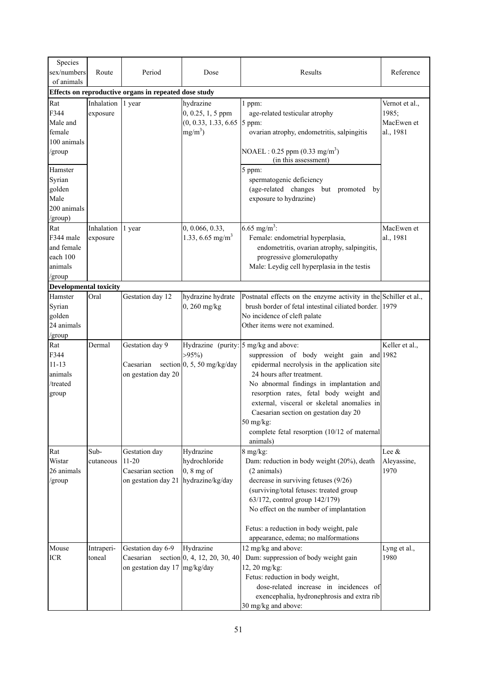| Species<br>sex/numbers<br>of animals                            | Route                  | Period                                                                              | Dose                                                                           | Results                                                                                                                                                                                                                                                                                                                                                                                                                           | Reference                                          |
|-----------------------------------------------------------------|------------------------|-------------------------------------------------------------------------------------|--------------------------------------------------------------------------------|-----------------------------------------------------------------------------------------------------------------------------------------------------------------------------------------------------------------------------------------------------------------------------------------------------------------------------------------------------------------------------------------------------------------------------------|----------------------------------------------------|
|                                                                 |                        | Effects on reproductive organs in repeated dose study                               |                                                                                |                                                                                                                                                                                                                                                                                                                                                                                                                                   |                                                    |
| Rat<br>F344<br>Male and<br>female<br>100 animals<br>/group      | Inhalation<br>exposure | 1 year                                                                              | hydrazine<br>0, 0.25, 1, 5 ppm<br>$(0, 0.33, 1.33, 6.65)$ 5 ppm:<br>$mg/m^3$ ) | 1 ppm:<br>age-related testicular atrophy<br>ovarian atrophy, endometritis, salpingitis<br>NOAEL : 0.25 ppm $(0.33 \text{ mg/m}^3)$<br>(in this assessment)                                                                                                                                                                                                                                                                        | Vernot et al.,<br>1985;<br>MacEwen et<br>al., 1981 |
| Hamster<br>Syrian<br>golden<br>Male<br>200 animals<br>/group)   |                        |                                                                                     |                                                                                | 5 ppm:<br>spermatogenic deficiency<br>(age-related changes but promoted by<br>exposure to hydrazine)                                                                                                                                                                                                                                                                                                                              |                                                    |
| Rat<br>F344 male<br>and female<br>each 100<br>animals<br>/group | Inhalation<br>exposure | 1 year                                                                              | 0, 0.066, 0.33,<br>1.33, 6.65 mg/m <sup>3</sup>                                | 6.65 mg/m <sup>3</sup> :<br>Female: endometrial hyperplasia,<br>endometritis, ovarian atrophy, salpingitis,<br>progressive glomerulopathy<br>Male: Leydig cell hyperplasia in the testis                                                                                                                                                                                                                                          | MacEwen et<br>al., 1981                            |
| <b>Developmental toxicity</b>                                   |                        |                                                                                     |                                                                                |                                                                                                                                                                                                                                                                                                                                                                                                                                   |                                                    |
| Hamster<br>Syrian<br>golden<br>24 animals<br>/group             | Oral                   | Gestation day 12                                                                    | hydrazine hydrate<br>$0, 260$ mg/kg                                            | Postnatal effects on the enzyme activity in the Schiller et al.,<br>brush border of fetal intestinal ciliated border.<br>No incidence of cleft palate<br>Other items were not examined.                                                                                                                                                                                                                                           | 1979                                               |
| Rat<br>F344<br>$11 - 13$<br>animals<br>/treated<br>group        | Dermal                 | Gestation day 9<br>Caesarian<br>on gestation day 20                                 | $>95\%$<br>section $\vert 0, 5, 50 \rangle$ mg/kg/day                          | Hydrazine (purity: 5 mg/kg and above:<br>suppression of body weight gain and 1982<br>epidermal necrolysis in the application site<br>24 hours after treatment.<br>No abnormal findings in implantation and<br>resorption rates, fetal body weight and<br>external, visceral or skeletal anomalies in<br>Caesarian section on gestation day 20<br>$50 \text{ mg/kg}$ :<br>complete fetal resorption (10/12 of maternal<br>animals) | Keller et al.,                                     |
| Rat<br>Wistar<br>26 animals<br>/group                           | Sub-<br>cutaneous      | Gestation day<br>$11 - 20$<br>Caesarian section<br>on gestation day 21              | Hydrazine<br>hydrochloride<br>$0, 8$ mg of<br>hydrazine/kg/day                 | 8 mg/kg:<br>Dam: reduction in body weight (20%), death<br>(2 animals)<br>decrease in surviving fetuses (9/26)<br>(surviving/total fetuses: treated group<br>63/172, control group 142/179)<br>No effect on the number of implantation<br>Fetus: a reduction in body weight, pale<br>appearance, edema; no malformations                                                                                                           | Lee &<br>Aleyassine,<br>1970                       |
| Mouse<br><b>ICR</b>                                             | Intraperi-<br>toneal   | Gestation day 6-9<br>Caesarian<br>on gestation day $17 \frac{\text{mg}}{\text{kg}}$ | Hydrazine<br>section $[0, 4, 12, 20, 30, 40]$                                  | 12 mg/kg and above:<br>Dam: suppression of body weight gain<br>12, 20 mg/kg:<br>Fetus: reduction in body weight,<br>dose-related increase in incidences of<br>exencephalia, hydronephrosis and extra rib<br>30 mg/kg and above:                                                                                                                                                                                                   | Lyng et al.,<br>1980                               |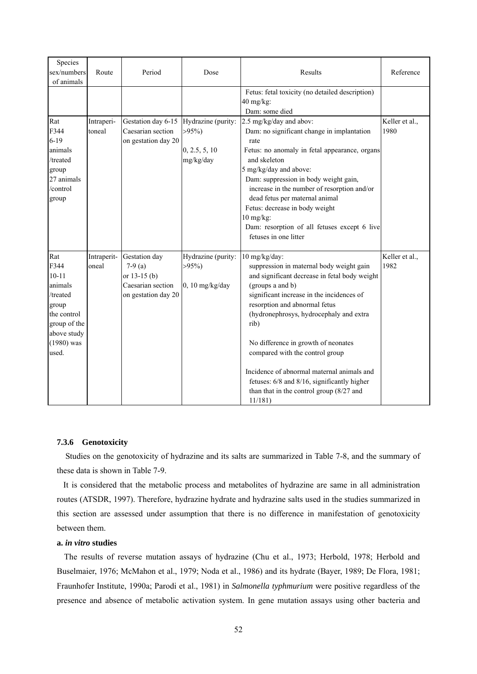| Species<br>sex/numbers<br>of animals                                                                                            | Route                | Period                                                                                   | Dose                                                         | Results                                                                                                                                                                                                                                                                                                                                                                                                                                                                                       | Reference              |
|---------------------------------------------------------------------------------------------------------------------------------|----------------------|------------------------------------------------------------------------------------------|--------------------------------------------------------------|-----------------------------------------------------------------------------------------------------------------------------------------------------------------------------------------------------------------------------------------------------------------------------------------------------------------------------------------------------------------------------------------------------------------------------------------------------------------------------------------------|------------------------|
|                                                                                                                                 |                      |                                                                                          |                                                              | Fetus: fetal toxicity (no detailed description)<br>$40$ mg/kg:<br>Dam: some died                                                                                                                                                                                                                                                                                                                                                                                                              |                        |
| Rat<br>F344<br>$6 - 19$<br>animals<br>/treated<br>group<br>27 animals<br>/control<br>group                                      | Intraperi-<br>toneal | Gestation day 6-15<br>Caesarian section<br>on gestation day 20                           | Hydrazine (purity:<br>$>95\%)$<br>0, 2.5, 5, 10<br>mg/kg/day | 2.5 mg/kg/day and abov:<br>Dam: no significant change in implantation<br>rate<br>Fetus: no anomaly in fetal appearance, organs<br>and skeleton<br>5 mg/kg/day and above:<br>Dam: suppression in body weight gain,<br>increase in the number of resorption and/or<br>dead fetus per maternal animal<br>Fetus: decrease in body weight<br>$10$ mg/kg:<br>Dam: resorption of all fetuses except 6 live<br>fetuses in one litter                                                                  | Keller et al.,<br>1980 |
| Rat<br>F344<br>$10 - 11$<br>animals<br>/treated<br>group<br>the control<br>group of the<br>above study<br>$(1980)$ was<br>used. | Intraperit-<br>oneal | Gestation day<br>$7-9$ (a)<br>or $13-15$ (b)<br>Caesarian section<br>on gestation day 20 | Hydrazine (purity:<br>$>95\%$<br>$0, 10$ mg/kg/day           | 10 mg/kg/day:<br>suppression in maternal body weight gain<br>and significant decrease in fetal body weight<br>(groups a and b)<br>significant increase in the incidences of<br>resorption and abnormal fetus<br>(hydronephrosys, hydrocephaly and extra<br>rib)<br>No difference in growth of neonates<br>compared with the control group<br>Incidence of abnormal maternal animals and<br>fetuses: 6/8 and 8/16, significantly higher<br>than that in the control group (8/27 and<br>11/181) | Keller et al.,<br>1982 |

# **7.3.6 Genotoxicity**

Studies on the genotoxicity of hydrazine and its salts are summarized in Table 7-8, and the summary of these data is shown in Table 7-9.

It is considered that the metabolic process and metabolites of hydrazine are same in all administration routes (ATSDR, 1997). Therefore, hydrazine hydrate and hydrazine salts used in the studies summarized in this section are assessed under assumption that there is no difference in manifestation of genotoxicity between them.

# **a.** *in vitro* **studies**

The results of reverse mutation assays of hydrazine (Chu et al., 1973; Herbold, 1978; Herbold and Buselmaier, 1976; McMahon et al., 1979; Noda et al., 1986) and its hydrate (Bayer, 1989; De Flora, 1981; Fraunhofer Institute, 1990a; Parodi et al., 1981) in *Salmonella typhmurium* were positive regardless of the presence and absence of metabolic activation system. In gene mutation assays using other bacteria and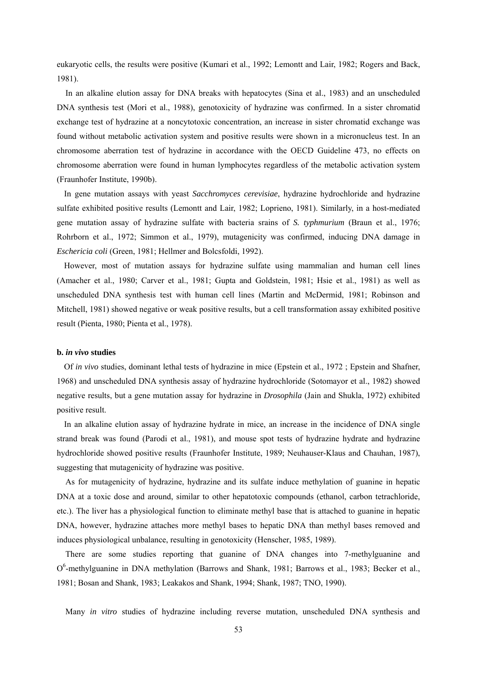eukaryotic cells, the results were positive (Kumari et al., 1992; Lemontt and Lair, 1982; Rogers and Back, 1981).

In an alkaline elution assay for DNA breaks with hepatocytes (Sina et al., 1983) and an unscheduled DNA synthesis test (Mori et al., 1988), genotoxicity of hydrazine was confirmed. In a sister chromatid exchange test of hydrazine at a noncytotoxic concentration, an increase in sister chromatid exchange was found without metabolic activation system and positive results were shown in a micronucleus test. In an chromosome aberration test of hydrazine in accordance with the OECD Guideline 473, no effects on chromosome aberration were found in human lymphocytes regardless of the metabolic activation system (Fraunhofer Institute, 1990b).

In gene mutation assays with yeast *Sacchromyces cerevisiae*, hydrazine hydrochloride and hydrazine sulfate exhibited positive results (Lemontt and Lair, 1982; Loprieno, 1981). Similarly, in a host-mediated gene mutation assay of hydrazine sulfate with bacteria srains of *S. typhmurium* (Braun et al., 1976; Rohrborn et al., 1972; Simmon et al., 1979), mutagenicity was confirmed, inducing DNA damage in *Eschericia coli* (Green, 1981; Hellmer and Bolcsfoldi, 1992).

However, most of mutation assays for hydrazine sulfate using mammalian and human cell lines (Amacher et al., 1980; Carver et al., 1981; Gupta and Goldstein, 1981; Hsie et al., 1981) as well as unscheduled DNA synthesis test with human cell lines (Martin and McDermid, 1981; Robinson and Mitchell, 1981) showed negative or weak positive results, but a cell transformation assay exhibited positive result (Pienta, 1980; Pienta et al., 1978).

#### **b.** *in vivo* **studies**

Of *in vivo* studies, dominant lethal tests of hydrazine in mice (Epstein et al., 1972 ; Epstein and Shafner, 1968) and unscheduled DNA synthesis assay of hydrazine hydrochloride (Sotomayor et al., 1982) showed negative results, but a gene mutation assay for hydrazine in *Drosophila* (Jain and Shukla, 1972) exhibited positive result.

In an alkaline elution assay of hydrazine hydrate in mice, an increase in the incidence of DNA single strand break was found (Parodi et al., 1981), and mouse spot tests of hydrazine hydrate and hydrazine hydrochloride showed positive results (Fraunhofer Institute, 1989; Neuhauser-Klaus and Chauhan, 1987), suggesting that mutagenicity of hydrazine was positive.

As for mutagenicity of hydrazine, hydrazine and its sulfate induce methylation of guanine in hepatic DNA at a toxic dose and around, similar to other hepatotoxic compounds (ethanol, carbon tetrachloride, etc.). The liver has a physiological function to eliminate methyl base that is attached to guanine in hepatic DNA, however, hydrazine attaches more methyl bases to hepatic DNA than methyl bases removed and induces physiological unbalance, resulting in genotoxicity (Henscher, 1985, 1989).

There are some studies reporting that guanine of DNA changes into 7-methylguanine and O<sup>6</sup>-methylguanine in DNA methylation (Barrows and Shank, 1981; Barrows et al., 1983; Becker et al., 1981; Bosan and Shank, 1983; Leakakos and Shank, 1994; Shank, 1987; TNO, 1990).

Many *in vitro* studies of hydrazine including reverse mutation, unscheduled DNA synthesis and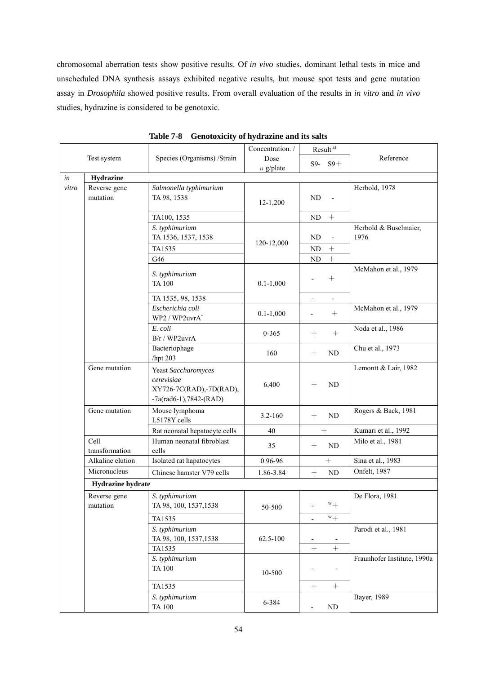chromosomal aberration tests show positive results. Of *in vivo* studies, dominant lethal tests in mice and unscheduled DNA synthesis assays exhibited negative results, but mouse spot tests and gene mutation assay in *Drosophila* showed positive results. From overall evaluation of the results in *in vitro* and *in vivo* studies, hydrazine is considered to be genotoxic.

|       |                          |                                                                                           | Concentration. / | $\mbox{Result}^{\,a)}$       |                               |
|-------|--------------------------|-------------------------------------------------------------------------------------------|------------------|------------------------------|-------------------------------|
|       | Test system              | Species (Organisms) / Strain                                                              | Dose             | $S9 - S9 +$                  | Reference                     |
|       |                          |                                                                                           | $\mu$ g/plate    |                              |                               |
| in    | Hydrazine                |                                                                                           |                  |                              |                               |
| vitro | Reverse gene<br>mutation | Salmonella typhimurium<br>TA 98, 1538                                                     | $12 - 1,200$     | N <sub>D</sub>               | Herbold, 1978                 |
|       |                          | TA100, 1535                                                                               |                  | $\boldsymbol{+}$<br>ND       |                               |
|       |                          | S. typhimurium<br>TA 1536, 1537, 1538                                                     |                  | ND<br>$\overline{a}$         | Herbold & Buselmaier,<br>1976 |
|       |                          | TA1535                                                                                    | 120-12,000       | ND<br>$\boldsymbol{+}$       |                               |
|       |                          | G46                                                                                       |                  | $\boldsymbol{+}$<br>$\rm ND$ |                               |
|       |                          | S. typhimurium<br><b>TA 100</b>                                                           | $0.1 - 1,000$    | $+$                          | McMahon et al., 1979          |
|       |                          | TA 1535, 98, 1538                                                                         |                  |                              |                               |
|       |                          | Escherichia coli<br>WP2 / WP2uvrA <sup>-</sup>                                            | $0.1 - 1,000$    |                              | McMahon et al., 1979          |
|       |                          | E. coli<br>B/r / WP2uvrA                                                                  | $0 - 365$        | $^{+}$                       | Noda et al., 1986             |
|       |                          | Bacteriophage<br>/hpt 203                                                                 | 160              | $^{+}$<br>ND                 | Chu et al., 1973              |
|       | Gene mutation            | Yeast Saccharomyces<br>cerevisiae<br>XY726-7C(RAD),-7D(RAD),<br>$-7a(rad6-1), 7842-(RAD)$ | 6,400            | $^{+}$<br>ND                 | Lemontt & Lair, 1982          |
|       | Gene mutation            | Mouse lymphoma<br>L5178Y cells                                                            | $3.2 - 160$      | $^{+}$<br>ND                 | Rogers & Back, 1981           |
|       |                          | Rat neonatal hepatocyte cells                                                             | 40               | $\boldsymbol{+}$             | Kumari et al., 1992           |
|       | Cell<br>transformation   | Human neonatal fibroblast<br>cells                                                        | 35               | ND<br>$^{+}$                 | Milo et al., 1981             |
|       | Alkaline elution         | Isolated rat hapatocytes                                                                  | 0.96-96          | $\! +$                       | Sina et al., 1983             |
|       | Micronucleus             | Chinese hamster V79 cells                                                                 | 1.86-3.84        | $\ddag$<br>ND                | Onfelt, 1987                  |
|       | Hydrazine hydrate        |                                                                                           |                  |                              |                               |
|       | Reverse gene<br>mutation | S. typhimurium<br>TA 98, 100, 1537, 1538<br>TA1535                                        | 50-500           | $w_+$<br>$^{\mathrm{w}}$ +   | De Flora, 1981                |
|       |                          | S. typhimurium<br>TA 98, 100, 1537, 1538<br>TA1535                                        | 62.5-100         | $^{+}$                       | Parodi et al., 1981           |
|       |                          | S. typhimurium<br><b>TA100</b>                                                            | 10-500           |                              | Fraunhofer Institute, 1990a   |
|       |                          | TA1535<br>S. typhimurium<br><b>TA 100</b>                                                 | 6-384            | $\boldsymbol{+}$<br>$\rm ND$ | Bayer, 1989                   |

**Table 7-8 Genotoxicity of hydrazine and its salts**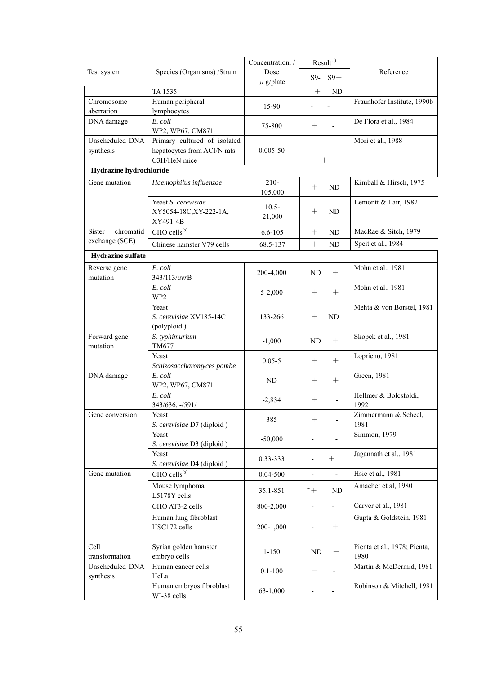|                              |                                                             | Concentration. /      | Result <sup>a)</sup>                                 |                                      |  |
|------------------------------|-------------------------------------------------------------|-----------------------|------------------------------------------------------|--------------------------------------|--|
| Test system                  | Species (Organisms) / Strain                                | Dose<br>$\mu$ g/plate | $S9-$<br>$S9+$                                       | Reference                            |  |
|                              | TA 1535                                                     |                       | $+$<br><b>ND</b>                                     |                                      |  |
| Chromosome<br>aberration     | Human peripheral<br>lymphocytes                             | 15-90                 |                                                      | Fraunhofer Institute, 1990b          |  |
| DNA damage                   | E. coli<br>WP2, WP67, CM871                                 | 75-800                | $+$                                                  | De Flora et al., 1984                |  |
| Unscheduled DNA<br>synthesis | Primary cultured of isolated<br>hepatocytes from ACI/N rats | $0.005 - 50$          |                                                      | Mori et al., 1988                    |  |
|                              | C3H/HeN mice                                                |                       | $^{+}$                                               |                                      |  |
| Hydrazine hydrochloride      |                                                             |                       |                                                      |                                      |  |
| Gene mutation                | Haemophilus influenzae                                      | $210 -$<br>105,000    | $^{+}$<br>ND                                         | Kimball & Hirsch, 1975               |  |
|                              | Yeast S. cerevisiae<br>XY5054-18C, XY-222-1A,<br>XY491-4B   | $10.5 -$<br>21,000    | ND<br>$^{+}$                                         | Lemontt & Lair, 1982                 |  |
| chromatid<br><b>Sister</b>   | CHO cells <sup>b)</sup>                                     | $6.6 - 105$           | $\ddag$<br>$\rm ND$                                  | MacRae & Sitch, 1979                 |  |
| exchange (SCE)               | Chinese hamster V79 cells                                   | 68.5-137              | $\ddag$<br>ND                                        | Speit et al., 1984                   |  |
| Hydrazine sulfate            |                                                             |                       |                                                      |                                      |  |
| Reverse gene<br>mutation     | E. coli<br>343/113/uvrB                                     | 200-4,000             | $+$<br>ND                                            | Mohn et al., 1981                    |  |
|                              | E. coli<br>WP <sub>2</sub>                                  | 5-2,000               | $\boldsymbol{+}$                                     | Mohn et al., 1981                    |  |
|                              | Yeast<br>S. cerevisiae XV185-14C<br>(polyploid)             | 133-266               | ND                                                   | Mehta & von Borstel, 1981            |  |
| Forward gene<br>mutation     | S. typhimurium<br>TM677                                     | $-1,000$              | $\qquad \qquad +$<br>ND                              | Skopek et al., 1981                  |  |
|                              | Yeast<br>Schizosaccharomyces pombe                          | $0.05 - 5$            | $^{+}$                                               | Loprieno, 1981                       |  |
| DNA damage                   | E. coli<br>WP2, WP67, CM871                                 | ND                    | $\boldsymbol{+}$                                     | Green, 1981                          |  |
|                              | E. coli<br>343/636, -/591/                                  | $-2,834$              | $\frac{1}{2}$                                        | Hellmer & Bolcsfoldi,<br>1992        |  |
| Gene conversion              | Yeast<br>S. cerevisiae D7 (diploid)                         | 385                   | $^{+}$                                               | Zimmermann & Scheel,<br>1981         |  |
|                              | Yeast<br>S. cerevisiae D3 (diploid)                         | $-50,000$             |                                                      | Simmon, 1979                         |  |
|                              | Yeast<br>S. cerevisiae D4 (diploid)                         | 0.33-333              | $\boldsymbol{+}$                                     | Jagannath et al., 1981               |  |
| Gene mutation                | CHO cells <sup>b)</sup>                                     | 0.04-500              | $\overline{\phantom{0}}$<br>$\overline{\phantom{0}}$ | Hsie et al., 1981                    |  |
|                              | Mouse lymphoma<br>L5178Y cells                              | 35.1-851              | $^{\rm w}+$<br>ND                                    | Amacher et al, 1980                  |  |
|                              | CHO AT3-2 cells                                             | 800-2,000             | $\overline{a}$<br>$\overline{a}$                     | Carver et al., 1981                  |  |
|                              | Human lung fibroblast<br>HSC172 cells                       | 200-1,000             | $\boldsymbol{+}$                                     | Gupta & Goldstein, 1981              |  |
| Cell<br>transformation       | Syrian golden hamster<br>embryo cells                       | $1 - 150$             | ND                                                   | Pienta et al., 1978; Pienta,<br>1980 |  |
| Unscheduled DNA<br>synthesis | Human cancer cells<br>HeLa                                  | $0.1 - 100$           | $^{+}$                                               | Martin & McDermid, 1981              |  |
|                              | Human embryos fibroblast<br>WI-38 cells                     | $63-1,000$            |                                                      | Robinson & Mitchell, 1981            |  |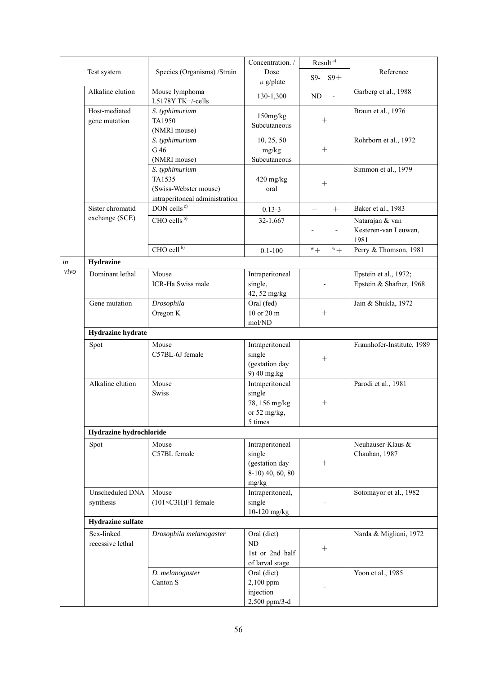|      |                                |                                                                                     | Concentration. /                                                         | Result <sup>a)</sup>        |                                                  |
|------|--------------------------------|-------------------------------------------------------------------------------------|--------------------------------------------------------------------------|-----------------------------|--------------------------------------------------|
|      | Test system                    | Species (Organisms) /Strain                                                         | Dose<br>$\mu$ g/plate                                                    | $S9-$<br>$S9+$              | Reference                                        |
|      | Alkaline elution               | Mouse lymphoma<br>L5178Y TK+/-cells                                                 | 130-1,300                                                                | ${\rm ND}$<br>$\frac{1}{2}$ | Garberg et al., 1988                             |
|      | Host-mediated<br>gene mutation | S. typhimurium<br>TA1950<br>(NMRI mouse)                                            | 150mg/kg<br>Subcutaneous                                                 | $^{+}$                      | Braun et al., 1976                               |
|      |                                | S. typhimurium<br>G 46<br>(NMRI mouse)                                              | 10, 25, 50<br>mg/kg<br>Subcutaneous                                      | $^{+}$                      | Rohrborn et al., 1972                            |
|      |                                | S. typhimurium<br>TA1535<br>(Swiss-Webster mouse)<br>intraperitoneal administration | 420 mg/kg<br>oral                                                        | $^{+}$                      | Simmon et al., 1979                              |
|      | Sister chromatid               | DON cells <sup>c)</sup>                                                             | $0.13 - 3$                                                               | $+$                         | Baker et al., 1983                               |
|      | exchange (SCE)                 | CHO cells <sup>b)</sup>                                                             | 32-1,667                                                                 | $\blacksquare$              | Natarajan & van<br>Kesteren-van Leuwen,<br>1981  |
|      |                                | CHO cell <sup>b)</sup>                                                              | $0.1 - 100$                                                              | $^{w}+$<br>$^{w}+$          | Perry & Thomson, 1981                            |
| in   | <b>Hydrazine</b>               |                                                                                     |                                                                          |                             |                                                  |
| vivo | Dominant lethal                | Mouse<br>ICR-Ha Swiss male                                                          | Intraperitoneal<br>single,<br>42, 52 mg/kg                               |                             | Epstein et al., 1972;<br>Epstein & Shafner, 1968 |
|      | Gene mutation                  | Drosophila<br>Oregon K                                                              | Oral (fed)<br>10 or 20 m<br>mol/ND                                       |                             | Jain & Shukla, 1972                              |
|      | Hydrazine hydrate              |                                                                                     |                                                                          |                             |                                                  |
|      | Spot                           | Mouse<br>C57BL-6J female                                                            | Intraperitoneal<br>single<br>(gestation day<br>9) 40 mg.kg               |                             | Fraunhofer-Institute, 1989                       |
|      | Alkaline elution               | Mouse<br><b>Swiss</b>                                                               | Intraperitoneal<br>single<br>78, 156 mg/kg<br>or 52 mg/kg,<br>5 times    |                             | Parodi et al., 1981                              |
|      | Hydrazine hydrochloride        |                                                                                     |                                                                          |                             |                                                  |
|      | Spot                           | Mouse<br>C57BL female                                                               | Intraperitoneal<br>single<br>(gestation day<br>8-10) 40, 60, 80<br>mg/kg | $^{+}$                      | Neuhauser-Klaus &<br>Chauhan, 1987               |
|      | Unscheduled DNA<br>synthesis   | Mouse<br>$(101\times C3H)F1$ female                                                 | Intraperitoneal,<br>single<br>10-120 mg/kg                               |                             | Sotomayor et al., 1982                           |
|      | <b>Hydrazine</b> sulfate       |                                                                                     |                                                                          |                             |                                                  |
|      | Sex-linked<br>recessive lethal | Drosophila melanogaster                                                             | Oral (diet)<br><b>ND</b><br>1st or 2nd half<br>of larval stage           | $^{+}$                      | Narda & Migliani, 1972                           |
|      |                                | D. melanogaster<br>Canton S                                                         | Oral (diet)<br>2,100 ppm<br>injection<br>2,500 ppm/3-d                   |                             | Yoon et al., 1985                                |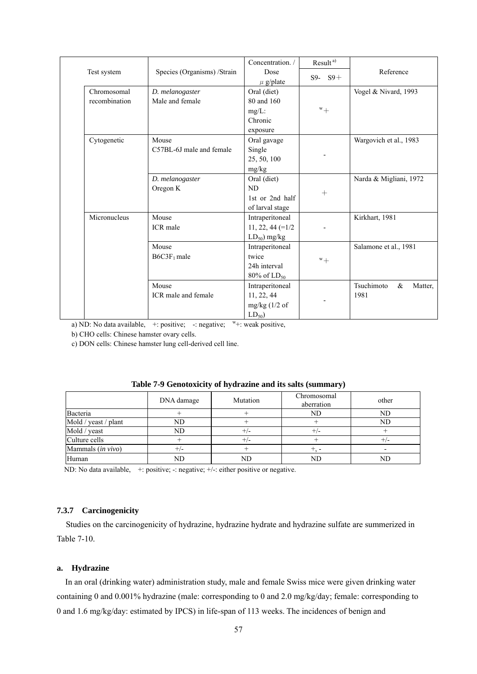|               |                             | Concentration. /    | Result <sup>a)</sup> |                               |  |
|---------------|-----------------------------|---------------------|----------------------|-------------------------------|--|
| Test system   | Species (Organisms) /Strain | Dose                |                      | Reference                     |  |
|               |                             | $\mu$ g/plate       | $S9 - S9 +$          |                               |  |
| Chromosomal   | D. melanogaster             | Oral (diet)         |                      | Vogel & Nivard, 1993          |  |
| recombination | Male and female             | 80 and 160          |                      |                               |  |
|               |                             | $mg/L$ :            | $w_+$                |                               |  |
|               |                             | Chronic             |                      |                               |  |
|               |                             | exposure            |                      |                               |  |
| Cytogenetic   | Mouse                       | Oral gavage         |                      | Wargovich et al., 1983        |  |
|               | C57BL-6J male and female    | Single              |                      |                               |  |
|               |                             | 25, 50, 100         |                      |                               |  |
|               |                             | mg/kg               |                      |                               |  |
|               | D. melanogaster             | Oral (diet)         |                      | Narda & Migliani, 1972        |  |
|               | Oregon K                    | ND                  |                      |                               |  |
|               |                             | 1st or 2nd half     | $+$                  |                               |  |
|               |                             | of larval stage     |                      |                               |  |
| Micronucleus  | Mouse                       | Intraperitoneal     |                      | Kirkhart, 1981                |  |
|               | ICR male                    | $11, 22, 44 (=1/2)$ |                      |                               |  |
|               |                             | $LD_{50}$ ) mg/kg   |                      |                               |  |
|               | Mouse                       | Intraperitoneal     |                      | Salamone et al., 1981         |  |
|               | $B6C3F_1$ male              | twice               | $^{w}+$              |                               |  |
|               |                             | 24h interval        |                      |                               |  |
|               |                             | $80\%$ of $LD_{50}$ |                      |                               |  |
|               | Mouse                       | Intraperitoneal     |                      | Tsuchimoto<br>$\&$<br>Matter, |  |
|               | ICR male and female         | 11, 22, 44          |                      | 1981                          |  |
|               |                             | $mg/kg$ (1/2 of     | -                    |                               |  |
|               |                             | $LD_{50}$           |                      |                               |  |

a) ND: No data available,  $+$ : positive; -: negative;  $w$ +: weak positive,

b) CHO cells: Chinese hamster ovary cells.

c) DON cells: Chinese hamster lung cell-derived cell line.

|                        | DNA damage | Mutation | Chromosomal<br>aberration | other |
|------------------------|------------|----------|---------------------------|-------|
| Bacteria               |            |          | ND                        | ND    |
| Mold / yeast / plant   | ND         |          |                           | ND    |
| Mold / yeast           | ND         | +/-      |                           |       |
| Culture cells          |            | +/-      |                           |       |
| Mammals $(in \, vivo)$ | +/-        |          |                           |       |
| Human                  | ND         | ND       | ND                        | ND    |

# **Table 7-9 Genotoxicity of hydrazine and its salts (summary)**

ND: No data available, +: positive; -: negative; +/-: either positive or negative.

# **7.3.7 Carcinogenicity**

Studies on the carcinogenicity of hydrazine, hydrazine hydrate and hydrazine sulfate are summerized in Table 7-10.

### **a. Hydrazine**

In an oral (drinking water) administration study, male and female Swiss mice were given drinking water containing 0 and 0.001% hydrazine (male: corresponding to 0 and 2.0 mg/kg/day; female: corresponding to 0 and 1.6 mg/kg/day: estimated by IPCS) in life-span of 113 weeks. The incidences of benign and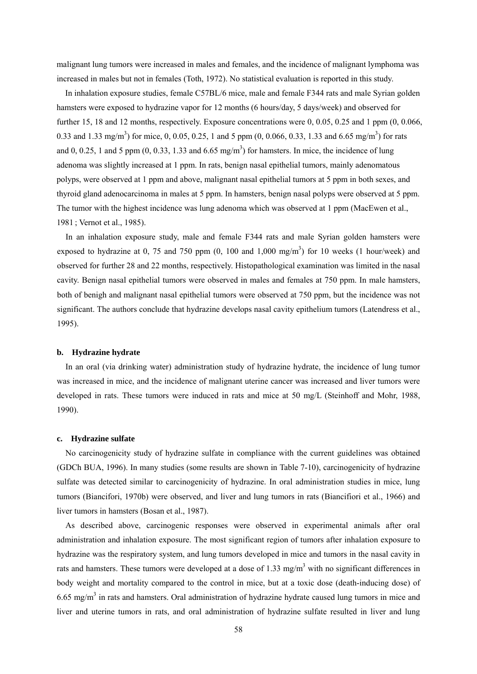malignant lung tumors were increased in males and females, and the incidence of malignant lymphoma was increased in males but not in females (Toth, 1972). No statistical evaluation is reported in this study.

In inhalation exposure studies, female C57BL/6 mice, male and female F344 rats and male Syrian golden hamsters were exposed to hydrazine vapor for 12 months (6 hours/day, 5 days/week) and observed for further 15, 18 and 12 months, respectively. Exposure concentrations were 0, 0.05, 0.25 and 1 ppm (0, 0.066, 0.33 and 1.33 mg/m<sup>3</sup>) for mice, 0, 0.05, 0.25, 1 and 5 ppm (0, 0.066, 0.33, 1.33 and 6.65 mg/m<sup>3</sup>) for rats and 0, 0.25, 1 and 5 ppm  $(0, 0.33, 1.33 \text{ and } 6.65 \text{ mg/m}^3)$  for hamsters. In mice, the incidence of lung adenoma was slightly increased at 1 ppm. In rats, benign nasal epithelial tumors, mainly adenomatous polyps, were observed at 1 ppm and above, malignant nasal epithelial tumors at 5 ppm in both sexes, and thyroid gland adenocarcinoma in males at 5 ppm. In hamsters, benign nasal polyps were observed at 5 ppm. The tumor with the highest incidence was lung adenoma which was observed at 1 ppm (MacEwen et al., 1981 ; Vernot et al., 1985).

In an inhalation exposure study, male and female F344 rats and male Syrian golden hamsters were exposed to hydrazine at 0, 75 and 750 ppm  $(0, 100 \text{ and } 1,000 \text{ mg/m}^3)$  for 10 weeks  $(1 \text{ hour/week})$  and observed for further 28 and 22 months, respectively. Histopathological examination was limited in the nasal cavity. Benign nasal epithelial tumors were observed in males and females at 750 ppm. In male hamsters, both of benigh and malignant nasal epithelial tumors were observed at 750 ppm, but the incidence was not significant. The authors conclude that hydrazine develops nasal cavity epithelium tumors (Latendress et al., 1995).

#### **b. Hydrazine hydrate**

In an oral (via drinking water) administration study of hydrazine hydrate, the incidence of lung tumor was increased in mice, and the incidence of malignant uterine cancer was increased and liver tumors were developed in rats. These tumors were induced in rats and mice at 50 mg/L (Steinhoff and Mohr, 1988, 1990).

#### **c. Hydrazine sulfate**

No carcinogenicity study of hydrazine sulfate in compliance with the current guidelines was obtained (GDCh BUA, 1996). In many studies (some results are shown in Table 7-10), carcinogenicity of hydrazine sulfate was detected similar to carcinogenicity of hydrazine. In oral administration studies in mice, lung tumors (Biancifori, 1970b) were observed, and liver and lung tumors in rats (Biancifiori et al., 1966) and liver tumors in hamsters (Bosan et al., 1987).

As described above, carcinogenic responses were observed in experimental animals after oral administration and inhalation exposure. The most significant region of tumors after inhalation exposure to hydrazine was the respiratory system, and lung tumors developed in mice and tumors in the nasal cavity in rats and hamsters. These tumors were developed at a dose of 1.33 mg/m<sup>3</sup> with no significant differences in body weight and mortality compared to the control in mice, but at a toxic dose (death-inducing dose) of  $6.65$  mg/m<sup>3</sup> in rats and hamsters. Oral administration of hydrazine hydrate caused lung tumors in mice and liver and uterine tumors in rats, and oral administration of hydrazine sulfate resulted in liver and lung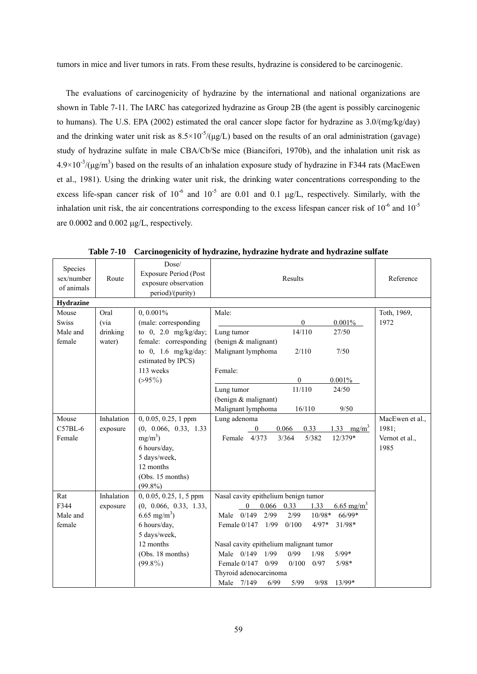tumors in mice and liver tumors in rats. From these results, hydrazine is considered to be carcinogenic.

The evaluations of carcinogenicity of hydrazine by the international and national organizations are shown in Table 7-11. The IARC has categorized hydrazine as Group 2B (the agent is possibly carcinogenic to humans). The U.S. EPA (2002) estimated the oral cancer slope factor for hydrazine as 3.0/(mg/kg/day) and the drinking water unit risk as  $8.5 \times 10^{-5} / (\mu g/L)$  based on the results of an oral administration (gavage) study of hydrazine sulfate in male CBA/Cb/Se mice (Biancifori, 1970b), and the inhalation unit risk as  $4.9\times10^{-3}/(\mu\text{g/m}^3)$  based on the results of an inhalation exposure study of hydrazine in F344 rats (MacEwen et al., 1981). Using the drinking water unit risk, the drinking water concentrations corresponding to the excess life-span cancer risk of  $10^{-6}$  and  $10^{-5}$  are 0.01 and 0.1 µg/L, respectively. Similarly, with the inhalation unit risk, the air concentrations corresponding to the excess lifespan cancer risk of  $10^{-6}$  and  $10^{-5}$ are 0.0002 and 0.002 μg/L, respectively.

| Species<br>sex/number<br>of animals | Route      | Dose/<br><b>Exposure Period (Post</b><br>exposure observation<br>period)/(purity) | Results                                                        | Reference       |
|-------------------------------------|------------|-----------------------------------------------------------------------------------|----------------------------------------------------------------|-----------------|
| <b>Hydrazine</b>                    |            |                                                                                   |                                                                |                 |
| Mouse                               | Oral       | $0, 0.001\%$                                                                      | Male:                                                          | Toth, 1969,     |
| <b>Swiss</b>                        | (via       | (male: corresponding                                                              | $\mathbf{0}$<br>$0.001\%$                                      | 1972            |
| Male and                            | drinking   | to $0$ , $2.0$ mg/kg/day;                                                         | 14/110<br>27/50<br>Lung tumor                                  |                 |
| female                              | water)     | female: corresponding                                                             | (benign & malignant)                                           |                 |
|                                     |            | to $0$ , $1.6$ mg/kg/day:                                                         | Malignant lymphoma<br>2/110<br>7/50                            |                 |
|                                     |            | estimated by IPCS)                                                                |                                                                |                 |
|                                     |            | 113 weeks                                                                         | Female:                                                        |                 |
|                                     |            | $(>95\%)$                                                                         | $\theta$<br>$0.001\%$                                          |                 |
|                                     |            |                                                                                   | 11/110<br>Lung tumor<br>24/50                                  |                 |
|                                     |            |                                                                                   | (benign & malignant)                                           |                 |
|                                     |            |                                                                                   | Malignant lymphoma<br>16/110<br>9/50                           |                 |
| Mouse                               | Inhalation | $0, 0.05, 0.25, 1$ ppm                                                            | Lung adenoma                                                   | MacEwen et al., |
| $C57BL-6$                           | exposure   | (0, 0.066, 0.33, 1.33)                                                            | $\mathbf{0}$<br>0.33<br>1.33 mg/m <sup>3</sup><br>0.066        | 1981;           |
| Female                              |            | $mg/m^3$ )                                                                        | Female 4/373<br>3/364<br>5/382<br>12/379*                      | Vernot et al.,  |
|                                     |            | 6 hours/day,                                                                      |                                                                | 1985            |
|                                     |            | 5 days/week,                                                                      |                                                                |                 |
|                                     |            | 12 months                                                                         |                                                                |                 |
|                                     |            | (Obs. 15 months)                                                                  |                                                                |                 |
|                                     |            | $(99.8\%)$                                                                        |                                                                |                 |
| Rat                                 | Inhalation | $0, 0.05, 0.25, 1, 5$ ppm                                                         | Nasal cavity epithelium benign tumor                           |                 |
| F344                                | exposure   | (0, 0.066, 0.33, 1.33,                                                            | 6.65 mg/m <sup>3</sup><br>$0.066$ 0.33<br>1.33<br>$\mathbf{0}$ |                 |
| Male and                            |            | 6.65 mg/m <sup>3</sup> )                                                          | 66/99*<br>Male $0/149$<br>2/99<br>2/99<br>$10/98*$             |                 |
| female                              |            | 6 hours/day,                                                                      | 1/99<br>$4/97*$<br>Female $0/147$<br>0/100<br>$31/98*$         |                 |
|                                     |            | 5 days/week,                                                                      |                                                                |                 |
|                                     |            | 12 months                                                                         | Nasal cavity epithelium malignant tumor                        |                 |
|                                     |            | (Obs. 18 months)                                                                  | Male 0/149 1/99<br>0/99<br>1/98<br>$5/99*$                     |                 |
|                                     |            | $(99.8\%)$                                                                        | 0/99<br>0/100<br>Female $0/147$<br>0/97<br>$5/98*$             |                 |
|                                     |            |                                                                                   | Thyroid adenocarcinoma                                         |                 |
|                                     |            |                                                                                   | 13/99*<br>Male 7/149<br>6/99<br>5/99<br>9/98                   |                 |

**Table 7-10 Carcinogenicity of hydrazine, hydrazine hydrate and hydrazine sulfate**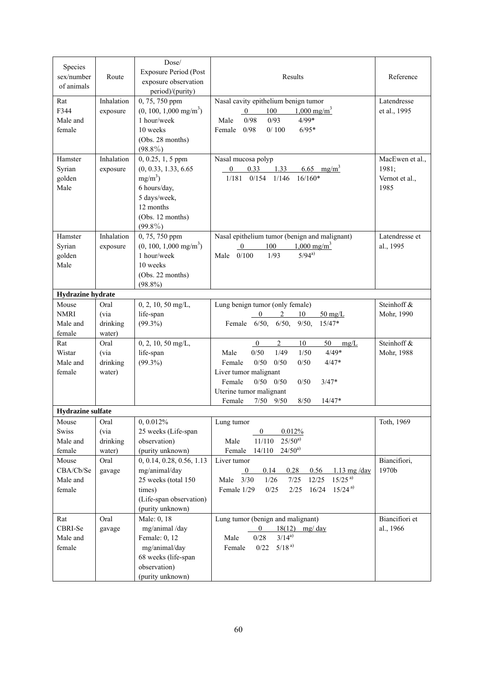| Species<br>sex/number<br>of animals        | Route                               | Dose/<br><b>Exposure Period (Post</b><br>exposure observation<br>period)/(purity)                                                         | Results                                                                                                                                                                                                                                                                                    | Reference                                          |
|--------------------------------------------|-------------------------------------|-------------------------------------------------------------------------------------------------------------------------------------------|--------------------------------------------------------------------------------------------------------------------------------------------------------------------------------------------------------------------------------------------------------------------------------------------|----------------------------------------------------|
| Rat<br>F344<br>Male and<br>female          | Inhalation<br>exposure              | 0, 75, 750 ppm<br>$(0, 100, 1,000 \text{ mg/m}^3)$<br>1 hour/week<br>10 weeks<br>(Obs. 28 months)<br>$(98.8\%)$                           | Nasal cavity epithelium benign tumor<br>100<br>$1,000 \text{ mg/m}^3$<br>$\overline{0}$<br>$4/99*$<br>0/93<br>Male<br>0/98<br>$6/95*$<br>Female<br>0/98<br>0/100                                                                                                                           | Latendresse<br>et al., 1995                        |
| Hamster<br>Syrian<br>golden<br>Male        | Inhalation<br>exposure              | $0, 0.25, 1, 5$ ppm<br>(0, 0.33, 1.33, 6.65)<br>$mg/m^3$ )<br>6 hours/day,<br>5 days/week,<br>12 months<br>(Obs. 12 months)<br>$(99.8\%)$ | Nasal mucosa polyp<br>0.33<br>6.65 mg/m <sup>3</sup><br>$\overline{0}$<br>1.33<br>$0/154$ $1/146$<br>$16/160*$<br>1/181                                                                                                                                                                    | MacEwen et al.,<br>1981;<br>Vernot et al.,<br>1985 |
| Hamster<br>Syrian<br>golden<br>Male        | Inhalation<br>exposure              | 0, 75, 750 ppm<br>$(0, 100, 1,000 \text{ mg/m}^3)$<br>1 hour/week<br>10 weeks<br>(Obs. 22 months)<br>$(98.8\%)$                           | Nasal epithelium tumor (benign and malignant)<br>$1,000 \text{ mg/m}^3$<br>100<br>$\mathbf{0}$<br>$5/94^{a}$<br>0/100<br>1/93<br>Male                                                                                                                                                      | Latendresse et<br>al., 1995                        |
| Hydrazine hydrate                          |                                     |                                                                                                                                           |                                                                                                                                                                                                                                                                                            |                                                    |
| Mouse<br><b>NMRI</b><br>Male and<br>female | Oral<br>(via<br>drinking<br>water)  | $0, 2, 10, 50$ mg/L,<br>life-span<br>$(99.3\%)$                                                                                           | Lung benign tumor (only female)<br>2<br>10<br>$50 \text{ mg/L}$<br>0<br>Female 6/50, 6/50,<br>$9/50$ ,<br>$15/47*$                                                                                                                                                                         | Steinhoff &<br>Mohr, 1990                          |
| Rat<br>Wistar<br>Male and<br>female        | Oral<br>(via)<br>drinking<br>water) | $0, 2, 10, 50$ mg/L,<br>life-span<br>$(99.3\%)$                                                                                           | $\overline{2}$<br>10<br>50<br>$\mathbf{0}$<br>mg/L<br>$4/49*$<br>Male<br>0/50<br>1/49<br>1/50<br>0/50<br>0/50<br>0/50<br>$4/47*$<br>Female<br>Liver tumor malignant<br>$0/50$ $0/50$<br>Female<br>0/50<br>$3/47*$<br>Uterine tumor malignant<br>7/50<br>8/50<br>$14/47*$<br>Female<br>9/50 | Steinhoff &<br>Mohr, 1988                          |
| <b>Hydrazine</b> sulfate                   |                                     |                                                                                                                                           |                                                                                                                                                                                                                                                                                            |                                                    |
| Mouse<br>Swiss<br>Male and<br>female       | Oral<br>(via<br>drinking<br>water)  | 0, 0.012%<br>25 weeks (Life-span<br>observation)<br>(purity unknown)                                                                      | Lung tumor<br>$\overline{0}$<br>0.012%<br>$25/50^{a}$<br>Male<br>11/110<br>$24/50^{a}$<br>Female<br>14/110                                                                                                                                                                                 | Toth, 1969                                         |
| Mouse<br>CBA/Cb/Se<br>Male and<br>female   | Oral<br>gavage                      | 0, 0.14, 0.28, 0.56, 1.13<br>mg/animal/day<br>25 weeks (total 150<br>times)<br>(Life-span observation)<br>(purity unknown)                | Liver tumor<br>0.14<br>0.28<br>0.56<br>$1.13$ mg/day<br>$\bf{0}$<br>$15/25^{a}$<br>12/25<br>$1/26$<br>7/25<br>Male $3/30$<br>$15/24^{a}$<br>16/24<br>0/25<br>2/25<br>Female 1/29                                                                                                           | Biancifiori,<br>1970b                              |
| Rat<br>CBRI-Se<br>Male and<br>female       | Oral<br>gavage                      | Male: 0, 18<br>mg/animal /day<br>Female: 0, 12<br>mg/animal/day<br>68 weeks (life-span<br>observation)<br>(purity unknown)                | Lung tumor (benign and malignant)<br>18(12) mg/ day<br>$\overline{0}$<br>$3/14^{a}$<br>0/28<br>Male<br>$5/18^{a}$<br>0/22<br>Female                                                                                                                                                        | Biancifiori et<br>al., 1966                        |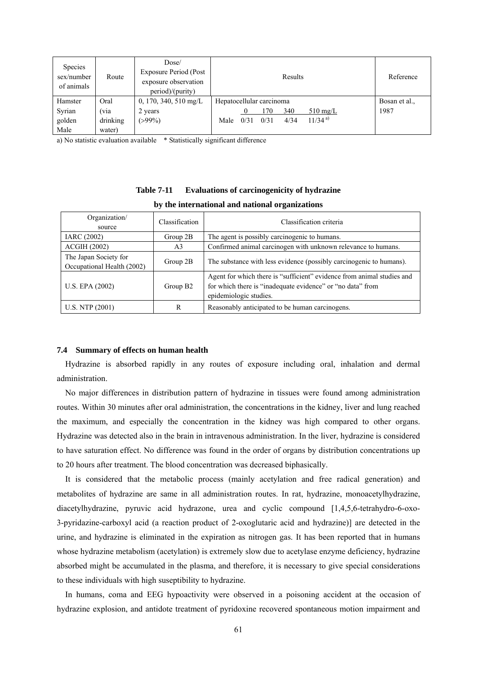| <b>Species</b><br>sex/number<br>of animals | Route    | Dose/<br>Exposure Period (Post<br>exposure observation<br>period)/(purity) |                          |      |      | Results |                    | Reference     |
|--------------------------------------------|----------|----------------------------------------------------------------------------|--------------------------|------|------|---------|--------------------|---------------|
| Hamster                                    | Oral     | $0, 170, 340, 510$ mg/L                                                    | Hepatocellular carcinoma |      |      |         |                    | Bosan et al., |
| Syrian                                     | (via     | 2 years                                                                    |                          |      | 170  | 340     | $510 \text{ mg/L}$ | 1987          |
| golden                                     | drinking | $( > 99\%)$                                                                | Male                     | 0/31 | 0/31 | 4/34    | $11/34^{a}$        |               |
| Male                                       | water)   |                                                                            |                          |      |      |         |                    |               |

a) No statistic evaluation available \* Statistically significant difference

# **Table 7-11 Evaluations of carcinogenicity of hydrazine**

| Organization/<br>source                             | Classification       | Classification criteria                                                                                                                                        |
|-----------------------------------------------------|----------------------|----------------------------------------------------------------------------------------------------------------------------------------------------------------|
| IARC (2002)                                         | Group $2B$           | The agent is possibly carcinogenic to humans.                                                                                                                  |
| <b>ACGIH (2002)</b>                                 | A3                   | Confirmed animal carcinogen with unknown relevance to humans.                                                                                                  |
| The Japan Society for<br>Occupational Health (2002) | Group 2B             | The substance with less evidence (possibly carcinogenic to humans).                                                                                            |
| U.S. EPA (2002)                                     | Group B <sub>2</sub> | Agent for which there is "sufficient" evidence from animal studies and<br>for which there is "inadequate evidence" or "no data" from<br>epidemiologic studies. |
| U.S. NTP (2001)                                     | R                    | Reasonably anticipated to be human carcinogens.                                                                                                                |

# **by the international and national organizations**

#### **7.4 Summary of effects on human health**

Hydrazine is absorbed rapidly in any routes of exposure including oral, inhalation and dermal administration.

No major differences in distribution pattern of hydrazine in tissues were found among administration routes. Within 30 minutes after oral administration, the concentrations in the kidney, liver and lung reached the maximum, and especially the concentration in the kidney was high compared to other organs. Hydrazine was detected also in the brain in intravenous administration. In the liver, hydrazine is considered to have saturation effect. No difference was found in the order of organs by distribution concentrations up to 20 hours after treatment. The blood concentration was decreased biphasically.

It is considered that the metabolic process (mainly acetylation and free radical generation) and metabolites of hydrazine are same in all administration routes. In rat, hydrazine, monoacetylhydrazine, diacetylhydrazine, pyruvic acid hydrazone, urea and cyclic compound [1,4,5,6-tetrahydro-6-oxo-3-pyridazine-carboxyl acid (a reaction product of 2-oxoglutaric acid and hydrazine)] are detected in the urine, and hydrazine is eliminated in the expiration as nitrogen gas. It has been reported that in humans whose hydrazine metabolism (acetylation) is extremely slow due to acetylase enzyme deficiency, hydrazine absorbed might be accumulated in the plasma, and therefore, it is necessary to give special considerations to these individuals with high suseptibility to hydrazine.

In humans, coma and EEG hypoactivity were observed in a poisoning accident at the occasion of hydrazine explosion, and antidote treatment of pyridoxine recovered spontaneous motion impairment and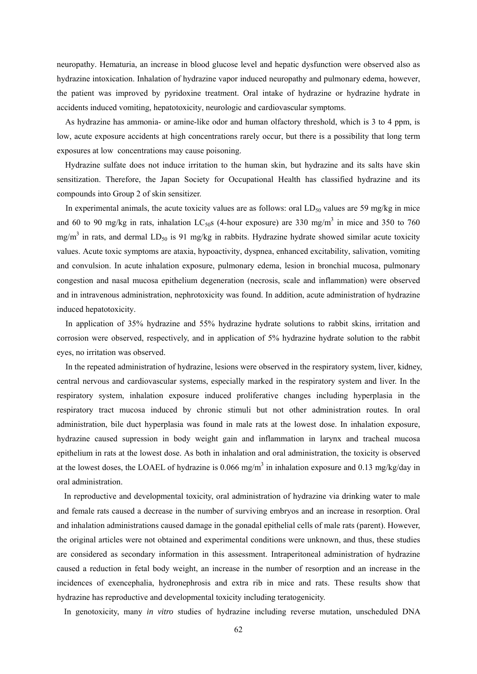neuropathy. Hematuria, an increase in blood glucose level and hepatic dysfunction were observed also as hydrazine intoxication. Inhalation of hydrazine vapor induced neuropathy and pulmonary edema, however, the patient was improved by pyridoxine treatment. Oral intake of hydrazine or hydrazine hydrate in accidents induced vomiting, hepatotoxicity, neurologic and cardiovascular symptoms.

As hydrazine has ammonia- or amine-like odor and human olfactory threshold, which is 3 to 4 ppm, is low, acute exposure accidents at high concentrations rarely occur, but there is a possibility that long term exposures at low concentrations may cause poisoning.

Hydrazine sulfate does not induce irritation to the human skin, but hydrazine and its salts have skin sensitization. Therefore, the Japan Society for Occupational Health has classified hydrazine and its compounds into Group 2 of skin sensitizer.

In experimental animals, the acute toxicity values are as follows: oral  $LD_{50}$  values are 59 mg/kg in mice and 60 to 90 mg/kg in rats, inhalation LC<sub>50</sub>s (4-hour exposure) are 330 mg/m<sup>3</sup> in mice and 350 to 760 mg/m<sup>3</sup> in rats, and dermal LD<sub>50</sub> is 91 mg/kg in rabbits. Hydrazine hydrate showed similar acute toxicity values. Acute toxic symptoms are ataxia, hypoactivity, dyspnea, enhanced excitability, salivation, vomiting and convulsion. In acute inhalation exposure, pulmonary edema, lesion in bronchial mucosa, pulmonary congestion and nasal mucosa epithelium degeneration (necrosis, scale and inflammation) were observed and in intravenous administration, nephrotoxicity was found. In addition, acute administration of hydrazine induced hepatotoxicity.

In application of 35% hydrazine and 55% hydrazine hydrate solutions to rabbit skins, irritation and corrosion were observed, respectively, and in application of 5% hydrazine hydrate solution to the rabbit eyes, no irritation was observed.

In the repeated administration of hydrazine, lesions were observed in the respiratory system, liver, kidney, central nervous and cardiovascular systems, especially marked in the respiratory system and liver. In the respiratory system, inhalation exposure induced proliferative changes including hyperplasia in the respiratory tract mucosa induced by chronic stimuli but not other administration routes. In oral administration, bile duct hyperplasia was found in male rats at the lowest dose. In inhalation exposure, hydrazine caused supression in body weight gain and inflammation in larynx and tracheal mucosa epithelium in rats at the lowest dose. As both in inhalation and oral administration, the toxicity is observed at the lowest doses, the LOAEL of hydrazine is  $0.066$  mg/m<sup>3</sup> in inhalation exposure and  $0.13$  mg/kg/day in oral administration.

In reproductive and developmental toxicity, oral administration of hydrazine via drinking water to male and female rats caused a decrease in the number of surviving embryos and an increase in resorption. Oral and inhalation administrations caused damage in the gonadal epithelial cells of male rats (parent). However, the original articles were not obtained and experimental conditions were unknown, and thus, these studies are considered as secondary information in this assessment. Intraperitoneal administration of hydrazine caused a reduction in fetal body weight, an increase in the number of resorption and an increase in the incidences of exencephalia, hydronephrosis and extra rib in mice and rats. These results show that hydrazine has reproductive and developmental toxicity including teratogenicity.

In genotoxicity, many *in vitro* studies of hydrazine including reverse mutation, unscheduled DNA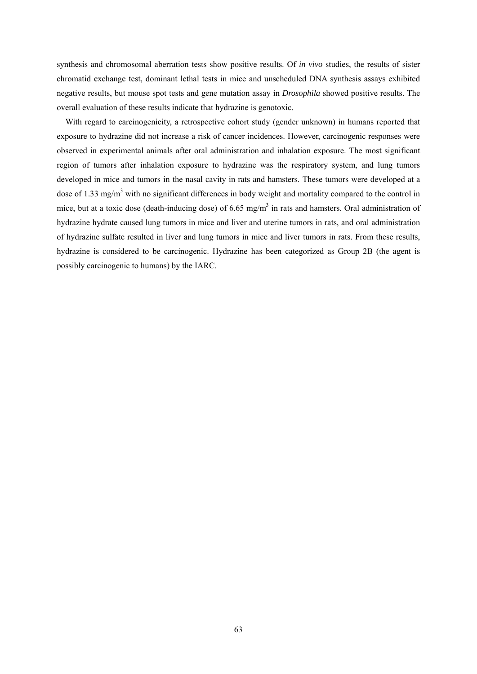synthesis and chromosomal aberration tests show positive results. Of *in vivo* studies, the results of sister chromatid exchange test, dominant lethal tests in mice and unscheduled DNA synthesis assays exhibited negative results, but mouse spot tests and gene mutation assay in *Drosophila* showed positive results. The overall evaluation of these results indicate that hydrazine is genotoxic.

With regard to carcinogenicity, a retrospective cohort study (gender unknown) in humans reported that exposure to hydrazine did not increase a risk of cancer incidences. However, carcinogenic responses were observed in experimental animals after oral administration and inhalation exposure. The most significant region of tumors after inhalation exposure to hydrazine was the respiratory system, and lung tumors developed in mice and tumors in the nasal cavity in rats and hamsters. These tumors were developed at a dose of 1.33 mg/m<sup>3</sup> with no significant differences in body weight and mortality compared to the control in mice, but at a toxic dose (death-inducing dose) of 6.65 mg/m<sup>3</sup> in rats and hamsters. Oral administration of hydrazine hydrate caused lung tumors in mice and liver and uterine tumors in rats, and oral administration of hydrazine sulfate resulted in liver and lung tumors in mice and liver tumors in rats. From these results, hydrazine is considered to be carcinogenic. Hydrazine has been categorized as Group 2B (the agent is possibly carcinogenic to humans) by the IARC.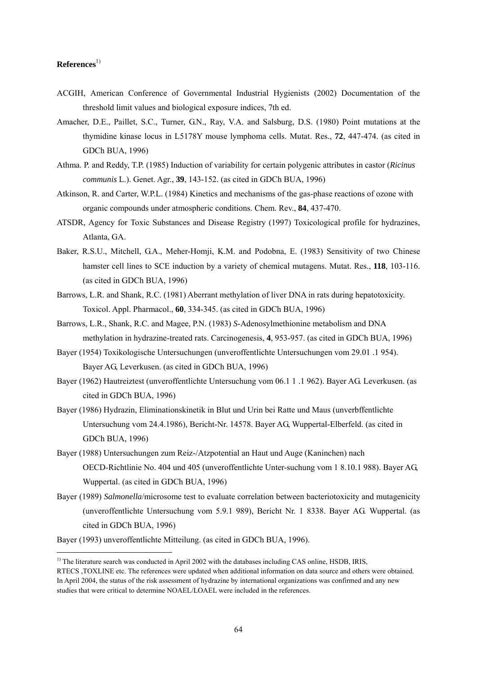# $References<sup>1</sup>$

-

- ACGIH, American Conference of Governmental Industrial Hygienists (2002) Documentation of the threshold limit values and biological exposure indices, 7th ed.
- Amacher, D.E., Paillet, S.C., Turner, G.N., Ray, V.A. and Salsburg, D.S. (1980) Point mutations at the thymidine kinase locus in L5178Y mouse lymphoma cells. Mutat. Res., **72**, 447-474. (as cited in GDCh BUA, 1996)
- Athma. P. and Reddy, T.P. (1985) Induction of variability for certain polygenic attributes in castor (*Ricinus communis* L.). Genet. Agr., **39**, 143-152. (as cited in GDCh BUA, 1996)
- Atkinson, R. and Carter, W.P.L. (1984) Kinetics and mechanisms of the gas-phase reactions of ozone with organic compounds under atmospheric conditions. Chem. Rev., **84**, 437-470.
- ATSDR, Agency for Toxic Substances and Disease Registry (1997) Toxicological profile for hydrazines, Atlanta, GA.
- Baker, R.S.U., Mitchell, G.A., Meher-Homji, K.M. and Podobna, E. (1983) Sensitivity of two Chinese hamster cell lines to SCE induction by a variety of chemical mutagens. Mutat. Res., **118**, 103-116. (as cited in GDCh BUA, 1996)
- Barrows, L.R. and Shank, R.C. (1981) Aberrant methylation of liver DNA in rats during hepatotoxicity. Toxicol. Appl. Pharmacol., **60**, 334-345. (as cited in GDCh BUA, 1996)
- Barrows, L.R., Shank, R.C. and Magee, P.N. (1983) *S*-Adenosylmethionine metabolism and DNA methylation in hydrazine-treated rats. Carcinogenesis, **4**, 953-957. (as cited in GDCh BUA, 1996)
- Bayer (1954) Toxikologische Untersuchungen (unveroffentlichte Untersuchungen vom 29.01 .1 954). Bayer AG, Leverkusen. (as cited in GDCh BUA, 1996)
- Bayer (1962) Hautreiztest (unveroffentlichte Untersuchung vom 06.1 1 .1 962). Bayer AG. Leverkusen. (as cited in GDCh BUA, 1996)
- Bayer (1986) Hydrazin, Eliminationskinetik in Blut und Urin bei Ratte und Maus (unverbffentlichte Untersuchung vom 24.4.1986), Bericht-Nr. 14578. Bayer AG, Wuppertal-Elberfeld. (as cited in GDCh BUA, 1996)
- Bayer (1988) Untersuchungen zum Reiz-/Atzpotential an Haut und Auge (Kaninchen) nach OECD-Richtlinie No. 404 und 405 (unveroffentlichte Unter-suchung vom 1 8.10.1 988). Bayer AG, Wuppertal. (as cited in GDCh BUA, 1996)
- Bayer (1989) *Salmonella*/microsome test to evaluate correlation between bacteriotoxicity and mutagenicity (unveroffentlichte Untersuchung vom 5.9.1 989), Bericht Nr. 1 8338. Bayer AG. Wuppertal. (as cited in GDCh BUA, 1996)

Bayer (1993) unveroffentlichte Mitteilung. (as cited in GDCh BUA, 1996).

<sup>&</sup>lt;sup>1)</sup> The literature search was conducted in April 2002 with the databases including CAS online, HSDB, IRIS, RTECS ,TOXLINE etc. The references were updated when additional information on data source and others were obtained. In April 2004, the status of the risk assessment of hydrazine by international organizations was confirmed and any new studies that were critical to determine NOAEL/LOAEL were included in the references.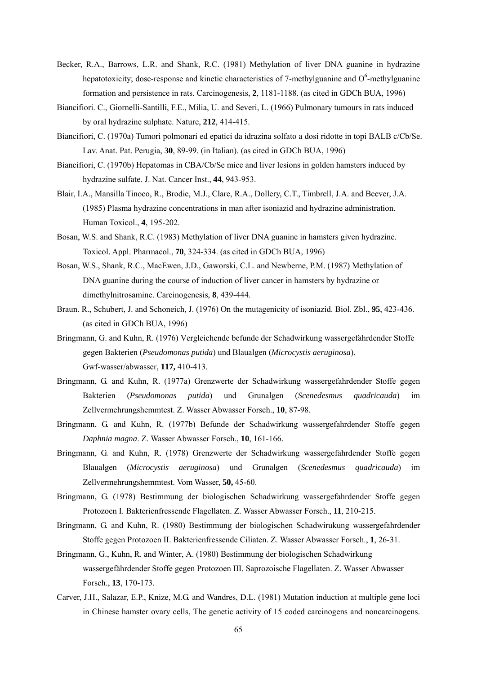- Becker, R.A., Barrows, L.R. and Shank, R.C. (1981) Methylation of liver DNA guanine in hydrazine hepatotoxicity; dose-response and kinetic characteristics of 7-methylguanine and  $O<sup>6</sup>$ -methylguanine formation and persistence in rats. Carcinogenesis, **2**, 1181-1188. (as cited in GDCh BUA, 1996)
- Biancifiori. C., Giornelli-Santilli, F.E., Milia, U. and Severi, L. (1966) Pulmonary tumours in rats induced by oral hydrazine sulphate. Nature, **212**, 414-415.
- Biancifiori, C. (1970a) Tumori polmonari ed epatici da idrazina solfato a dosi ridotte in topi BALB c/Cb/Se. Lav. Anat. Pat. Perugia, **30**, 89-99. (in Italian). (as cited in GDCh BUA, 1996)
- Biancifiori, C. (1970b) Hepatomas in CBA/Cb/Se mice and liver lesions in golden hamsters induced by hydrazine sulfate. J. Nat. Cancer Inst., **44**, 943-953.
- Blair, I.A., Mansilla Tinoco, R., Brodie, M.J., Clare, R.A., Dollery, C.T., Timbrell, J.A. and Beever, J.A. (1985) Plasma hydrazine concentrations in man after isoniazid and hydrazine administration. Human Toxicol., **4**, 195-202.
- Bosan, W.S. and Shank, R.C. (1983) Methylation of liver DNA guanine in hamsters given hydrazine. Toxicol. Appl. Pharmacol., **70**, 324-334. (as cited in GDCh BUA, 1996)
- Bosan, W.S., Shank, R.C., MacEwen, J.D., Gaworski, C.L. and Newberne, P.M. (1987) Methylation of DNA guanine during the course of induction of liver cancer in hamsters by hydrazine or dimethylnitrosamine. Carcinogenesis, **8**, 439-444.
- Braun. R., Schubert, J. and Schoneich, J. (1976) On the mutagenicity of isoniazid. Biol. Zbl., **95**, 423-436. (as cited in GDCh BUA, 1996)
- Bringmann, G. and Kuhn, R. (1976) Vergleichende befunde der Schadwirkung wassergefahrdender Stoffe gegen Bakterien (*Pseudomonas putida*) und Blaualgen (*Microcystis aeruginosa*). Gwf-wasser/abwasser, **117,** 410-413.
- Bringmann, G. and Kuhn, R. (1977a) Grenzwerte der Schadwirkung wassergefahrdender Stoffe gegen Bakterien (*Pseudomonas putida*) und Grunalgen (*Scenedesmus quadricauda*) im Zellvermehrungshemmtest. Z. Wasser Abwasser Forsch., **10**, 87-98.
- Bringmann, G. and Kuhn, R. (1977b) Befunde der Schadwirkung wassergefahrdender Stoffe gegen *Daphnia magna*. Z. Wasser Abwasser Forsch., **10**, 161-166.
- Bringmann, G. and Kuhn, R. (1978) Grenzwerte der Schadwirkung wassergefahrdender Stoffe gegen Blaualgen (*Microcystis aeruginosa*) und Grunalgen (*Scenedesmus quadricauda*) im Zellvermehrungshemmtest. Vom Wasser, **50,** 45-60.
- Bringmann, G. (1978) Bestimmung der biologischen Schadwirkung wassergefahrdender Stoffe gegen Protozoen I. Bakterienfressende Flagellaten. Z. Wasser Abwasser Forsch., **11**, 210-215.
- Bringmann, G. and Kuhn, R. (1980) Bestimmung der biologischen Schadwirukung wassergefahrdender Stoffe gegen Protozoen II. Bakterienfressende Ciliaten. Z. Wasser Abwasser Forsch., **1**, 26-31.
- Bringmann, G., Kuhn, R. and Winter, A. (1980) Bestimmung der biologischen Schadwirkung wassergefährdender Stoffe gegen Protozoen III. Saprozoische Flagellaten. Z. Wasser Abwasser Forsch., **13**, 170-173.
- Carver, J.H., Salazar, E.P., Knize, M.G. and Wandres, D.L. (1981) Mutation induction at multiple gene loci in Chinese hamster ovary cells, The genetic activity of 15 coded carcinogens and noncarcinogens.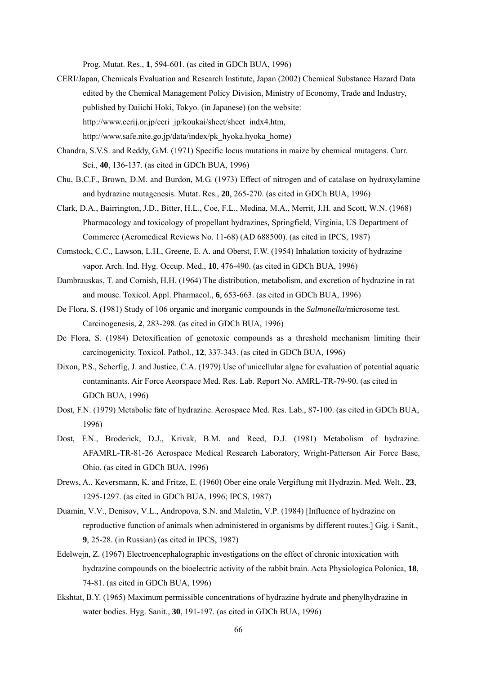Prog. Mutat. Res., **1**, 594-601. (as cited in GDCh BUA, 1996)

- CERI/Japan, Chemicals Evaluation and Research Institute, Japan (2002) Chemical Substance Hazard Data edited by the Chemical Management Policy Division, Ministry of Economy, Trade and Industry, published by Daiichi Hoki, Tokyo. (in Japanese) (on the website: http://www.cerij.or.jp/ceri\_jp/koukai/sheet/sheet\_indx4.htm, http://www.safe.nite.go.jp/data/index/pk\_hyoka.hyoka\_home)
- Chandra, S.V.S. and Reddy, G.M. (1971) Specific locus mutations in maize by chemical mutagens. Curr. Sci., **40**, 136-137. (as cited in GDCh BUA, 1996)
- Chu, B.C.F., Brown, D.M. and Burdon, M.G. (1973) Effect of nitrogen and of catalase on hydroxylamine and hydrazine mutagenesis. Mutat. Res., **20**, 265-270. (as cited in GDCh BUA, 1996)
- Clark, D.A., Bairrington, J.D., Bitter, H.L., Coe, F.L., Medina, M.A., Merrit, J.H. and Scott, W.N. (1968) Pharmacology and toxicology of propellant hydrazines*,* Springfield, Virginia, US Department of Commerce (Aeromedical Reviews No. 11-68) (AD 688500). (as cited in IPCS, 1987)
- Comstock, C.C., Lawson, L.H., Greene, E. A. and Oberst, F.W. (1954) Inhalation toxicity of hydrazine vapor. Arch. Ind. Hyg. Occup. Med., **10**, 476-490. (as cited in GDCh BUA, 1996)
- Dambrauskas, T. and Cornish, H.H. (1964) The distribution, metabolism, and excretion of hydrazine in rat and mouse. Toxicol. Appl. Pharmacol., **6**, 653-663. (as cited in GDCh BUA, 1996)
- De Flora, S. (1981) Study of 106 organic and inorganic compounds in the *Salmonella*/microsome test. Carcinogenesis, **2**, 283-298. (as cited in GDCh BUA, 1996)
- De Flora, S. (1984) Detoxification of genotoxic compounds as a threshold mechanism limiting their carcinogenicity. Toxicol. Pathol., **12**, 337-343. (as cited in GDCh BUA, 1996)
- Dixon, P.S., Scherfig, J. and Justice, C.A. (1979) Use of unicellular algae for evaluation of potential aquatic contaminants. Air Force Aeorspace Med. Res. Lab. Report No. AMRL-TR-79-90. (as cited in GDCh BUA, 1996)
- Dost, F.N. (1979) Metabolic fate of hydrazine. Aerospace Med. Res. Lab., 87-100. (as cited in GDCh BUA, 1996)
- Dost, F.N., Broderick, D.J., Krivak, B.M. and Reed, D.J. (1981) Metabolism of hydrazine. AFAMRL-TR-81-26 Aerospace Medical Research Laboratory, Wright-Patterson Air Force Base, Ohio. (as cited in GDCh BUA, 1996)
- Drews, A., Keversmann, K. and Fritze, E. (1960) Ober eine orale Vergiftung mit Hydrazin. Med. Welt., **23**, 1295-1297. (as cited in GDCh BUA, 1996; IPCS, 1987)
- Duamin, V.V., Denisov, V.L., Andropova, S.N. and Maletin, V.P. (1984) [Influence of hydrazine on reproductive function of animals when administered in organisms by different routes.] Gig. i Sanit., **9**, 25-28. (in Russian) (as cited in IPCS, 1987)
- Edelwejn, Z. (1967) Electroencephalographic investigations on the effect of chronic intoxication with hydrazine compounds on the bioelectric activity of the rabbit brain. Acta Physiologica Polonica, **18**, 74-81. (as cited in GDCh BUA, 1996)
- Ekshtat, B.Y. (1965) Maximum permissible concentrations of hydrazine hydrate and phenylhydrazine in water bodies. Hyg. Sanit., **30**, 191-197. (as cited in GDCh BUA, 1996)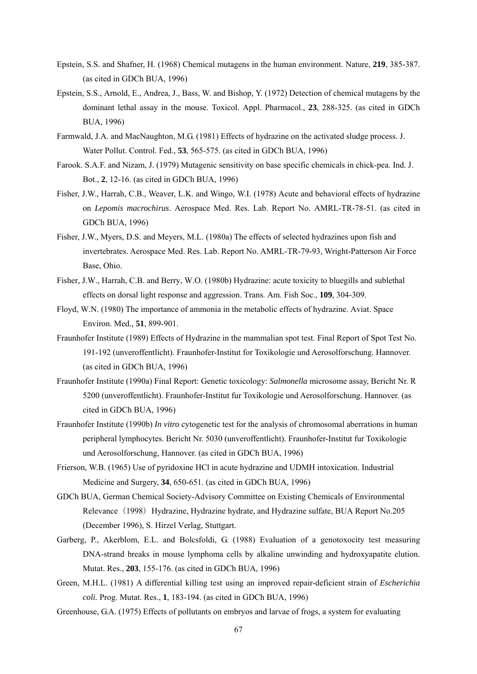- Epstein, S.S. and Shafner, H. (1968) Chemical mutagens in the human environment. Nature, **219**, 385-387. (as cited in GDCh BUA, 1996)
- Epstein, S.S., Arnold, E., Andrea, J., Bass, W. and Bishop, Y. (1972) Detection of chemical mutagens by the dominant lethal assay in the mouse. Toxicol. Appl. Pharmacol., **23**, 288-325. (as cited in GDCh BUA, 1996)
- Farmwald, J.A. and MacNaughton, M.G. (1981) Effects of hydrazine on the activated sludge process. J. Water Pollut. Control. Fed., **53**, 565-575. (as cited in GDCh BUA, 1996)
- Farook. S.A.F. and Nizam, J. (1979) Mutagenic sensitivity on base specific chemicals in chick-pea. Ind. J. Bot., **2**, 12-16. (as cited in GDCh BUA, 1996)
- Fisher, J.W., Harrah, C.B., Weaver, L.K. and Wingo, W.I. (1978) Acute and behavioral effects of hydrazine on *Lepomis macrochirus*. Aerospace Med. Res. Lab. Report No. AMRL-TR-78-51. (as cited in GDCh BUA, 1996)
- Fisher, J.W., Myers, D.S. and Meyers, M.L. (1980a) The effects of selected hydrazines upon fish and invertebrates. Aerospace Med. Res. Lab. Report No. AMRL-TR-79-93, Wright-Patterson Air Force Base, Ohio.
- Fisher, J.W., Harrah, C.B. and Berry, W.O. (1980b) Hydrazine: acute toxicity to bluegills and sublethal effects on dorsal light response and aggression. Trans. Am. Fish Soc., **109**, 304-309.
- Floyd, W.N. (1980) The importance of ammonia in the metabolic effects of hydrazine. Aviat. Space Environ. Med*.,* **51**, 899-901.
- Fraunhofer Institute (1989) Effects of Hydrazine in the mammalian spot test. Final Report of Spot Test No. 191-192 (unveroffentlicht). Fraunhofer-Institut for Toxikologie und Aerosolforschung. Hannover. (as cited in GDCh BUA, 1996)
- Fraunhofer Institute (1990a) Final Report: Genetic toxicology: *Salmonella* microsome assay, Bericht Nr. R 5200 (unveroffentlicht). Fraunhofer-Institut fur Toxikologie und Aerosolforschung. Hannover. (as cited in GDCh BUA, 1996)
- Fraunhofer Institute (1990b) *In vitro* cytogenetic test for the analysis of chromosomal aberrations in human peripheral lymphocytes. Bericht Nr. 5030 (unveroffentlicht). Fraunhofer-Institut fur Toxikologie und Aerosolforschung, Hannover. (as cited in GDCh BUA, 1996)
- Frierson, W.B. (1965) Use of pyridoxine HCl in acute hydrazine and UDMH intoxication. Industrial Medicine and Surgery, **34**, 650-651. (as cited in GDCh BUA, 1996)
- GDCh BUA, German Chemical Society-Advisory Committee on Existing Chemicals of Environmental Relevance (1998) Hydrazine, Hydrazine hydrate, and Hydrazine sulfate, BUA Report No.205 (December 1996), S. Hirzel Verlag, Stuttgart.
- Garberg, P., Akerblom, E.L. and Bolcsfoldi, G. (1988) Evaluation of a genotoxocity test measuring DNA-strand breaks in mouse lymphoma cells by alkaline unwinding and hydroxyapatite elution. Mutat. Res., **203**, 155-176. (as cited in GDCh BUA, 1996)
- Green, M.H.L. (1981) A differential killing test using an improved repair-deficient strain of *Escherichia coli.* Prog. Mutat. Res., **1**, 183-194. (as cited in GDCh BUA, 1996)
- Greenhouse, G.A. (1975) Effects of pollutants on embryos and larvae of frogs, a system for evaluating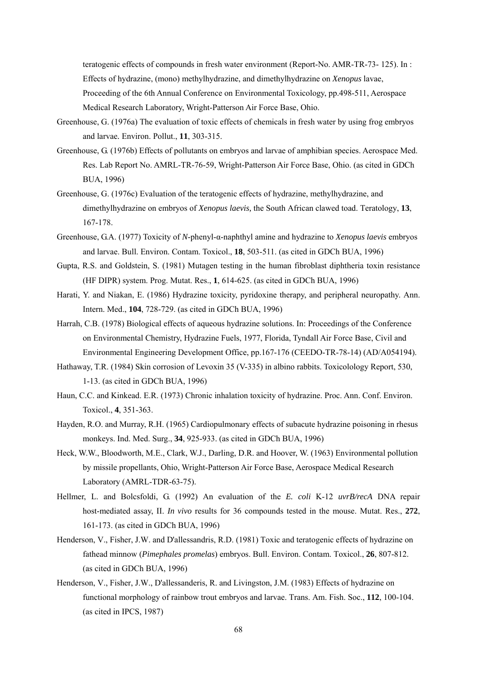teratogenic effects of compounds in fresh water environment (Report-No. AMR-TR-73- 125). In : Effects of hydrazine, (mono) methylhydrazine, and dimethylhydrazine on *Xenopus* lavae, Proceeding of the 6th Annual Conference on Environmental Toxicology, pp.498-511, Aerospace Medical Research Laboratory, Wright-Patterson Air Force Base, Ohio.

- Greenhouse, G. (1976a) The evaluation of toxic effects of chemicals in fresh water by using frog embryos and larvae*.* Environ. Pollut., **11**, 303-315.
- Greenhouse, G. (1976b) Effects of pollutants on embryos and larvae of amphibian species. Aerospace Med. Res. Lab Report No. AMRL-TR-76-59, Wright-Patterson Air Force Base, Ohio. (as cited in GDCh BUA, 1996)
- Greenhouse, G. (1976c) Evaluation of the teratogenic effects of hydrazine, methylhydrazine, and dimethylhydrazine on embryos of *Xenopus laevis,* the South African clawed toad. Teratology, **13**, 167-178.
- Greenhouse, G.A. (1977) Toxicity of *N*-phenyl-α-naphthyl amine and hydrazine to *Xenopus laevis* embryos and larvae. Bull. Environ. Contam. Toxicol., **18**, 503-511. (as cited in GDCh BUA, 1996)
- Gupta, R.S. and Goldstein, S. (1981) Mutagen testing in the human fibroblast diphtheria toxin resistance (HF DIPR) system. Prog. Mutat. Res., **1**, 614-625. (as cited in GDCh BUA, 1996)
- Harati, Y. and Niakan, E. (1986) Hydrazine toxicity, pyridoxine therapy, and peripheral neuropathy. Ann. Intern. Med., **104**, 728-729. (as cited in GDCh BUA, 1996)
- Harrah, C.B. (1978) Biological effects of aqueous hydrazine solutions. In: Proceedings of the Conference on Environmental Chemistry, Hydrazine Fuels, 1977, Florida, Tyndall Air Force Base, Civil and Environmental Engineering Development Office, pp.167-176 (CEEDO-TR-78-14) (AD/A054194).
- Hathaway, T.R. (1984) Skin corrosion of Levoxin 35 (V-335) in albino rabbits. Toxicolology Report, 530, 1-13. (as cited in GDCh BUA, 1996)
- Haun, C.C. and Kinkead. E.R. (1973) Chronic inhalation toxicity of hydrazine. Proc. Ann. Conf. Environ. Toxicol., **4**, 351-363.
- Hayden, R.O. and Murray, R.H. (1965) Cardiopulmonary effects of subacute hydrazine poisoning in rhesus monkeys. Ind. Med. Surg., **34**, 925-933. (as cited in GDCh BUA, 1996)
- Heck, W.W., Bloodworth, M.E., Clark, W.J., Darling, D.R. and Hoover, W. (1963) Environmental pollution by missile propellants, Ohio, Wright-Patterson Air Force Base, Aerospace Medical Research Laboratory (AMRL-TDR-63-75).
- Hellmer, L. and Bolcsfoldi, G. (1992) An evaluation of the *E. coli* K-12 *uvrB/recA* DNA repair host-mediated assay, II. *In vivo* results for 36 compounds tested in the mouse. Mutat. Res., **272**, 161-173. (as cited in GDCh BUA, 1996)
- Henderson, V., Fisher, J.W. and D'allessandris, R.D. (1981) Toxic and teratogenic effects of hydrazine on fathead minnow (*Pimephales promelas*) embryos. Bull. Environ. Contam. Toxicol., **26**, 807-812. (as cited in GDCh BUA, 1996)
- Henderson, V., Fisher, J.W., D'allessanderis, R. and Livingston, J.M. (1983) Effects of hydrazine on functional morphology of rainbow trout embryos and larvae. Trans. Am. Fish. Soc., **112**, 100-104. (as cited in IPCS, 1987)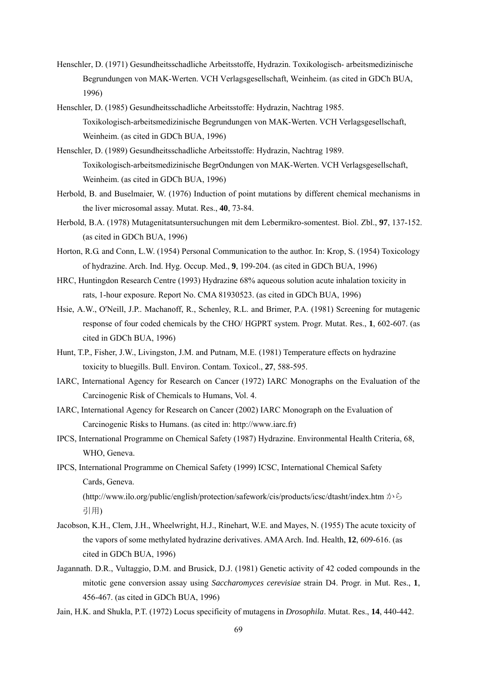- Henschler, D. (1971) Gesundheitsschadliche Arbeitsstoffe, Hydrazin. Toxikologisch- arbeitsmedizinische Begrundungen von MAK-Werten. VCH Verlagsgesellschaft, Weinheim. (as cited in GDCh BUA, 1996)
- Henschler, D. (1985) Gesundheitsschadliche Arbeitsstoffe: Hydrazin, Nachtrag 1985. Toxikologisch-arbeitsmedizinische Begrundungen von MAK-Werten. VCH Verlagsgesellschaft, Weinheim. (as cited in GDCh BUA, 1996)
- Henschler, D. (1989) Gesundheitsschadliche Arbeitsstoffe: Hydrazin, Nachtrag 1989. Toxikologisch-arbeitsmedizinische BegrOndungen von MAK-Werten. VCH Verlagsgesellschaft, Weinheim. (as cited in GDCh BUA, 1996)
- Herbold, B. and Buselmaier, W. (1976) Induction of point mutations by different chemical mechanisms in the liver microsomal assay. Mutat. Res., **40**, 73-84.
- Herbold, B.A. (1978) Mutagenitatsuntersuchungen mit dem Lebermikro-somentest. Biol. Zbl., **97**, 137-152. (as cited in GDCh BUA, 1996)
- Horton, R.G. and Conn, L.W. (1954) Personal Communication to the author. In: Krop, S. (1954) Toxicology of hydrazine. Arch. Ind. Hyg. Occup. Med., **9**, 199-204. (as cited in GDCh BUA, 1996)
- HRC, Huntingdon Research Centre (1993) Hydrazine 68% aqueous solution acute inhalation toxicity in rats, 1-hour exposure. Report No. CMA 81930523. (as cited in GDCh BUA, 1996)
- Hsie, A.W., O'Neill, J.P.. Machanoff, R., Schenley, R.L. and Brimer, P.A. (1981) Screening for mutagenic response of four coded chemicals by the CHO/ HGPRT system. Progr. Mutat. Res., **1**, 602-607. (as cited in GDCh BUA, 1996)
- Hunt, T.P., Fisher, J.W., Livingston, J.M. and Putnam, M.E. (1981) Temperature effects on hydrazine toxicity to bluegills. Bull. Environ. Contam. Toxicol., **27**, 588-595.
- IARC, International Agency for Research on Cancer (1972) IARC Monographs on the Evaluation of the Carcinogenic Risk of Chemicals to Humans, Vol. 4.
- IARC, International Agency for Research on Cancer (2002) IARC Monograph on the Evaluation of Carcinogenic Risks to Humans. (as cited in: http://www.iarc.fr)
- IPCS, International Programme on Chemical Safety (1987) Hydrazine. Environmental Health Criteria, 68, WHO, Geneva.
- IPCS, International Programme on Chemical Safety (1999) ICSC, International Chemical Safety Cards, Geneva. (http://www.ilo.org/public/english/protection/safework/cis/products/icsc/dtasht/index.htm から 引用)
- Jacobson, K.H., Clem, J.H., Wheelwright, H.J., Rinehart, W.E. and Mayes, N. (1955) The acute toxicity of the vapors of some methylated hydrazine derivatives. AMA Arch. Ind. Health, **12**, 609-616. (as cited in GDCh BUA, 1996)
- Jagannath. D.R., Vultaggio, D.M. and Brusick, D.J. (1981) Genetic activity of 42 coded compounds in the mitotic gene conversion assay using *Saccharomyces cerevisiae* strain D4. Progr. in Mut. Res., **1**, 456-467. (as cited in GDCh BUA, 1996)
- Jain, H.K. and Shukla, P.T. (1972) Locus specificity of mutagens in *Drosophila*. Mutat. Res., **14**, 440-442.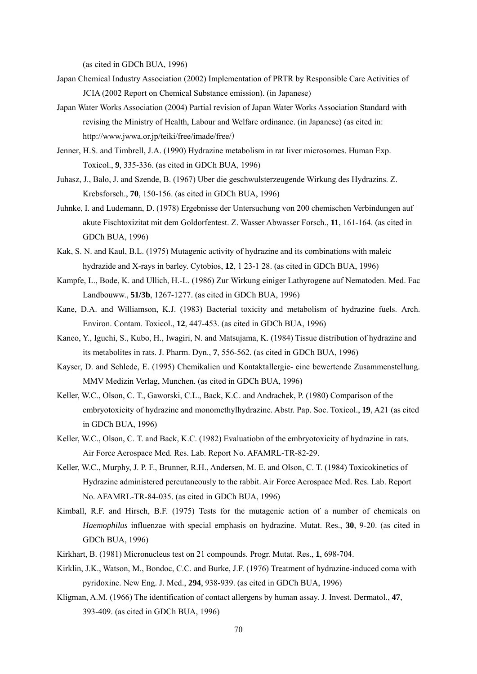(as cited in GDCh BUA, 1996)

- Japan Chemical Industry Association (2002) Implementation of PRTR by Responsible Care Activities of JCIA (2002 Report on Chemical Substance emission). (in Japanese)
- Japan Water Works Association (2004) Partial revision of Japan Water Works Association Standard with revising the Ministry of Health, Labour and Welfare ordinance. (in Japanese) (as cited in: http://www.jwwa.or.jp/teiki/free/imade/free/)
- Jenner, H.S. and Timbrell, J.A. (1990) Hydrazine metabolism in rat liver microsomes. Human Exp. Toxicol., **9**, 335-336. (as cited in GDCh BUA, 1996)
- Juhasz, J., Balo, J. and Szende, B. (1967) Uber die geschwulsterzeugende Wirkung des Hydrazins. Z. Krebsforsch., **70**, 150-156. (as cited in GDCh BUA, 1996)
- Juhnke, I. and Ludemann, D. (1978) Ergebnisse der Untersuchung von 200 chemischen Verbindungen auf akute Fischtoxizitat mit dem Goldorfentest. Z. Wasser Abwasser Forsch., **11**, 161-164. (as cited in GDCh BUA, 1996)
- Kak, S. N. and Kaul, B.L. (1975) Mutagenic activity of hydrazine and its combinations with maleic hydrazide and X-rays in barley. Cytobios, **12**, 1 23-1 28. (as cited in GDCh BUA, 1996)
- Kampfe, L., Bode, K. and Ullich, H.-L. (1986) Zur Wirkung einiger Lathyrogene auf Nematoden. Med. Fac Landbouww., **51/3b**, 1267-1277. (as cited in GDCh BUA, 1996)
- Kane, D.A. and Williamson, K.J. (1983) Bacterial toxicity and metabolism of hydrazine fuels. Arch. Environ. Contam. Toxicol., **12**, 447-453. (as cited in GDCh BUA, 1996)
- Kaneo, Y., Iguchi, S., Kubo, H., Iwagiri, N. and Matsujama, K. (1984) Tissue distribution of hydrazine and its metabolites in rats. J. Pharm. Dyn., **7**, 556-562. (as cited in GDCh BUA, 1996)
- Kayser, D. and Schlede, E. (1995) Chemikalien und Kontaktallergie- eine bewertende Zusammenstellung. MMV Medizin Verlag, Munchen. (as cited in GDCh BUA, 1996)
- Keller, W.C., Olson, C. T., Gaworski, C.L., Back, K.C. and Andrachek, P. (1980) Comparison of the embryotoxicity of hydrazine and monomethylhydrazine. Abstr. Pap. Soc. Toxicol., **19**, A21 (as cited in GDCh BUA, 1996)
- Keller, W.C., Olson, C. T. and Back, K.C. (1982) Evaluatiobn of the embryotoxicity of hydrazine in rats. Air Force Aerospace Med. Res. Lab. Report No. AFAMRL-TR-82-29.
- Keller, W.C., Murphy, J. P. F., Brunner, R.H., Andersen, M. E. and Olson, C. T. (1984) Toxicokinetics of Hydrazine administered percutaneously to the rabbit. Air Force Aerospace Med. Res. Lab. Report No. AFAMRL-TR-84-035. (as cited in GDCh BUA, 1996)
- Kimball, R.F. and Hirsch, B.F. (1975) Tests for the mutagenic action of a number of chemicals on *Haemophilus* influenzae with special emphasis on hydrazine. Mutat. Res., **30**, 9-20. (as cited in GDCh BUA, 1996)
- Kirkhart, B. (1981) Micronucleus test on 21 compounds. Progr. Mutat. Res., **1**, 698-704.
- Kirklin, J.K., Watson, M., Bondoc, C.C. and Burke, J.F. (1976) Treatment of hydrazine-induced coma with pyridoxine. New Eng. J. Med., **294**, 938-939. (as cited in GDCh BUA, 1996)
- Kligman, A.M. (1966) The identification of contact allergens by human assay. J. Invest. Dermatol., **47**, 393-409. (as cited in GDCh BUA, 1996)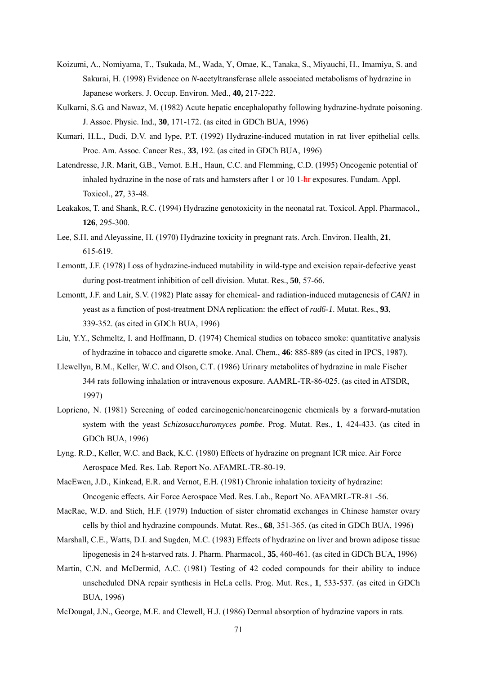- Koizumi, A., Nomiyama, T., Tsukada, M., Wada, Y, Omae, K., Tanaka, S., Miyauchi, H., Imamiya, S. and Sakurai, H. (1998) Evidence on *N*-acetyltransferase allele associated metabolisms of hydrazine in Japanese workers. J. Occup. Environ. Med., **40,** 217-222.
- Kulkarni, S.G. and Nawaz, M. (1982) Acute hepatic encephalopathy following hydrazine-hydrate poisoning. J. Assoc. Physic. Ind., **30**, 171-172. (as cited in GDCh BUA, 1996)
- Kumari, H.L., Dudi, D.V. and Iype, P.T. (1992) Hydrazine-induced mutation in rat liver epithelial cells. Proc. Am. Assoc. Cancer Res., **33**, 192. (as cited in GDCh BUA, 1996)
- Latendresse, J.R. Marit, G.B., Vernot. E.H., Haun, C.C. and Flemming, C.D. (1995) Oncogenic potential of inhaled hydrazine in the nose of rats and hamsters after 1 or 10 1-hr exposures. Fundam. Appl. Toxicol., **27**, 33-48.
- Leakakos, T. and Shank, R.C. (1994) Hydrazine genotoxicity in the neonatal rat. Toxicol. Appl. Pharmacol., **126**, 295-300.
- Lee, S.H. and Aleyassine, H. (1970) Hydrazine toxicity in pregnant rats. Arch. Environ. Health, **21**, 615-619.
- Lemontt, J.F. (1978) Loss of hydrazine-induced mutability in wild-type and excision repair-defective yeast during post-treatment inhibition of cell division. Mutat. Res., **50**, 57-66.
- Lemontt, J.F. and Lair, S.V. (1982) Plate assay for chemical- and radiation-induced mutagenesis of *CAN1* in yeast as a function of post-treatment DNA replication: the effect of *rad6*-*1*. Mutat. Res., **93**, 339-352. (as cited in GDCh BUA, 1996)
- Liu, Y.Y., Schmeltz, I. and Hoffmann, D. (1974) Chemical studies on tobacco smoke: quantitative analysis of hydrazine in tobacco and cigarette smoke. Anal. Chem., **46**: 885-889 (as cited in IPCS, 1987).
- Llewellyn, B.M., Keller, W.C. and Olson, C.T. (1986) Urinary metabolites of hydrazine in male Fischer 344 rats following inhalation or intravenous exposure. AAMRL-TR-86-025. (as cited in ATSDR, 1997)
- Loprieno, N. (1981) Screening of coded carcinogenic/noncarcinogenic chemicals by a forward-mutation system with the yeast *Schizosaccharomyces pombe*. Prog. Mutat. Res., **1**, 424-433. (as cited in GDCh BUA, 1996)
- Lyng. R.D., Keller, W.C. and Back, K.C. (1980) Effects of hydrazine on pregnant ICR mice. Air Force Aerospace Med. Res. Lab. Report No. AFAMRL-TR-80-19.
- MacEwen, J.D., Kinkead, E.R. and Vernot, E.H. (1981) Chronic inhalation toxicity of hydrazine: Oncogenic effects. Air Force Aerospace Med. Res. Lab., Report No. AFAMRL-TR-81 -56.
- MacRae, W.D. and Stich, H.F. (1979) Induction of sister chromatid exchanges in Chinese hamster ovary cells by thiol and hydrazine compounds. Mutat. Res., **68**, 351-365. (as cited in GDCh BUA, 1996)
- Marshall, C.E., Watts, D.I. and Sugden, M.C. (1983) Effects of hydrazine on liver and brown adipose tissue lipogenesis in 24 h-starved rats*.* J. Pharm. Pharmacol*.,* **35**, 460-461. (as cited in GDCh BUA, 1996)
- Martin, C.N. and McDermid, A.C. (1981) Testing of 42 coded compounds for their ability to induce unscheduled DNA repair synthesis in HeLa cells. Prog. Mut. Res., **1**, 533-537. (as cited in GDCh BUA, 1996)
- McDougal, J.N., George, M.E. and Clewell, H.J. (1986) Dermal absorption of hydrazine vapors in rats.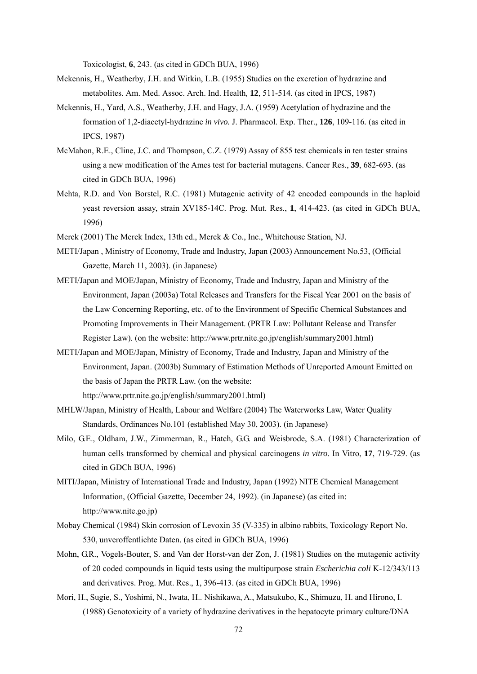Toxicologist, **6**, 243. (as cited in GDCh BUA, 1996)

- Mckennis, H., Weatherby, J.H. and Witkin, L.B. (1955) Studies on the excretion of hydrazine and metabolites. Am. Med. Assoc. Arch. Ind. Health*,* **12**, 511-514. (as cited in IPCS, 1987)
- Mckennis, H., Yard, A.S., Weatherby, J.H. and Hagy, J.A. (1959) Acetylation of hydrazine and the formation of 1,2-diacetyl-hydrazine *in vivo.* J. Pharmacol. Exp. Ther., **126**, 109-116*.* (as cited in IPCS, 1987)
- McMahon, R.E., Cline, J.C. and Thompson, C.Z. (1979) Assay of 855 test chemicals in ten tester strains using a new modification of the Ames test for bacterial mutagens. Cancer Res., **39**, 682-693. (as cited in GDCh BUA, 1996)
- Mehta, R.D. and Von Borstel, R.C. (1981) Mutagenic activity of 42 encoded compounds in the haploid yeast reversion assay, strain XV185-14C. Prog. Mut. Res., **1**, 414-423. (as cited in GDCh BUA, 1996)
- Merck (2001) The Merck Index, 13th ed., Merck & Co., Inc., Whitehouse Station, NJ.
- METI/Japan , Ministry of Economy, Trade and Industry, Japan (2003) Announcement No.53, (Official Gazette, March 11, 2003). (in Japanese)
- METI/Japan and MOE/Japan, Ministry of Economy, Trade and Industry, Japan and Ministry of the Environment, Japan (2003a) Total Releases and Transfers for the Fiscal Year 2001 on the basis of the Law Concerning Reporting, etc. of to the Environment of Specific Chemical Substances and Promoting Improvements in Their Management. (PRTR Law: Pollutant Release and Transfer Register Law). (on the website: http://www.prtr.nite.go.jp/english/summary2001.html)
- METI/Japan and MOE/Japan, Ministry of Economy, Trade and Industry, Japan and Ministry of the Environment, Japan. (2003b) Summary of Estimation Methods of Unreported Amount Emitted on the basis of Japan the PRTR Law. (on the website:

http://www.prtr.nite.go.jp/english/summary2001.html)

- MHLW/Japan, Ministry of Health, Labour and Welfare (2004) The Waterworks Law, Water Quality Standards, Ordinances No.101 (established May 30, 2003). (in Japanese)
- Milo, G.E., Oldham, J.W., Zimmerman, R., Hatch, G.G. and Weisbrode, S.A. (1981) Characterization of human cells transformed by chemical and physical carcinogens *in vitro*. In Vitro, **17**, 719-729. (as cited in GDCh BUA, 1996)
- MITI/Japan, Ministry of International Trade and Industry, Japan (1992) NITE Chemical Management Information, (Official Gazette, December 24, 1992). (in Japanese) (as cited in: http://www.nite.go.jp)
- Mobay Chemical (1984) Skin corrosion of Levoxin 35 (V-335) in albino rabbits, Toxicology Report No. 530, unveroffentlichte Daten. (as cited in GDCh BUA, 1996)
- Mohn, G.R., Vogels-Bouter, S. and Van der Horst-van der Zon, J. (1981) Studies on the mutagenic activity of 20 coded compounds in liquid tests using the multipurpose strain *Escherichia coli* K-12/343/113 and derivatives. Prog. Mut. Res., **1**, 396-413. (as cited in GDCh BUA, 1996)
- Mori, H., Sugie, S., Yoshimi, N., Iwata, H.. Nishikawa, A., Matsukubo, K., Shimuzu, H. and Hirono, I. (1988) Genotoxicity of a variety of hydrazine derivatives in the hepatocyte primary culture/DNA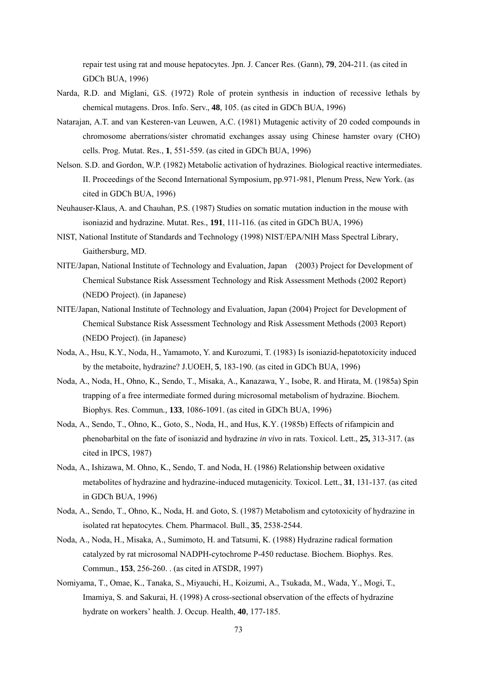repair test using rat and mouse hepatocytes. Jpn. J. Cancer Res. (Gann), **79**, 204-211. (as cited in GDCh BUA, 1996)

- Narda, R.D. and Miglani, G.S. (1972) Role of protein synthesis in induction of recessive lethals by chemical mutagens. Dros. Info. Serv., **48**, 105. (as cited in GDCh BUA, 1996)
- Natarajan, A.T. and van Kesteren-van Leuwen, A.C. (1981) Mutagenic activity of 20 coded compounds in chromosome aberrations/sister chromatid exchanges assay using Chinese hamster ovary (CHO) cells. Prog. Mutat. Res., **1**, 551-559. (as cited in GDCh BUA, 1996)
- Nelson. S.D. and Gordon, W.P. (1982) Metabolic activation of hydrazines. Biological reactive intermediates. II. Proceedings of the Second International Symposium, pp.971-981, Plenum Press, New York. (as cited in GDCh BUA, 1996)
- Neuhauser-Klaus, A. and Chauhan, P.S. (1987) Studies on somatic mutation induction in the mouse with isoniazid and hydrazine. Mutat. Res., **191**, 111-116. (as cited in GDCh BUA, 1996)
- NIST, National Institute of Standards and Technology (1998) NIST/EPA/NIH Mass Spectral Library, Gaithersburg, MD.
- NITE/Japan, National Institute of Technology and Evaluation, Japan (2003) Project for Development of Chemical Substance Risk Assessment Technology and Risk Assessment Methods (2002 Report) (NEDO Project). (in Japanese)
- NITE/Japan, National Institute of Technology and Evaluation, Japan (2004) Project for Development of Chemical Substance Risk Assessment Technology and Risk Assessment Methods (2003 Report) (NEDO Project). (in Japanese)
- Noda, A., Hsu, K.Y., Noda, H., Yamamoto, Y. and Kurozumi, T. (1983) Is isoniazid-hepatotoxicity induced by the metaboite, hydrazine? J.UOEH, **5**, 183-190. (as cited in GDCh BUA, 1996)
- Noda, A., Noda, H., Ohno, K., Sendo, T., Misaka, A., Kanazawa, Y., Isobe, R. and Hirata, M. (1985a) Spin trapping of a free intermediate formed during microsomal metabolism of hydrazine. Biochem. Biophys. Res. Commun*.,* **133**, 1086-1091. (as cited in GDCh BUA, 1996)
- Noda, A., Sendo, T., Ohno, K., Goto, S., Noda, H., and Hus, K.Y. (1985b) Effects of rifampicin and phenobarbital on the fate of isoniazid and hydrazine *in vivo* in rats. Toxicol. Lett., **25,** 313-317. (as cited in IPCS, 1987)
- Noda, A., Ishizawa, M. Ohno, K., Sendo, T. and Noda, H. (1986) Relationship between oxidative metabolites of hydrazine and hydrazine-induced mutagenicity. Toxicol. Lett., **31**, 131-137. (as cited in GDCh BUA, 1996)
- Noda, A., Sendo, T., Ohno, K., Noda, H. and Goto, S. (1987) Metabolism and cytotoxicity of hydrazine in isolated rat hepatocytes. Chem. Pharmacol. Bull., **35**, 2538-2544.
- Noda, A., Noda, H., Misaka, A., Sumimoto, H. and Tatsumi, K. (1988) Hydrazine radical formation catalyzed by rat microsomal NADPH-cytochrome P-450 reductase. Biochem. Biophys. Res. Commun., **153**, 256-260. . (as cited in ATSDR, 1997)
- Nomiyama, T., Omae, K., Tanaka, S., Miyauchi, H., Koizumi, A., Tsukada, M., Wada, Y., Mogi, T., Imamiya, S. and Sakurai, H. (1998) A cross-sectional observation of the effects of hydrazine hydrate on workers' health. J. Occup. Health, **40**, 177-185.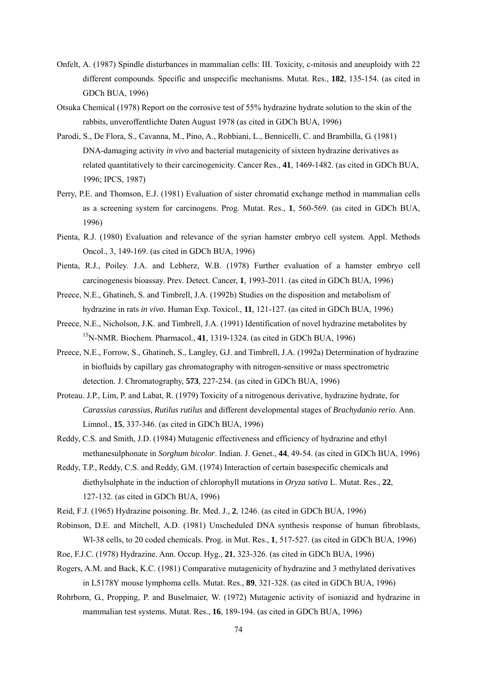- Onfelt, A. (1987) Spindle disturbances in mammalian cells: III. Toxicity, c-mitosis and aneuploidy with 22 different compounds. Specific and unspecific mechanisms. Mutat. Res., **182**, 135-154. (as cited in GDCh BUA, 1996)
- Otsuka Chemical (1978) Report on the corrosive test of 55% hydrazine hydrate solution to the skin of the rabbits, unveroffentlichte Daten August 1978 (as cited in GDCh BUA, 1996)
- Parodi, S., De Flora, S., Cavanna, M., Pino, A., Robbiani, L., Bennicelli, C. and Brambilla, G. (1981) DNA-damaging activity *in vivo* and bacterial mutagenicity of sixteen hydrazine derivatives as related quantitatively to their carcinogenicity. Cancer Res., **41**, 1469-1482. (as cited in GDCh BUA, 1996; IPCS, 1987)
- Perry, P.E. and Thomson, E.J. (1981) Evaluation of sister chromatid exchange method in mammalian cells as a screening system for carcinogens. Prog. Mutat. Res., **1**, 560-569. (as cited in GDCh BUA, 1996)
- Pienta, R.J. (1980) Evaluation and relevance of the syrian hamster embryo cell system. Appl. Methods Oncol., 3, 149-169. (as cited in GDCh BUA, 1996)
- Pienta, R.J., Poiley. J.A. and Lebherz, W.B. (1978) Further evaluation of a hamster embryo cell carcinogenesis bioassay. Prev. Detect. Cancer, **1**, 1993-2011. (as cited in GDCh BUA, 1996)
- Preece, N.E., Ghatineh, S. and Timbrell, J.A. (1992b) Studies on the disposition and metabolism of hydrazine in rats *in vivo*. Human Exp. Toxicol., **11**, 121-127. (as cited in GDCh BUA, 1996)
- Preece, N.E., Nicholson, J.K. and Timbrell, J.A. (1991) Identification of novel hydrazine metabolites by 15N-NMR. Biochem. Pharmacol., **41**, 1319-1324. (as cited in GDCh BUA, 1996)
- Preece, N.E., Forrow, S., Ghatineh, S., Langley, G.J. and Timbrell, J.A. (1992a) Determination of hydrazine in biofluids by capillary gas chromatography with nitrogen-sensitive or mass spectrometric detection. J. Chromatography, **573**, 227-234. (as cited in GDCh BUA, 1996)
- Proteau. J.P., Lim, P. and Labat, R. (1979) Toxicity of a nitrogenous derivative, hydrazine hydrate, for *Carassius carassius*, *Rutilus rutilus* and different developmental stages of *Brachydanio rerio*. Ann. Limnol., **15**, 337-346. (as cited in GDCh BUA, 1996)
- Reddy, C.S. and Smith, J.D. (1984) Mutagenic effectiveness and efficiency of hydrazine and ethyl methanesulphonate in *Sorghum bicolor*. Indian. J. Genet., **44**, 49-54. (as cited in GDCh BUA, 1996)
- Reddy, T.P., Reddy, C.S. and Reddy, G.M. (1974) Interaction of certain basespecific chemicals and diethylsulphate in the induction of chlorophyll mutations in *Oryza sativa* L. Mutat. Res., **22**, 127-132. (as cited in GDCh BUA, 1996)
- Reid, F.J. (1965) Hydrazine poisoning. Br. Med. J., **2**, 1246. (as cited in GDCh BUA, 1996)
- Robinson, D.E. and Mitchell, A.D. (1981) Unscheduled DNA synthesis response of human fibroblasts, Wl-38 cells, to 20 coded chemicals. Prog. in Mut. Res., **1**, 517-527. (as cited in GDCh BUA, 1996)
- Roe, F.J.C. (1978) Hydrazine. Ann. Occup. Hyg., **21**, 323-326. (as cited in GDCh BUA, 1996)
- Rogers, A.M. and Back, K.C. (1981) Comparative mutagenicity of hydrazine and 3 methylated derivatives in L5178Y mouse lymphoma cells. Mutat. Res., **89**, 321-328. (as cited in GDCh BUA, 1996)
- Rohrborn, G., Propping, P. and Buselmaier, W. (1972) Mutagenic activity of isoniazid and hydrazine in mammalian test systems. Mutat. Res., **16**, 189-194. (as cited in GDCh BUA, 1996)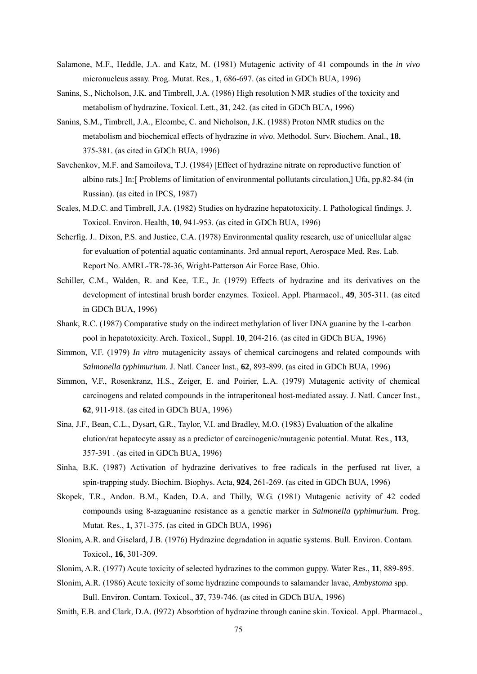- Salamone, M.F., Heddle, J.A. and Katz, M. (1981) Mutagenic activity of 41 compounds in the *in vivo* micronucleus assay. Prog. Mutat. Res., **1**, 686-697. (as cited in GDCh BUA, 1996)
- Sanins, S., Nicholson, J.K. and Timbrell, J.A. (1986) High resolution NMR studies of the toxicity and metabolism of hydrazine. Toxicol. Lett., **31**, 242. (as cited in GDCh BUA, 1996)
- Sanins, S.M., Timbrell, J.A., Elcombe, C. and Nicholson, J.K. (1988) Proton NMR studies on the metabolism and biochemical effects of hydrazine *in vivo*. Methodol. Surv. Biochem. Anal., **18**, 375-381. (as cited in GDCh BUA, 1996)
- Savchenkov, M.F. and Samoilova, T.J. (1984) [Effect of hydrazine nitrate on reproductive function of albino rats.] In:[ Problems of limitation of environmental pollutants circulation,] Ufa, pp.82-84 (in Russian). (as cited in IPCS, 1987)
- Scales, M.D.C. and Timbrell, J.A. (1982) Studies on hydrazine hepatotoxicity. I. Pathological findings. J. Toxicol. Environ. Health, **10**, 941-953. (as cited in GDCh BUA, 1996)
- Scherfig. J.. Dixon, P.S. and Justice, C.A. (1978) Environmental quality research, use of unicellular algae for evaluation of potential aquatic contaminants. 3rd annual report, Aerospace Med. Res. Lab. Report No. AMRL-TR-78-36, Wright-Patterson Air Force Base, Ohio.
- Schiller, C.M., Walden, R. and Kee, T.E., Jr. (1979) Effects of hydrazine and its derivatives on the development of intestinal brush border enzymes. Toxicol. Appl. Pharmacol., **49**, 305-311. (as cited in GDCh BUA, 1996)
- Shank, R.C. (1987) Comparative study on the indirect methylation of liver DNA guanine by the 1-carbon pool in hepatotoxicity. Arch. Toxicol., Suppl. **10**, 204-216. (as cited in GDCh BUA, 1996)
- Simmon, V.F. (1979) *In vitro* mutagenicity assays of chemical carcinogens and related compounds with *Salmonella typhimurium*. J. Natl. Cancer Inst., **62**, 893-899. (as cited in GDCh BUA, 1996)
- Simmon, V.F., Rosenkranz, H.S., Zeiger, E. and Poirier, L.A. (1979) Mutagenic activity of chemical carcinogens and related compounds in the intraperitoneal host-mediated assay. J. Natl. Cancer Inst., **62**, 911-918. (as cited in GDCh BUA, 1996)
- Sina, J.F., Bean, C.L., Dysart, G.R., Taylor, V.I. and Bradley, M.O. (1983) Evaluation of the alkaline elution/rat hepatocyte assay as a predictor of carcinogenic/mutagenic potential. Mutat. Res., **113**, 357-391 . (as cited in GDCh BUA, 1996)
- Sinha, B.K. (1987) Activation of hydrazine derivatives to free radicals in the perfused rat liver, a spin-trapping study. Biochim. Biophys. Acta, **924**, 261-269. (as cited in GDCh BUA, 1996)
- Skopek, T.R., Andon. B.M., Kaden, D.A. and Thilly, W.G. (1981) Mutagenic activity of 42 coded compounds using 8-azaguanine resistance as a genetic marker in *Salmonella typhimurium*. Prog. Mutat. Res., **1**, 371-375. (as cited in GDCh BUA, 1996)
- Slonim, A.R. and Gisclard, J.B. (1976) Hydrazine degradation in aquatic systems. Bull. Environ. Contam. Toxicol., **16**, 301-309.
- Slonim, A.R. (1977) Acute toxicity of selected hydrazines to the common guppy. Water Res., **11**, 889-895.
- Slonim, A.R. (1986) Acute toxicity of some hydrazine compounds to salamander lavae, *Ambystoma* spp. Bull. Environ. Contam. Toxicol., **37**, 739-746. (as cited in GDCh BUA, 1996)
- Smith, E.B. and Clark, D.A. (l972) Absorbtion of hydrazine through canine skin. Toxicol. Appl. Pharmacol.,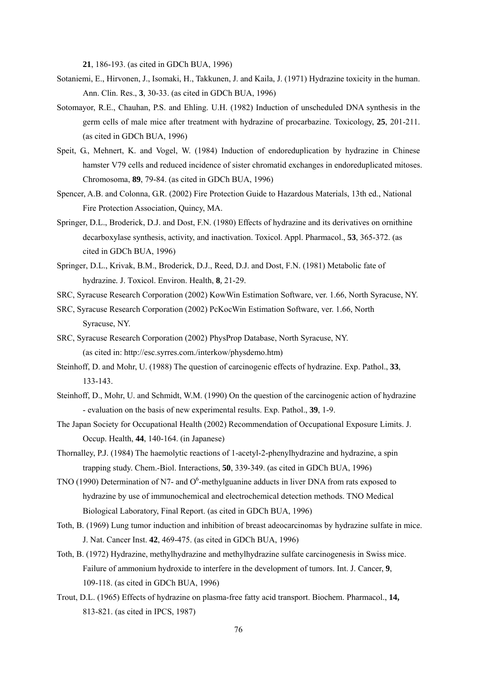**21**, 186-193. (as cited in GDCh BUA, 1996)

- Sotaniemi, E., Hirvonen, J., Isomaki, H., Takkunen, J. and Kaila, J. (1971) Hydrazine toxicity in the human. Ann. Clin. Res., **3**, 30-33. (as cited in GDCh BUA, 1996)
- Sotomayor, R.E., Chauhan, P.S. and Ehling. U.H. (1982) Induction of unscheduled DNA synthesis in the germ cells of male mice after treatment with hydrazine of procarbazine. Toxicology, **25**, 201-211. (as cited in GDCh BUA, 1996)
- Speit, G., Mehnert, K. and Vogel, W. (1984) Induction of endoreduplication by hydrazine in Chinese hamster V79 cells and reduced incidence of sister chromatid exchanges in endoreduplicated mitoses. Chromosoma, **89**, 79-84. (as cited in GDCh BUA, 1996)
- Spencer, A.B. and Colonna, G.R. (2002) Fire Protection Guide to Hazardous Materials, 13th ed., National Fire Protection Association, Quincy, MA.
- Springer, D.L., Broderick, D.J. and Dost, F.N. (1980) Effects of hydrazine and its derivatives on ornithine decarboxylase synthesis, activity, and inactivation. Toxicol. Appl. Pharmacol., **53**, 365-372. (as cited in GDCh BUA, 1996)
- Springer, D.L., Krivak, B.M., Broderick, D.J., Reed, D.J. and Dost, F.N. (1981) Metabolic fate of hydrazine*.* J. Toxicol. Environ. Health, **8***,* 21-29.
- SRC, Syracuse Research Corporation (2002) KowWin Estimation Software, ver. 1.66, North Syracuse, NY.
- SRC, Syracuse Research Corporation (2002) PcKocWin Estimation Software, ver. 1.66, North Syracuse, NY.
- SRC, Syracuse Research Corporation (2002) PhysProp Database, North Syracuse, NY. (as cited in: http://esc.syrres.com./interkow/physdemo.htm)
- Steinhoff, D. and Mohr, U. (1988) The question of carcinogenic effects of hydrazine. Exp. Pathol., **33**, 133-143.
- Steinhoff, D., Mohr, U. and Schmidt, W.M. (1990) On the question of the carcinogenic action of hydrazine - evaluation on the basis of new experimental results. Exp. Pathol., **39**, 1-9.
- The Japan Society for Occupational Health (2002) Recommendation of Occupational Exposure Limits. J. Occup. Health, **44**, 140-164. (in Japanese)
- Thornalley, P.J. (1984) The haemolytic reactions of 1-acetyl-2-phenylhydrazine and hydrazine, a spin trapping study. Chem.-Biol. Interactions, **50**, 339-349. (as cited in GDCh BUA, 1996)
- TNO (1990) Determination of N7- and  $O<sup>6</sup>$ -methylguanine adducts in liver DNA from rats exposed to hydrazine by use of immunochemical and electrochemical detection methods. TNO Medical Biological Laboratory, Final Report. (as cited in GDCh BUA, 1996)
- Toth, B. (1969) Lung tumor induction and inhibition of breast adeocarcinomas by hydrazine sulfate in mice. J. Nat. Cancer Inst. **42**, 469-475. (as cited in GDCh BUA, 1996)
- Toth, B. (1972) Hydrazine, methylhydrazine and methylhydrazine sulfate carcinogenesis in Swiss mice. Failure of ammonium hydroxide to interfere in the development of tumors. Int. J. Cancer, **9**, 109-118. (as cited in GDCh BUA, 1996)
- Trout, D.L. (1965) Effects of hydrazine on plasma-free fatty acid transport. Biochem. Pharmacol., **14,** 813-821. (as cited in IPCS, 1987)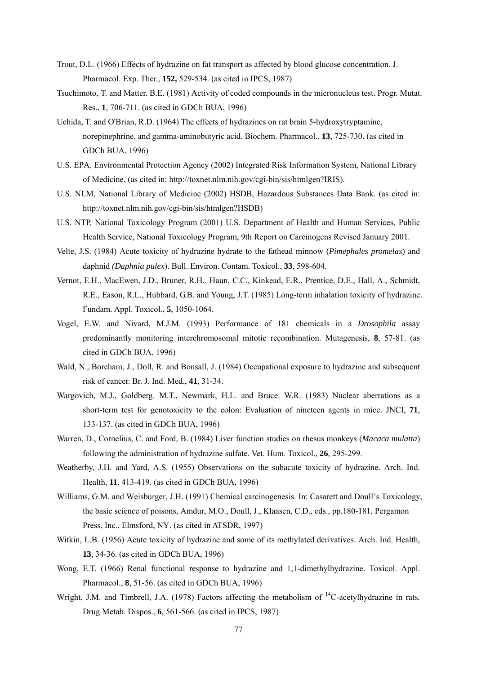- Trout, D.L. (1966) Effects of hydrazine on fat transport as affected by blood glucose concentration. J. Pharmacol. Exp. Ther., **152,** 529-534. (as cited in IPCS, 1987)
- Tsuchimoto, T. and Matter. B.E. (1981) Activity of coded compounds in the micronucleus test. Progr. Mutat. Res., **1**, 706-711. (as cited in GDCh BUA, 1996)
- Uchida, T. and O'Brian, R.D. (1964) The effects of hydrazines on rat brain 5-hydroxytryptamine, norepinephrine, and gamma-aminobutyric acid. Biochem. Pharmacol., **13**, 725-730. (as cited in GDCh BUA, 1996)
- U.S. EPA, Environmental Protection Agency (2002) Integrated Risk Information System, National Library of Medicine, (as cited in: http://toxnet.nlm.nih.gov/cgi-bin/sis/htmlgen?IRIS).
- U.S. NLM, National Library of Medicine (2002) HSDB, Hazardous Substances Data Bank. (as cited in: http://toxnet.nlm.nih.gov/cgi-bin/sis/htmlgen?HSDB)
- U.S. NTP, National Toxicology Program (2001) U.S. Department of Health and Human Services, Public Health Service, National Toxicology Program, 9th Report on Carcinogens Revised January 2001.
- Velte, J.S. (1984) Acute toxicity of hydrazine hydrate to the fathead minnow (*Pimephales promelas*) and daphnid *(Daphnia pulex*). Bull. Environ. Contam. Toxicol., **33**, 598-604.
- Vernot, E.H., MacEwen, J.D., Bruner, R.H., Haun, C.C., Kinkead, E.R., Prentice, D.E., Hall, A., Schmidt, R.E., Eason, R.L., Hubbard, G.B. and Young, J.T. (1985) Long-term inhalation toxicity of hydrazine. Fundam. Appl. Toxicol., **5**, 1050-1064.
- Vogel, E.W. and Nivard, M.J.M. (1993) Performance of 181 chemicals in a *Drosophila* assay predominantly monitoring interchromosomal mitotic recombination. Mutagenesis, **8**, 57-81. (as cited in GDCh BUA, 1996)
- Wald, N., Boreham, J., Doll, R. and Bonsall, J. (1984) Occupational exposure to hydrazine and subsequent risk of cancer. Br. J. Ind. Med., **41**, 31-34.
- Wargovich, M.J., Goldberg. M.T., Newmark, H.L. and Bruce. W.R. (1983) Nuclear aberrations as a short-term test for genotoxicity to the colon: Evaluation of nineteen agents in mice. JNCI, **71**, 133-137. (as cited in GDCh BUA, 1996)
- Warren, D., Cornelius, C. and Ford, B. (1984) Liver function studies on rhesus monkeys (*Macaca mulatta*) following the administration of hydrazine sulfate. Vet. Hum. Toxicol., **26**, 295-299.
- Weatherby, J.H. and Yard, A.S. (1955) Observations on the subacute toxicity of hydrazine. Arch. Ind. Health, **11**, 413-419. (as cited in GDCh BUA, 1996)
- Williams, G.M. and Weisburger, J.H. (1991) Chemical carcinogenesis. In: Casarett and Doull's Toxicology, the basic science of poisons, Amdur, M.O., Doull, J., Klaasen, C.D., eds., pp.180-181, Pergamon Press, Inc., Elmsford, NY. (as cited in ATSDR, 1997)
- Witkin, L.B. (1956) Acute toxicity of hydrazine and some of its methylated derivatives. Arch. Ind. Health, **13**, 34-36. (as cited in GDCh BUA, 1996)
- Wong, E.T. (1966) Renal functional response to hydrazine and 1,1-dimethylhydrazine. Toxicol. Appl. Pharmacol., **8**, 51-56. (as cited in GDCh BUA, 1996)
- Wright, J.M. and Timbrell, J.A. (1978) Factors affecting the metabolism of <sup>14</sup>C-acetylhydrazine in rats. Drug Metab. Dispos., **6**, 561-566. (as cited in IPCS, 1987)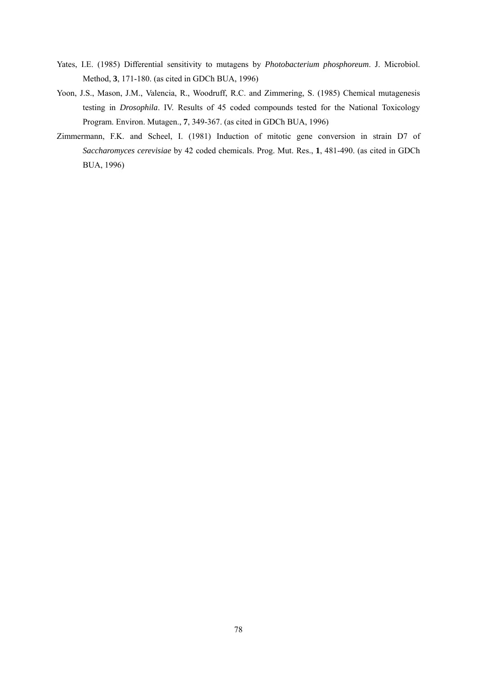- Yates, I.E. (1985) Differential sensitivity to mutagens by *Photobacterium phosphoreum*. J. Microbiol. Method, **3**, 171-180. (as cited in GDCh BUA, 1996)
- Yoon, J.S., Mason, J.M., Valencia, R., Woodruff, R.C. and Zimmering, S. (1985) Chemical mutagenesis testing in *Drosophila*. IV. Results of 45 coded compounds tested for the National Toxicology Program. Environ. Mutagen., **7**, 349-367. (as cited in GDCh BUA, 1996)
- Zimmermann, F.K. and Scheel, I. (1981) Induction of mitotic gene conversion in strain D7 of *Saccharomyces cerevisiae* by 42 coded chemicals. Prog. Mut. Res., **1**, 481-490. (as cited in GDCh BUA, 1996)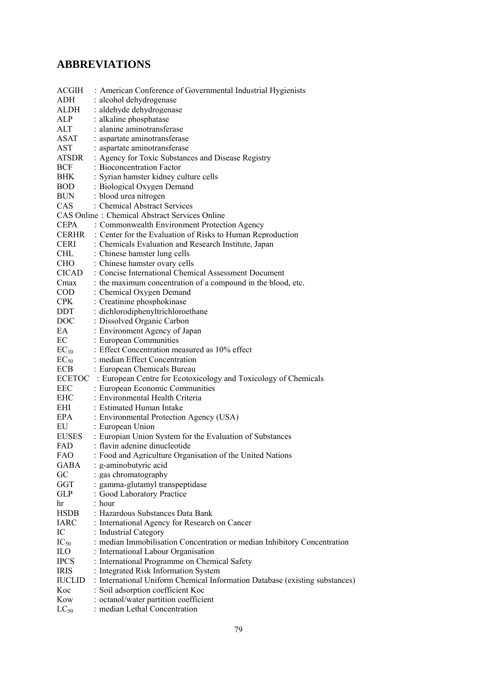## **ABBREVIATIONS**

| ACGIH          | : American Conference of Governmental Industrial Hygienists                                                         |
|----------------|---------------------------------------------------------------------------------------------------------------------|
| ADH            | : alcohol dehydrogenase                                                                                             |
| <b>ALDH</b>    | : aldehyde dehydrogenase                                                                                            |
| ALP            | : alkaline phosphatase                                                                                              |
| ALT            | : alanine aminotransferase                                                                                          |
| <b>ASAT</b>    | : aspartate aminotransferase                                                                                        |
| <b>AST</b>     | : aspartate aminotransferase                                                                                        |
| ATSDR          |                                                                                                                     |
| <b>BCF</b>     | : Agency for Toxic Substances and Disease Registry<br>: Bioconcentration Factor                                     |
| <b>BHK</b>     | : Syrian hamster kidney culture cells                                                                               |
| <b>BOD</b>     | : Biological Oxygen Demand                                                                                          |
| <b>BUN</b>     |                                                                                                                     |
| CAS            | : blood urea nitrogen<br>: Chemical Abstract Services                                                               |
|                |                                                                                                                     |
|                | <b>CAS Online: Chemical Abstract Services Online</b>                                                                |
| <b>CEPA</b>    | : Commonwealth Environment Protection Agency                                                                        |
| CERHR          | : Center for the Evaluation of Risks to Human Reproduction                                                          |
| <b>CERI</b>    | : Chemicals Evaluation and Research Institute, Japan                                                                |
| CHL            | : Chinese hamster lung cells                                                                                        |
| <b>CHO</b>     | : Chinese hamster ovary cells                                                                                       |
| CICAD          | : Concise International Chemical Assessment Document                                                                |
| Cmax           | : the maximum concentration of a compound in the blood, etc.                                                        |
| COD            | : Chemical Oxygen Demand                                                                                            |
| <b>CPK</b>     | : Creatinine phosphokinase                                                                                          |
| DDT            | : dichlorodiphenyltrichloroethane                                                                                   |
| DOC <b>DOC</b> | : Dissolved Organic Carbon                                                                                          |
| EA             | : Environment Agency of Japan                                                                                       |
| EC             | : European Communities                                                                                              |
| $EC_{10}$      | : Effect Concentration measured as 10% effect                                                                       |
| $EC_{50}$      | : median Effect Concentration                                                                                       |
| <b>ECB</b>     | : European Chemicals Bureau                                                                                         |
|                | ECETOC : European Centre for Ecotoxicology and Toxicology of Chemicals                                              |
| EEC            | : European Economic Communities                                                                                     |
| <b>EHC</b>     | : Environmental Health Criteria                                                                                     |
| EHI            | : Estimated Human Intake                                                                                            |
| EPA            | : Environmental Protection Agency (USA)                                                                             |
| EU             | : European Union                                                                                                    |
| <b>EUSES</b>   | : Europian Union System for the Evaluation of Substances                                                            |
| FAD            | : flavin adenine dinucleotide                                                                                       |
| <b>FAO</b>     | : Food and Agriculture Organisation of the United Nations                                                           |
| <b>GABA</b>    | : g-aminobutyric acid                                                                                               |
| GC             | : gas chromatography                                                                                                |
| GGT            | : gamma-glutamyl transpeptidase                                                                                     |
| <b>GLP</b>     | : Good Laboratory Practice                                                                                          |
| hr             | : hour                                                                                                              |
| <b>HSDB</b>    | : Hazardous Substances Data Bank                                                                                    |
| <b>IARC</b>    | : International Agency for Research on Cancer                                                                       |
| IC             | : Industrial Category                                                                                               |
| $IC_{50}$      | : median Immobilisation Concentration or median Inhibitory Concentration                                            |
| ILO            | : International Labour Organisation                                                                                 |
| <b>IPCS</b>    | : International Programme on Chemical Safety                                                                        |
| <b>IRIS</b>    |                                                                                                                     |
|                | : Integrated Risk Information System<br>: International Uniform Chemical Information Database (existing substances) |
| <b>IUCLID</b>  |                                                                                                                     |
| Koc            | : Soil adsorption coefficient Koc                                                                                   |
| Kow            | : octanol/water partition coefficient                                                                               |
| $LC_{50}$      | : median Lethal Concentration                                                                                       |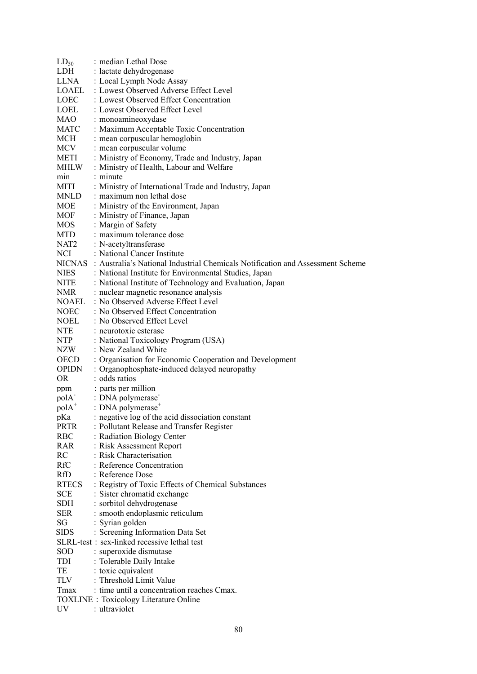| $LD_{50}$         | : median Lethal Dose                                                                 |
|-------------------|--------------------------------------------------------------------------------------|
| LDH               | : lactate dehydrogenase                                                              |
| LLNA              | : Local Lymph Node Assay                                                             |
| LOAEL             | : Lowest Observed Adverse Effect Level                                               |
| <b>LOEC</b>       | : Lowest Observed Effect Concentration                                               |
| LOEL              | : Lowest Observed Effect Level                                                       |
| MAO               | : monoamineoxydase                                                                   |
| MATC              | : Maximum Acceptable Toxic Concentration                                             |
| MCH               | : mean corpuscular hemoglobin                                                        |
| MCV               | : mean corpuscular volume                                                            |
| METI              | : Ministry of Economy, Trade and Industry, Japan                                     |
| MHLW              | : Ministry of Health, Labour and Welfare                                             |
| min               | : minute                                                                             |
| MITI              | : Ministry of International Trade and Industry, Japan                                |
| MNLD              | : maximum non lethal dose                                                            |
|                   |                                                                                      |
| MOE               | : Ministry of the Environment, Japan                                                 |
| MOF               | : Ministry of Finance, Japan                                                         |
| MOS               | : Margin of Safety                                                                   |
| <b>MTD</b>        | : maximum tolerance dose                                                             |
| NAT <sub>2</sub>  | : N-acetyltransferase                                                                |
| <b>NCI</b>        | : National Cancer Institute                                                          |
|                   | NICNAS: Australia's National Industrial Chemicals Notification and Assessment Scheme |
| NIES              | : National Institute for Environmental Studies, Japan                                |
| <b>NITE</b>       | : National Institute of Technology and Evaluation, Japan                             |
| <b>NMR</b>        | : nuclear magnetic resonance analysis                                                |
| <b>NOAEL</b>      | : No Observed Adverse Effect Level                                                   |
| NOEC              | : No Observed Effect Concentration                                                   |
| NOEL              | : No Observed Effect Level                                                           |
| <b>NTE</b>        | : neurotoxic esterase                                                                |
| <b>NTP</b>        | : National Toxicology Program (USA)                                                  |
| NZW               | : New Zealand White                                                                  |
| OECD              |                                                                                      |
|                   | : Organisation for Economic Cooperation and Development                              |
| <b>OPIDN</b>      | : Organophosphate-induced delayed neuropathy                                         |
| OR.               | : odds ratios                                                                        |
| ppm               | : parts per million                                                                  |
| polA <sup>-</sup> | : DNA polymerase                                                                     |
| $polA^+$          | : DNA polymerase <sup>+</sup>                                                        |
| pKa               | : negative log of the acid dissociation constant                                     |
| <b>PRTR</b>       | : Pollutant Release and Transfer Register                                            |
| <b>RBC</b>        | : Radiation Biology Center                                                           |
| <b>RAR</b>        | : Risk Assessment Report                                                             |
| RC                | : Risk Characterisation                                                              |
| RfC               | : Reference Concentration                                                            |
| RfD               | : Reference Dose                                                                     |
| <b>RTECS</b>      | : Registry of Toxic Effects of Chemical Substances                                   |
| <b>SCE</b>        | : Sister chromatid exchange                                                          |
| <b>SDH</b>        | : sorbitol dehydrogenase                                                             |
| <b>SER</b>        | : smooth endoplasmic reticulum                                                       |
| SG                | : Syrian golden                                                                      |
| <b>SIDS</b>       | : Screening Information Data Set                                                     |
|                   | SLRL-test: sex-linked recessive lethal test                                          |
|                   |                                                                                      |
| <b>SOD</b>        | : superoxide dismutase                                                               |
| TDI               | : Tolerable Daily Intake                                                             |
| TE                | : toxic equivalent                                                                   |
| TLV               |                                                                                      |
|                   | : Threshold Limit Value                                                              |
| Tmax              | : time until a concentration reaches Cmax.                                           |
| <b>UV</b>         | <b>TOXLINE</b> : Toxicology Literature Online<br>: ultraviolet                       |